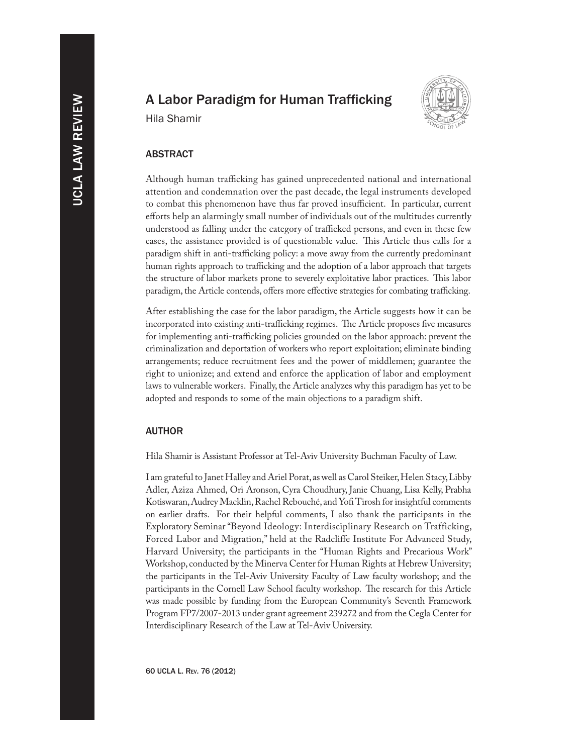# A Labor Paradigm for Human Trafficking





# ABSTRACT

Although human trafficking has gained unprecedented national and international attention and condemnation over the past decade, the legal instruments developed to combat this phenomenon have thus far proved insufficient. In particular, current efforts help an alarmingly small number of individuals out of the multitudes currently understood as falling under the category of trafficked persons, and even in these few cases, the assistance provided is of questionable value. This Article thus calls for a paradigm shift in anti-trafficking policy: a move away from the currently predominant human rights approach to trafficking and the adoption of a labor approach that targets the structure of labor markets prone to severely exploitative labor practices. This labor paradigm, the Article contends, offers more effective strategies for combating trafficking.

After establishing the case for the labor paradigm, the Article suggests how it can be incorporated into existing anti-trafficking regimes. The Article proposes five measures for implementing anti-trafficking policies grounded on the labor approach: prevent the criminalization and deportation of workers who report exploitation; eliminate binding arrangements; reduce recruitment fees and the power of middlemen; guarantee the right to unionize; and extend and enforce the application of labor and employment laws to vulnerable workers. Finally, the Article analyzes why this paradigm has yet to be adopted and responds to some of the main objections to a paradigm shift.

# AUTHOR

Hila Shamir is Assistant Professor at Tel-Aviv University Buchman Faculty of Law.

I am grateful to Janet Halley and Ariel Porat, as well as Carol Steiker, Helen Stacy, Libby Adler, Aziza Ahmed, Ori Aronson, Cyra Choudhury, Janie Chuang, Lisa Kelly, Prabha Kotiswaran, Audrey Macklin, Rachel Rebouché, and Yofi Tirosh for insightful comments on earlier drafts. For their helpful comments, I also thank the participants in the Exploratory Seminar "Beyond Ideology: Interdisciplinary Research on Trafficking, Forced Labor and Migration," held at the Radcliffe Institute For Advanced Study, Harvard University; the participants in the "Human Rights and Precarious Work" Workshop, conducted by the Minerva Center for Human Rights at Hebrew University; the participants in the Tel-Aviv University Faculty of Law faculty workshop; and the participants in the Cornell Law School faculty workshop. The research for this Article was made possible by funding from the European Community's Seventh Framework Program FP7/2007-2013 under grant agreement 239272 and from the Cegla Center for Interdisciplinary Research of the Law at Tel-Aviv University.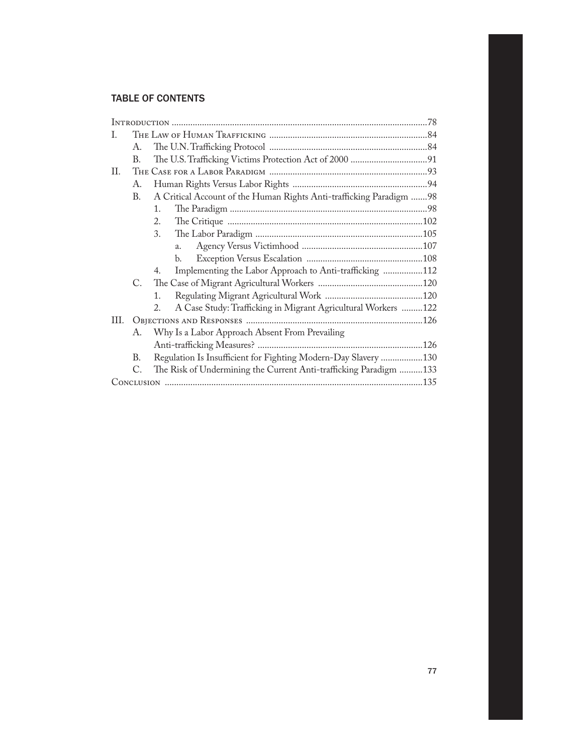# TABLE OF CONTENTS

| L   |    |                                                                     |
|-----|----|---------------------------------------------------------------------|
|     | А. |                                                                     |
|     | В. |                                                                     |
| H.  |    |                                                                     |
|     | А. |                                                                     |
|     | В. | A Critical Account of the Human Rights Anti-trafficking Paradigm 98 |
|     |    | $\mathbf{1}$ .                                                      |
|     |    | 2.                                                                  |
|     |    | 3.                                                                  |
|     |    | a.                                                                  |
|     |    | b.                                                                  |
|     |    | Implementing the Labor Approach to Anti-trafficking 112<br>4.       |
|     | C. |                                                                     |
|     |    | $1_{-}$                                                             |
|     |    | A Case Study: Trafficking in Migrant Agricultural Workers 122<br>2. |
| HI. |    |                                                                     |
|     | А. | Why Is a Labor Approach Absent From Prevailing                      |
|     |    |                                                                     |
|     | В. | Regulation Is Insufficient for Fighting Modern-Day Slavery 130      |
|     | C. | The Risk of Undermining the Current Anti-trafficking Paradigm 133   |
|     |    |                                                                     |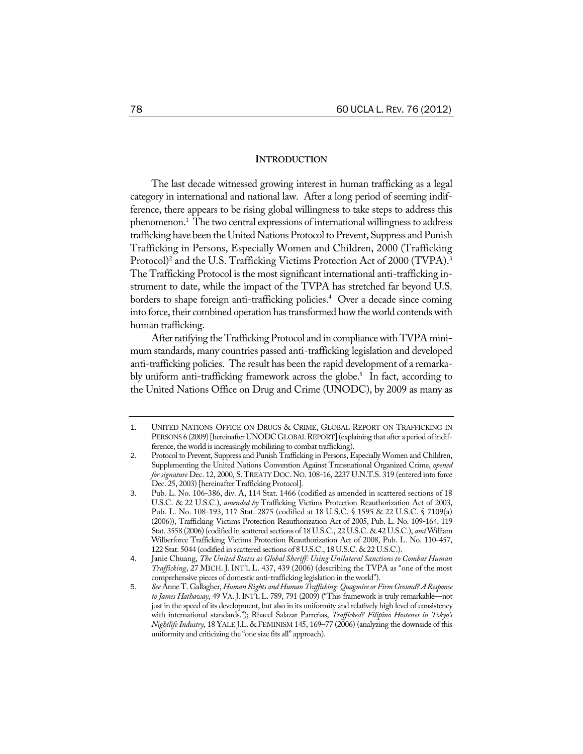# **INTRODUCTION**

The last decade witnessed growing interest in human trafficking as a legal category in international and national law. After a long period of seeming indifference, there appears to be rising global willingness to take steps to address this phenomenon.<sup>1</sup> The two central expressions of international willingness to address trafficking have been the United Nations Protocol to Prevent, Suppress and Punish Trafficking in Persons, Especially Women and Children, 2000 (Trafficking Protocol)<sup>2</sup> and the U.S. Trafficking Victims Protection Act of 2000 (TVPA).<sup>3</sup> The Trafficking Protocol is the most significant international anti-trafficking instrument to date, while the impact of the TVPA has stretched far beyond U.S. borders to shape foreign anti-trafficking policies.<sup>4</sup> Over a decade since coming into force, their combined operation has transformed how the world contends with human trafficking.

After ratifying the Trafficking Protocol and in compliance with TVPA minimum standards, many countries passed anti-trafficking legislation and developed anti-trafficking policies. The result has been the rapid development of a remarkably uniform anti-trafficking framework across the globe.<sup>5</sup> In fact, according to the United Nations Office on Drug and Crime (UNODC), by 2009 as many as

<sup>1</sup>. UNITED NATIONS OFFICE ON DRUGS & CRIME, GLOBAL REPORT ON TRAFFICKING IN PERSONS 6 (2009) [hereinafter UNODC GLOBAL REPORT] (explaining that after a period of indifference, the world is increasingly mobilizing to combat trafficking).

<sup>2</sup>. Protocol to Prevent, Suppress and Punish Trafficking in Persons, Especially Women and Children, Supplementing the United Nations Convention Against Transnational Organized Crime, *opened for signature* Dec. 12, 2000, S. TREATY DOC.NO. 108-16, 2237 U.N.T.S. 319 (entered into force Dec. 25, 2003) [hereinafter Trafficking Protocol].

<sup>3</sup>. Pub. L. No. 106-386, div. A, 114 Stat. 1466 (codified as amended in scattered sections of 18 U.S.C. & 22 U.S.C.), *amended by* Trafficking Victims Protection Reauthorization Act of 2003, Pub. L. No. 108-193, 117 Stat. 2875 (codified at 18 U.S.C. § 1595 & 22 U.S.C. § 7109(a) (2006)), Trafficking Victims Protection Reauthorization Act of 2005, Pub. L. No. 109-164, 119 Stat. 3558 (2006) (codified in scattered sections of 18 U.S.C., 22 U.S.C. & 42 U.S.C.), *and*William Wilberforce Trafficking Victims Protection Reauthorization Act of 2008, Pub. L. No. 110-457, 122 Stat. 5044 (codified in scattered sections of 8 U.S.C., 18 U.S.C. & 22 U.S.C.).

<sup>4</sup>. Janie Chuang, *The United States as Global Sheriff: Using Unilateral Sanctions to Combat Human Trafficking*, 27 MICH. J. INT'L L. 437, 439 (2006) (describing the TVPA as "one of the most comprehensive pieces of domestic anti-trafficking legislation in the world").

<sup>5</sup>. *See* Anne T. Gallagher, *HumanRights andHumanTrafficking: QuagmireorFirm Ground?AResponse to James Hathaway*, 49 VA. J. INT'L L. 789, 791 (2009) ("This framework is truly remarkable—not just in the speed of its development, but also in its uniformity and relatively high level of consistency with international standards."); Rhacel Salazar Parreñas, *Trafficked? Filipino Hostesses in Tokyo's Nightlife Industry*, 18 YALE J.L. & FEMINISM 145, 169–77 (2006) (analyzing the downside of this uniformity and criticizing the "one size fits all" approach).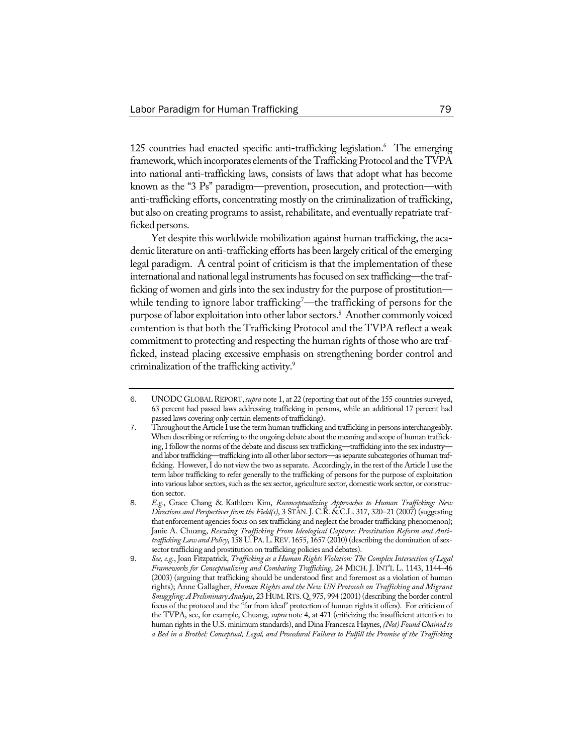125 countries had enacted specific anti-trafficking legislation.<sup>6</sup> The emerging framework, which incorporates elements of the Trafficking Protocol and the TVPA into national anti-trafficking laws, consists of laws that adopt what has become known as the "3 Ps" paradigm—prevention, prosecution, and protection—with anti-trafficking efforts, concentrating mostly on the criminalization of trafficking, but also on creating programs to assist, rehabilitate, and eventually repatriate trafficked persons.

Yet despite this worldwide mobilization against human trafficking, the academic literature on anti-trafficking efforts has been largely critical of the emerging legal paradigm. A central point of criticism is that the implementation of these international and national legal instruments has focused on sex trafficking—the trafficking of women and girls into the sex industry for the purpose of prostitution while tending to ignore labor trafficking $^7\!-\!$ the trafficking of persons for the purpose of labor exploitation into other labor sectors.<sup>8</sup> Another commonly voiced contention is that both the Trafficking Protocol and the TVPA reflect a weak commitment to protecting and respecting the human rights of those who are trafficked, instead placing excessive emphasis on strengthening border control and criminalization of the trafficking activity.9

<sup>6</sup>. UNODC GLOBALREPORT, *supra* note 1, at 22 (reporting that out of the 155 countries surveyed, 63 percent had passed laws addressing trafficking in persons, while an additional 17 percent had passed laws covering only certain elements of trafficking).

<sup>7.</sup> Throughout the Article I use the term human trafficking and trafficking in persons interchangeably. When describing or referring to the ongoing debate about the meaning and scope of human trafficking,Ifollow the norms of the debate and discuss sex trafficking—trafficking into the sex industry and labor trafficking—trafficking into all other labor sectors—as separate subcategories of human trafficking. However, I do not view the two as separate. Accordingly, in the rest of the Article I use the term labor trafficking to refer generally to the trafficking of persons for the purpose of exploitation into various labor sectors, such as the sex sector, agriculture sector, domestic work sector, or construction sector.

<sup>8</sup>. *E.g.*, Grace Chang & Kathleen Kim, *Reconceptualizing Approaches to Human Trafficking: New Directions and Perspectives from the Field(s)*, 3 STAN. J. C.R. & C.L. 317, 320–21 (2007) (suggesting that enforcement agencies focus on sex trafficking and neglect the broader trafficking phenomenon); Janie A. Chuang, *Rescuing Trafficking From Ideological Capture: Prostitution Reform and Antitrafficking Law and Policy*, 158 U.PA.L.REV. 1655, 1657 (2010) (describing the domination of sexsector trafficking and prostitution on trafficking policies and debates).

<sup>9</sup>. *See, e.g.*, Joan Fitzpatrick, *Trafficking as a Human Rights Violation: The Complex Intersection of Legal Frameworks for Conceptualizing and Combating Trafficking*, 24 MICH. J. INT'L L. 1143, 1144–46 (2003) (arguing that trafficking should be understood first and foremost as a violation of human rights); Anne Gallagher, *Human Rights and the New UN Protocols on Trafficking and Migrant Smuggling:APreliminaryAnalysis*, 23 HUM.RTS.Q. 975, 994 (2001) (describing the border control focus of the protocol and the "far from ideal" protection of human rights it offers). For criticism of the TVPA, see, for example, Chuang, *supra* note 4, at 471 (criticizing the insufficient attention to human rightsin the U.S. minimum standards), and Dina Francesca Haynes,*(Not)FoundChained to a Bed in a Brothel: Conceptual, Legal, and Procedural Failures to Fulfill the Promise of the Trafficking*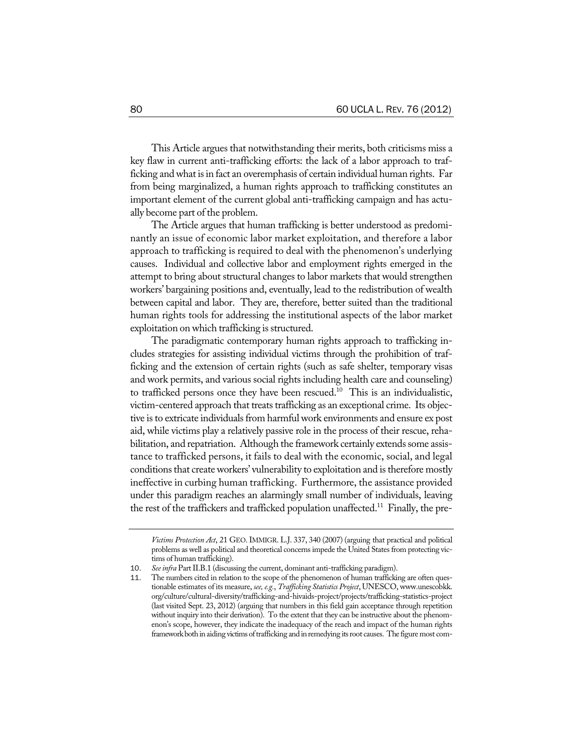This Article argues that notwithstanding their merits, both criticisms miss a key flaw in current anti-trafficking efforts: the lack of a labor approach to trafficking and what is in fact an overemphasis of certain individual human rights. Far from being marginalized, a human rights approach to trafficking constitutes an important element of the current global anti-trafficking campaign and has actually become part of the problem.

The Article argues that human trafficking is better understood as predominantly an issue of economic labor market exploitation, and therefore a labor approach to trafficking is required to deal with the phenomenon's underlying causes. Individual and collective labor and employment rights emerged in the attempt to bring about structural changes to labor markets that would strengthen workers' bargaining positions and, eventually, lead to the redistribution of wealth between capital and labor. They are, therefore, better suited than the traditional human rights tools for addressing the institutional aspects of the labor market exploitation on which trafficking is structured.

The paradigmatic contemporary human rights approach to trafficking includes strategies for assisting individual victims through the prohibition of trafficking and the extension of certain rights (such as safe shelter, temporary visas and work permits, and various social rights including health care and counseling) to trafficked persons once they have been rescued.<sup>10</sup> This is an individualistic, victim-centered approach that treats trafficking as an exceptional crime. Its objective is to extricate individuals from harmful work environments and ensure ex post aid, while victims play a relatively passive role in the process of their rescue, rehabilitation, and repatriation. Although the framework certainly extends some assistance to trafficked persons, it fails to deal with the economic, social, and legal conditions that create workers' vulnerability to exploitation and is therefore mostly ineffective in curbing human trafficking. Furthermore, the assistance provided under this paradigm reaches an alarmingly small number of individuals, leaving the rest of the traffickers and trafficked population unaffected.<sup>11</sup> Finally, the pre-

*Victims Protection Act*, 21 GEO. IMMIGR. L.J. 337, 340 (2007) (arguing that practical and political problems as well as political and theoretical concerns impede the United States from protecting victims of human trafficking).

<sup>10</sup>. *Seeinfra* PartII.B.1 (discussing the current, dominant anti-trafficking paradigm).

The numbers cited in relation to the scope of the phenomenon of human trafficking are often questionable estimates of its measure, *see, e.g., Trafficking Statistics Project*, UNESCO, www.unescobkk. org/culture/cultural-diversity/trafficking-and-hivaids-project/projects/trafficking-statistics-project (last visited Sept. 23, 2012) (arguing that numbers in this field gain acceptance through repetition without inquiry into their derivation). To the extent that they can be instructive about the phenomenon's scope, however, they indicate the inadequacy of the reach and impact of the human rights framework both in aiding victims of trafficking and in remedying its root causes. The figure most com-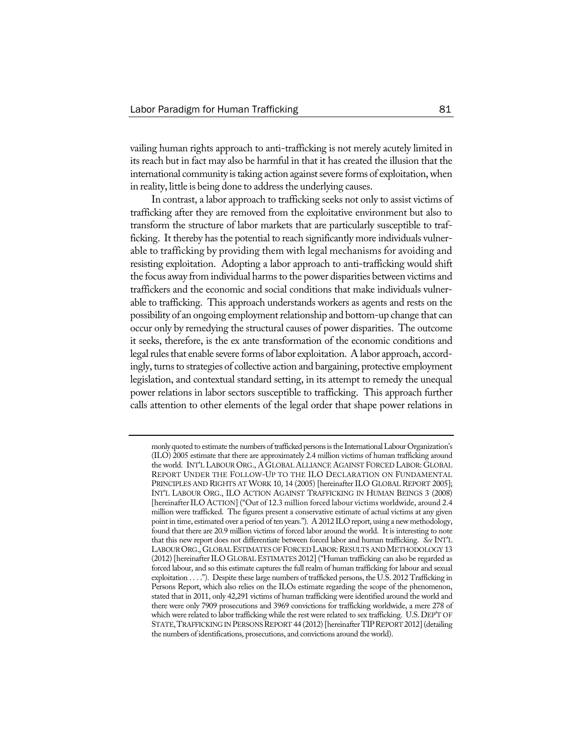vailing human rights approach to anti-trafficking is not merely acutely limited in its reach but in fact may also be harmful in that it has created the illusion that the international community is taking action against severe forms of exploitation, when in reality, little is being done to address the underlying causes.

In contrast, a labor approach to trafficking seeks not only to assist victims of trafficking after they are removed from the exploitative environment but also to transform the structure of labor markets that are particularly susceptible to trafficking. It thereby has the potential to reach significantly more individuals vulnerable to trafficking by providing them with legal mechanisms for avoiding and resisting exploitation. Adopting a labor approach to anti-trafficking would shift the focus away from individual harms to the power disparities between victims and traffickers and the economic and social conditions that make individuals vulnerable to trafficking. This approach understands workers as agents and rests on the possibility of an ongoing employment relationship and bottom-up change that can occur only by remedying the structural causes of power disparities. The outcome it seeks, therefore, is the ex ante transformation of the economic conditions and legal rules that enable severe forms of labor exploitation. A labor approach, accordingly, turns to strategies of collective action and bargaining, protective employment legislation, and contextual standard setting, in its attempt to remedy the unequal power relations in labor sectors susceptible to trafficking. This approach further calls attention to other elements of the legal order that shape power relations in

monly quoted to estimate the numbers of trafficked persons is the International Labour Organization's (ILO) 2005 estimate that there are approximately 2.4 million victims of human trafficking around the world. INT'L LABOUR ORG., A GLOBAL ALLIANCE AGAINST FORCED LABOR: GLOBAL REPORT UNDER THE FOLLOW-UP TO THE ILO DECLARATION ON FUNDAMENTAL PRINCIPLES AND RIGHTS AT WORK 10, 14 (2005) [hereinafter ILO GLOBAL REPORT 2005]; INT'L LABOUR ORG., ILO ACTION AGAINST TRAFFICKING IN HUMAN BEINGS 3 (2008) [hereinafterILO ACTION] ("Out of 12.3 million forced labour victims worldwide, around 2.4 million were trafficked. The figures present a conservative estimate of actual victims at any given point in time, estimated over a period of ten years."). A 2012 ILO report, using a new methodology, found that there are 20.9 million victims of forced labor around the world. It is interesting to note that this new report does not differentiate between forced labor and human trafficking. *See* INT'L LABOUR ORG., GLOBAL ESTIMATES OF FORCED LABOR: RESULTS AND METHODOLOGY 13 (2012) [hereinafterILO GLOBALESTIMATES 2012] ("Human trafficking can also be regarded as forced labour, and so this estimate captures the full realm of human trafficking for labour and sexual exploitation . . . ."). Despite these large numbers of trafficked persons, the U.S. 2012 Trafficking in Persons Report, which also relies on the ILOs estimate regarding the scope of the phenomenon, stated that in 2011, only 42,291 victims of human trafficking were identified around the world and there were only 7909 prosecutions and 3969 convictions for trafficking worldwide, a mere 278 of which were related to labor trafficking while the rest were related to sex trafficking. U.S. DEP'T OF STATE, TRAFFICKING IN PERSONS REPORT 44 (2012) [hereinafter TIP REPORT 2012] (detailing the numbers of identifications, prosecutions, and convictions around the world).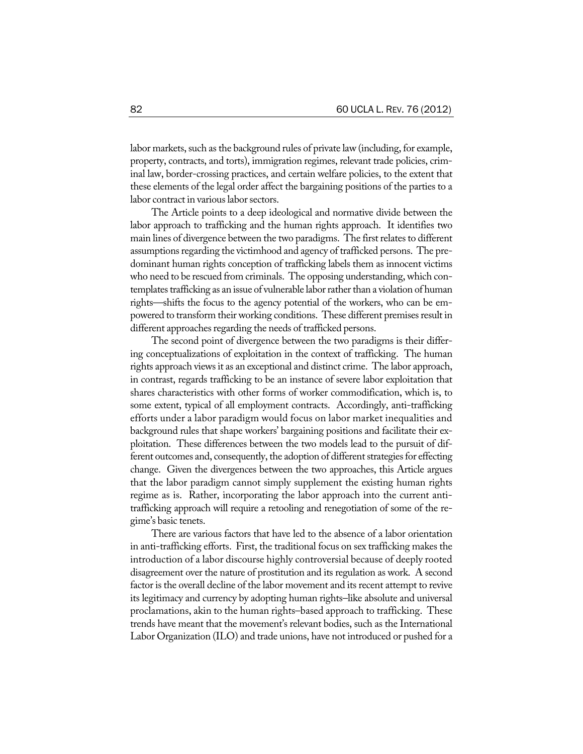labor markets, such as the background rules of private law (including, for example, property, contracts, and torts), immigration regimes, relevant trade policies, criminal law, border-crossing practices, and certain welfare policies, to the extent that these elements of the legal order affect the bargaining positions of the parties to a labor contract in various labor sectors.

The Article points to a deep ideological and normative divide between the labor approach to trafficking and the human rights approach. It identifies two main lines of divergence between the two paradigms. The first relates to different assumptions regarding the victimhood and agency of trafficked persons. The predominant human rights conception of trafficking labels them as innocent victims who need to be rescued from criminals. The opposing understanding, which contemplates trafficking as an issue of vulnerable labor rather than a violation of human rights—shifts the focus to the agency potential of the workers, who can be empowered to transform their working conditions. These different premises result in different approaches regarding the needs of trafficked persons.

The second point of divergence between the two paradigms is their differing conceptualizations of exploitation in the context of trafficking. The human rights approach views it as an exceptional and distinct crime. The labor approach, in contrast, regards trafficking to be an instance of severe labor exploitation that shares characteristics with other forms of worker commodification, which is, to some extent, typical of all employment contracts. Accordingly, anti-trafficking efforts under a labor paradigm would focus on labor market inequalities and background rules that shape workers' bargaining positions and facilitate their exploitation. These differences between the two models lead to the pursuit of different outcomes and, consequently, the adoption of different strategies for effecting change. Given the divergences between the two approaches, this Article argues that the labor paradigm cannot simply supplement the existing human rights regime as is. Rather, incorporating the labor approach into the current antitrafficking approach will require a retooling and renegotiation of some of the regime's basic tenets.

There are various factors that have led to the absence of a labor orientation in anti-trafficking efforts. First, the traditional focus on sex trafficking makes the introduction of a labor discourse highly controversial because of deeply rooted disagreement over the nature of prostitution and its regulation as work. A second factor is the overall decline of the labor movement and its recent attempt to revive its legitimacy and currency by adopting human rights–like absolute and universal proclamations, akin to the human rights–based approach to trafficking. These trends have meant that the movement's relevant bodies, such as the International Labor Organization (ILO) and trade unions, have not introduced or pushed for a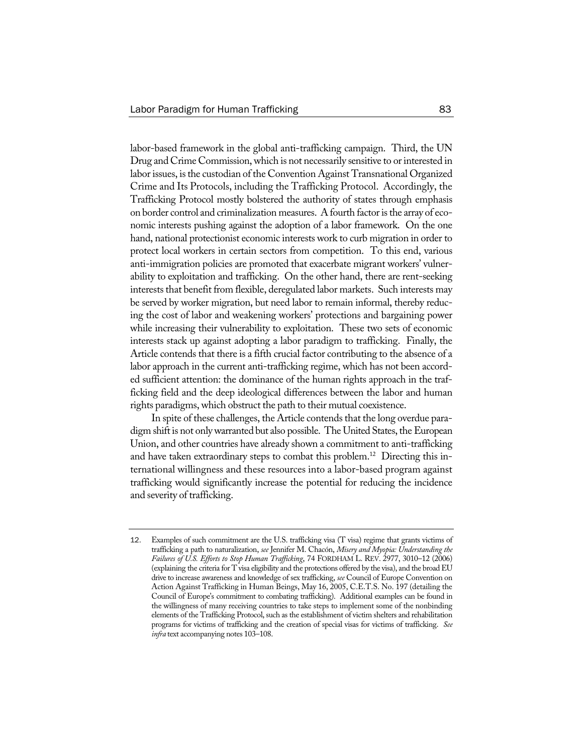labor-based framework in the global anti-trafficking campaign. Third, the UN Drug and Crime Commission, which is not necessarily sensitive to or interested in labor issues, is the custodian of the Convention Against Transnational Organized Crime and Its Protocols, including the Trafficking Protocol. Accordingly, the Trafficking Protocol mostly bolstered the authority of states through emphasis on border control and criminalization measures. A fourth factor is the array of economic interests pushing against the adoption of a labor framework. On the one hand, national protectionist economic interests work to curb migration in order to protect local workers in certain sectors from competition. To this end, various anti-immigration policies are promoted that exacerbate migrant workers' vulnerability to exploitation and trafficking. On the other hand, there are rent-seeking interests that benefit from flexible, deregulated labor markets. Such interests may be served by worker migration, but need labor to remain informal, thereby reducing the cost of labor and weakening workers' protections and bargaining power while increasing their vulnerability to exploitation. These two sets of economic interests stack up against adopting a labor paradigm to trafficking. Finally, the Article contends that there is a fifth crucial factor contributing to the absence of a labor approach in the current anti-trafficking regime, which has not been accorded sufficient attention: the dominance of the human rights approach in the trafficking field and the deep ideological differences between the labor and human rights paradigms, which obstruct the path to their mutual coexistence.

In spite of these challenges, the Article contends that the long overdue paradigm shift is not only warranted but also possible. The United States, the European Union, and other countries have already shown a commitment to anti-trafficking and have taken extraordinary steps to combat this problem.<sup>12</sup> Directing this international willingness and these resources into a labor-based program against trafficking would significantly increase the potential for reducing the incidence and severity of trafficking.

<sup>12</sup>. Examples of such commitment are the U.S. trafficking visa (T visa) regime that grants victims of trafficking a path to naturalization, *see* Jennifer M. Chacón, *Misery and Myopia: Understanding the Failures of U.S. Efforts to Stop Human Trafficking*, 74 FORDHAM L. REV. 2977, 3010–12 (2006) (explaining the criteria for T visa eligibility and the protections offered by the visa), and the broadEU drive to increase awareness and knowledge of sex trafficking, *see* Council of Europe Convention on Action Against Trafficking in Human Beings, May 16, 2005, C.E.T.S. No. 197 (detailing the Council of Europe's commitment to combating trafficking). Additional examples can be found in the willingness of many receiving countries to take steps to implement some of the nonbinding elements of the Trafficking Protocol, such as the establishment of victim shelters and rehabilitation programs for victims of trafficking and the creation of special visas for victims of trafficking. *See infra* text accompanying notes 103–108.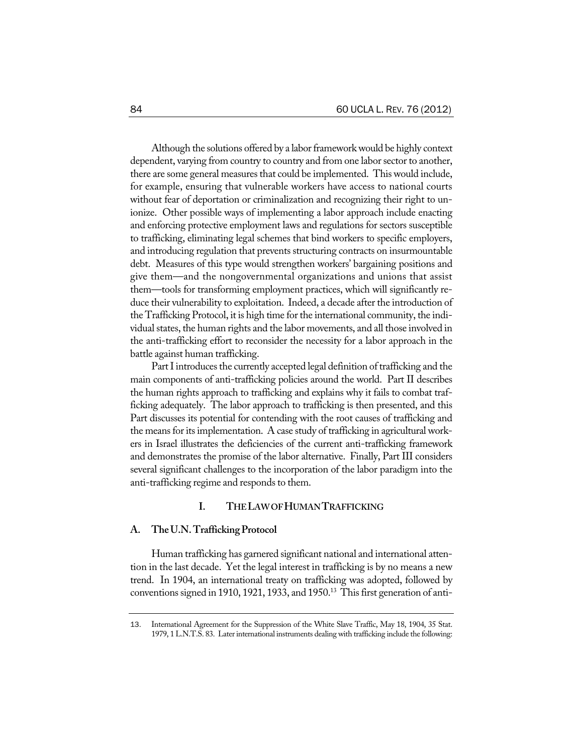Although the solutions offered by a labor framework would be highly context dependent, varying from country to country and from one labor sector to another, there are some general measures that could be implemented. This would include, for example, ensuring that vulnerable workers have access to national courts without fear of deportation or criminalization and recognizing their right to unionize. Other possible ways of implementing a labor approach include enacting and enforcing protective employment laws and regulations for sectors susceptible to trafficking, eliminating legal schemes that bind workers to specific employers, and introducing regulation that prevents structuring contracts on insurmountable debt. Measures of this type would strengthen workers' bargaining positions and give them—and the nongovernmental organizations and unions that assist them—tools for transforming employment practices, which will significantly reduce their vulnerability to exploitation. Indeed, a decade after the introduction of the Trafficking Protocol, it is high time for the international community, the individual states, the human rights and the labor movements, and all those involved in the anti-trafficking effort to reconsider the necessity for a labor approach in the battle against human trafficking.

Part I introduces the currently accepted legal definition of trafficking and the main components of anti-trafficking policies around the world. Part II describes the human rights approach to trafficking and explains why it fails to combat trafficking adequately. The labor approach to trafficking is then presented, and this Part discusses its potential for contending with the root causes of trafficking and the means for its implementation. A case study of trafficking in agricultural workers in Israel illustrates the deficiencies of the current anti-trafficking framework and demonstrates the promise of the labor alternative. Finally, Part III considers several significant challenges to the incorporation of the labor paradigm into the anti-trafficking regime and responds to them.

## **I. THELAWOFHUMANTRAFFICKING**

#### A. The U.N. Trafficking Protocol

Human trafficking has garnered significant national and international attention in the last decade. Yet the legal interest in trafficking is by no means a new trend. In 1904, an international treaty on trafficking was adopted, followed by conventions signed in 1910, 1921, 1933, and 1950.<sup>13</sup> This first generation of anti-

<sup>13</sup>. International Agreement for the Suppression of the White Slave Traffic, May 18, 1904, 35 Stat. 1979, 1 L.N.T.S. 83. Later international instruments dealing with trafficking include the following: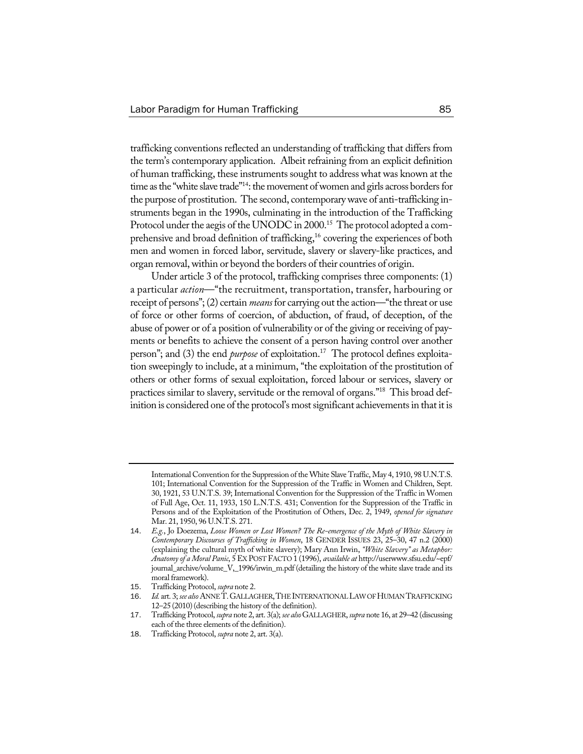trafficking conventions reflected an understanding of trafficking that differs from the term's contemporary application. Albeit refraining from an explicit definition of human trafficking, these instruments sought to address what was known at the time as the "white slave trade"<sup>14</sup>: the movement of women and girls across borders for the purpose of prostitution. The second, contemporarywave of anti-trafficking instruments began in the 1990s, culminating in the introduction of the Trafficking Protocol under the aegis of the UNODC in 2000.<sup>15</sup> The protocol adopted a comprehensive and broad definition of trafficking,<sup>16</sup> covering the experiences of both men and women in forced labor, servitude, slavery or slavery-like practices, and organ removal, within or beyond the borders of their countries of origin.

Under article 3 of the protocol, trafficking comprises three components: (1) a particular *action*—"the recruitment, transportation, transfer, harbouring or receipt of persons";(2) certain *means* for carrying out the action—"the threat or use of force or other forms of coercion, of abduction, of fraud, of deception, of the abuse of power or of a position of vulnerability or of the giving or receiving of payments or benefits to achieve the consent of a person having control over another person"; and (3) the end *purpose* of exploitation.<sup>17</sup> The protocol defines exploitation sweepingly to include, at a minimum, "the exploitation of the prostitution of others or other forms of sexual exploitation, forced labour or services, slavery or practices similar to slavery, servitude or the removal of organs."18 This broad definition is considered one of the protocol's most significant achievements in that it is

International Convention forthe Suppression of theWhite Slave Traffic, May 4, 1910, 98 U.N.T.S. 101; International Convention for the Suppression of the Traffic in Women and Children, Sept. 30, 1921, 53 U.N.T.S. 39; International Convention for the Suppression of the Traffic in Women of Full Age, Oct. 11, 1933, 150 L.N.T.S. 431; Convention for the Suppression of the Traffic in Persons and of the Exploitation of the Prostitution of Others, Dec. 2, 1949, *opened for signature* Mar. 21, 1950, 96 U.N.T.S. 271.

<sup>14</sup>. *E.g.*, Jo Doezema, *Loose Women or Lost Women? The Re-emergence of the Myth of White Slavery in Contemporary Discourses of Trafficking in Women*, 18 GENDER ISSUES 23, 25–30, 47 n.2 (2000) (explaining the cultural myth of white slavery); Mary Ann Irwin, *"White Slavery" as Metaphor: Anatomy of a Moral Panic*, 5EX POST FACTO 1 (1996), *available at* http://userwww.sfsu.edu/~epf/ journal\_archive/volume\_V,\_1996/irwin\_m.pdf (detailing the history of the white slave trade and its moral framework).

<sup>15</sup>. Trafficking Protocol, *supra* note 2.

<sup>16</sup>. *Id.* art. 3; *see also* ANNET.GALLAGHER,THEINTERNATIONALLAWOFHUMANTRAFFICKING 12–25 (2010)(describing the history of the definition).

<sup>17</sup>. Trafficking Protocol, *supra* note 2, art. 3(a); *see also*GALLAGHER, *supra* note 16, at 29–42 (discussing each of the three elements of the definition).

<sup>18</sup>. Trafficking Protocol, *supra* note 2, art. 3(a).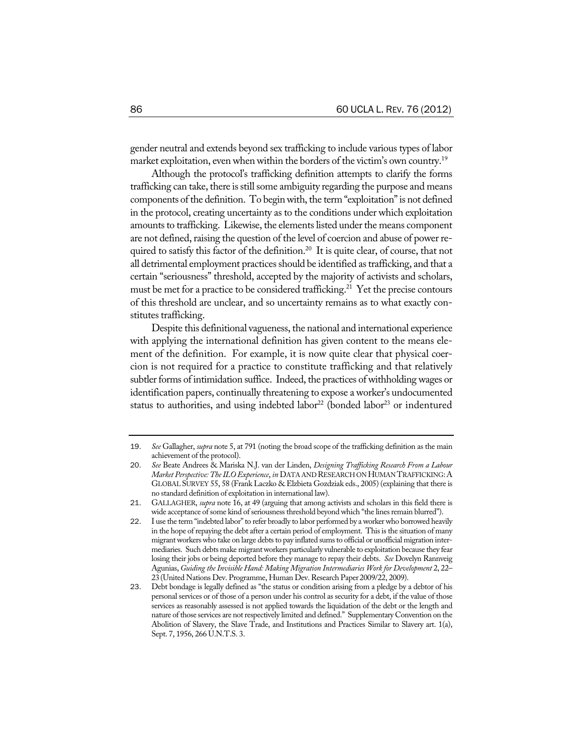gender neutral and extends beyond sex trafficking to include various types of labor market exploitation, even when within the borders of the victim's own country.<sup>19</sup>

Although the protocol's trafficking definition attempts to clarify the forms trafficking can take, there is still some ambiguity regarding the purpose and means components of the definition. To begin with, the term "exploitation" is not defined in the protocol, creating uncertainty as to the conditions under which exploitation amounts to trafficking. Likewise, the elements listed under the means component are not defined, raising the question of the level of coercion and abuse of power required to satisfy this factor of the definition.<sup>20</sup> It is quite clear, of course, that not all detrimental employment practices should be identified as trafficking, and that a certain "seriousness" threshold, accepted by the majority of activists and scholars, must be met for a practice to be considered trafficking.<sup>21</sup> Yet the precise contours of this threshold are unclear, and so uncertainty remains as to what exactly constitutes trafficking.

Despite this definitional vagueness, the national and international experience with applying the international definition has given content to the means element of the definition. For example, it is now quite clear that physical coercion is not required for a practice to constitute trafficking and that relatively subtler forms of intimidation suffice. Indeed, the practices of withholding wages or identification papers, continually threatening to expose a worker's undocumented status to authorities, and using indebted labor<sup>22</sup> (bonded labor<sup>23</sup> or indentured

<sup>19</sup>. *See* Gallagher, *supra* note 5, at 791 (noting the broad scope of the trafficking definition as the main achievement of the protocol).

<sup>20</sup>. *See* Beate Andrees & Mariska N.J. van der Linden, *Designing Trafficking Research From a Labour Market Perspective: The ILO Experience, in DATA AND RESEARCH ON HUMAN TRAFFICKING: A* GLOBAL SURVEY 55, 58 (Frank Laczko & Elzbieta Gozdziak eds., 2005) (explaining that there is no standard definition of exploitation in international law).

<sup>21</sup>. GALLAGHER, *supra* note 16, at 49 (arguing that among activists and scholars in this field there is wide acceptance of some kind of seriousness threshold beyond which "the lines remain blurred").

<sup>22</sup>. I use the term "indebted labor"to refer broadly to labor performed by aworkerwho borrowed heavily in the hope of repaying the debt after a certain period of employment. This is the situation of many migrant workers who take on large debts to pay inflated sums to official or unofficial migration intermediaries. Such debts make migrant workers particularly vulnerable to exploitation because they fear losing their jobs or being deported before they manage to repay their debts. *See* Dovelyn Rannveig Agunias, *Guiding the Invisible Hand: Making Migration Intermediaries Work for Development* 2, 22– 23 (United Nations Dev. Programme, Human Dev. Research Paper2009/22, 2009).

<sup>23</sup>. Debt bondage is legally defined as "the status or condition arising from a pledge by a debtor of his personal services or of those of a person under his control as security for a debt, if the value of those services as reasonably assessed is not applied towards the liquidation of the debt or the length and nature of those services are notrespectively limited and defined." Supplementary Convention on the Abolition of Slavery, the Slave Trade, and Institutions and Practices Similar to Slavery art. 1(a), Sept. 7, 1956, 266 U.N.T.S. 3.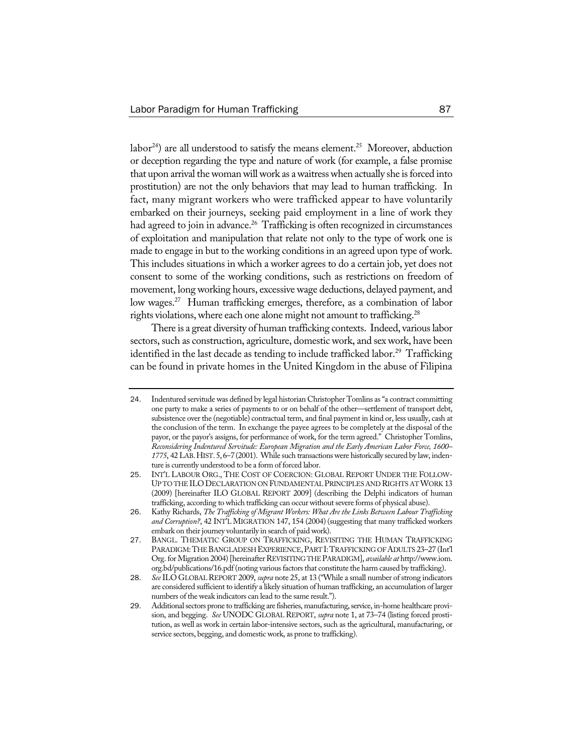labor<sup>24</sup>) are all understood to satisfy the means element.<sup>25</sup> Moreover, abduction or deception regarding the type and nature of work (for example, a false promise that upon arrival the woman will work as a waitress when actually she is forced into prostitution) are not the only behaviors that may lead to human trafficking. In fact, many migrant workers who were trafficked appear to have voluntarily embarked on their journeys, seeking paid employment in a line of work they had agreed to join in advance.<sup>26</sup> Trafficking is often recognized in circumstances of exploitation and manipulation that relate not only to the type of work one is made to engage in but to the working conditions in an agreed upon type of work. This includes situations in which a worker agrees to do a certain job, yet does not consent to some of the working conditions, such as restrictions on freedom of movement, long working hours, excessive wage deductions, delayed payment, and low wages.<sup>27</sup> Human trafficking emerges, therefore, as a combination of labor rights violations, where each one alone might not amount to trafficking.<sup>28</sup>

There is a great diversity of human trafficking contexts. Indeed, various labor sectors, such as construction, agriculture, domestic work, and sex work, have been identified in the last decade as tending to include trafficked labor.<sup>29</sup> Trafficking can be found in private homes in the United Kingdom in the abuse of Filipina

<sup>24</sup>. Indentured servitude was defined by legal historian Christopher Tomlins as"a contract committing one party to make a series of payments to or on behalf of the other—settlement of transport debt, subsistence over the (negotiable) contractual term, and final payment in kind or, less usually, cash at the conclusion of the term. In exchange the payee agrees to be completely at the disposal of the payor, or the payor's assigns, for performance of work, for the term agreed." Christopher Tomlins, *Reconsidering Indentured Servitude: European Migration and the Early American Labor Force, 1600– 1775*, 42LAB.HIST.5,6–7(2001). While such transactionswere historically secured by law, indenture is currently understood to be a form of forced labor.

<sup>25</sup>. INT'L LABOUR ORG., THE COST OF COERCION: GLOBAL REPORT UNDER THE FOLLOW-UP TO THE ILO DECLARATION ON FUNDAMENTAL PRINCIPLES AND RIGHTS ATWORK 13 (2009) [hereinafter ILO GLOBAL REPORT 2009] (describing the Delphi indicators of human trafficking, according to which trafficking can occur without severe forms of physical abuse).

<sup>26</sup>. Kathy Richards, *The Trafficking of Migrant Workers: What Are the Links Between Labour Trafficking and Corruption?*, 42 INT'L MIGRATION 147, 154 (2004) (suggesting that many trafficked workers embark on their journey voluntarily in search of paid work).

<sup>27</sup>. BANGL. THEMATIC GROUP ON TRAFFICKING, REVISITING THE HUMAN TRAFFICKING PARADIGM: THE BANGLADESH EXPERIENCE, PART I: TRAFFICKING OF ADULTS 23-27 (Int'l Org. forMigration 2004)[hereinafterREVISITING THEPARADIGM], *available at* http://www.iom. org.bd/publications/16.pdf (noting various factors that constitute the harm caused by trafficking).

<sup>28</sup>. *See* ILO GLOBALREPORT 2009, *supra* note 25, at 13 ("While a small number of strong indicators are considered sufficient to identify a likely situation of human trafficking, an accumulation of larger numbers of the weak indicators can lead to the same result.").

<sup>29.</sup> Additional sectors prone to trafficking are fisheries, manufacturing, service, in-home healthcare provision, and begging. *See* UNODC GLOBAL REPORT, *supra* note 1, at 73-74 (listing forced prostitution, as well as work in certain labor-intensive sectors, such as the agricultural, manufacturing, or service sectors, begging, and domestic work, as prone to trafficking).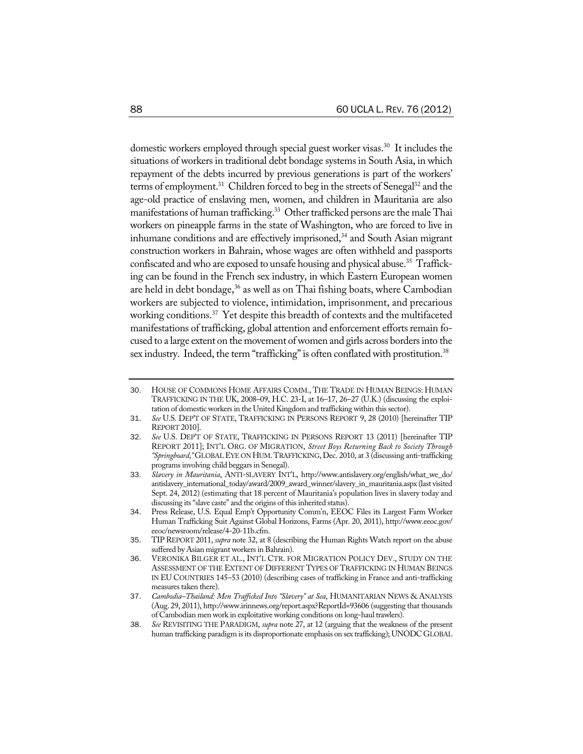domestic workers employed through special guest worker visas.<sup>30</sup> It includes the situations of workers in traditional debt bondage systems in South Asia, in which repayment of the debts incurred by previous generations is part of the workers' terms of employment.<sup>31</sup> Children forced to beg in the streets of Senegal<sup>32</sup> and the age-old practice of enslaving men, women, and children in Mauritania are also manifestations of human trafficking.<sup>33</sup> Other trafficked persons are the male Thai workers on pineapple farms in the state of Washington, who are forced to live in inhumane conditions and are effectively imprisoned,<sup>34</sup> and South Asian migrant construction workers in Bahrain, whose wages are often withheld and passports confiscated and who are exposed to unsafe housing and physical abuse.<sup>35</sup> Trafficking can be found in the French sex industry, in which Eastern European women are held in debt bondage, $36$  as well as on Thai fishing boats, where Cambodian workers are subjected to violence, intimidation, imprisonment, and precarious working conditions.<sup>37</sup> Yet despite this breadth of contexts and the multifaceted manifestations of trafficking, global attention and enforcement efforts remain focused to a large extent on the movement of women and girls across borders into the sex industry. Indeed, the term "trafficking" is often conflated with prostitution.<sup>38</sup>

<sup>30</sup>. HOUSE OF COMMONS HOME AFFAIRS COMM., THE TRADE IN HUMAN BEINGS: HUMAN TRAFFICKING IN THE UK, 2008–09, H.C. 23-I, at 16–17, 26–27 (U.K.) (discussing the exploitation of domestic workers in the United Kingdom and trafficking within this sector).

<sup>31</sup>. *See* U.S. DEP'T OF STATE, TRAFFICKING IN PERSONS REPORT 9, 28 (2010) [hereinafter TIP REPORT 2010].

<sup>32</sup>. *See* U.S. DEP'T OF STATE, TRAFFICKING IN PERSONS REPORT 13 (2011) [hereinafter TIP REPORT 2011]; INT'L ORG. OF MIGRATION, *Street Boys Returning Back to Society Through "Springboard*,*"* GLOBALEYE ON HUM.TRAFFICKING, Dec. 2010, at 3 (discussing anti-trafficking programs involving child beggars in Senegal).

<sup>33</sup>. *Slavery in Mauritania*, ANTI-SLAVERY INT'L, http://www.antislavery.org/english/what\_we\_do/ antislavery\_international\_today/award/2009\_award\_winner/slavery\_in\_mauritania.aspx (last visited Sept. 24, 2012) (estimating that 18 percent of Mauritania's population lives in slavery today and discussing its"slave caste" and the origins of this inherited status).

<sup>34</sup>. Press Release, U.S. Equal Emp't Opportunity Comm'n, EEOC Files its Largest Farm Worker Human Trafficking Suit Against Global Horizons, Farms (Apr. 20, 2011), http://www.eeoc.gov/ eeoc/newsroom/release/4-20-11b.cfm.

<sup>35</sup>. TIP REPORT 2011, *supra* note 32, at 8 (describing the Human Rights Watch report on the abuse suffered by Asian migrant workers in Bahrain).

<sup>36</sup>. VERONIKA BILGER ET AL., INT'L CTR. FOR MIGRATION POLICY DEV., STUDY ON THE ASSESSMENT OF THE EXTENT OF DIFFERENT TYPES OF TRAFFICKING IN HUMAN BEINGS IN EU COUNTRIES 145–53 (2010) (describing cases of trafficking in France and anti-trafficking measures taken there).

<sup>37</sup>. *Cambodia–Thailand: Men Trafficked Into "Slavery" at Sea*, HUMANITARIAN NEWS & ANALYSIS (Aug. 29, 2011), http://www.irinnews.org/report.aspx?ReportId=93606 (suggesting that thousands of Cambodian men work in exploitative working conditions on long-haul trawlers).

<sup>38</sup>. *See* REVISITING THE PARADIGM, *supra* note 27, at 12 (arguing that the weakness of the present human trafficking paradigm is its disproportionate emphasis on sex trafficking); UNODC GLOBAL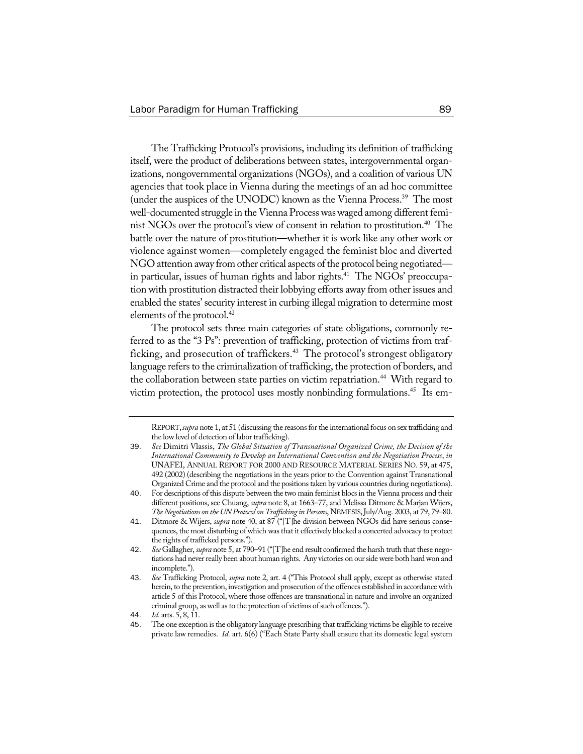The Trafficking Protocol's provisions, including its definition of trafficking itself, were the product of deliberations between states, intergovernmental organizations, nongovernmental organizations (NGOs), and a coalition of various UN agencies that took place in Vienna during the meetings of an ad hoc committee (under the auspices of the UNODC) known as the Vienna Process.39 The most well-documented struggle in the Vienna Processwaswaged among different feminist NGOs over the protocol's view of consent in relation to prostitution.<sup>40</sup> The battle over the nature of prostitution—whether it is work like any other work or violence against women—completely engaged the feminist bloc and diverted NGO attention away from other critical aspects of the protocol being negotiated in particular, issues of human rights and labor rights.<sup>41</sup> The NGOs' preoccupation with prostitution distracted their lobbying efforts away from other issues and enabled the states' security interest in curbing illegal migration to determine most elements of the protocol.<sup>42</sup>

The protocol sets three main categories of state obligations, commonly referred to as the "3 Ps": prevention of trafficking, protection of victims from trafficking, and prosecution of traffickers.<sup>43</sup> The protocol's strongest obligatory language refers to the criminalization of trafficking, the protection of borders, and the collaboration between state parties on victim repatriation.<sup>44</sup> With regard to victim protection, the protocol uses mostly nonbinding formulations.<sup>45</sup> Its em-

REPORT,*supra* note 1, at 51 (discussing the reasonsforthe international focus on sex trafficking and the low level of detection of labor trafficking).

<sup>39</sup>. *See* Dimitri Vlassis, *The Global Situation of Transnational Organized Crime, the Decision of the International Community to Develop an International Convention and the Negotiation Process*, *in* UNAFEI, ANNUAL REPORT FOR 2000 AND RESOURCE MATERIAL SERIES NO. 59, at 475, 492 (2002) (describing the negotiations in the years prior to the Convention against Transnational Organized Crime and the protocol and the positionstaken by various countries during negotiations).

<sup>40</sup>. For descriptions of this dispute between the two main feminist blocsin the Vienna process and their different positions, see Chuang, *supra* note 8, at 1663–77, and Melissa Ditmore & Marjan Wijers, *TheNegotiationson the UNProtocolonTrafficking inPersons*, NEMESIS,July/Aug. 2003, at 79, 79–80.

<sup>41</sup>. Ditmore & Wijers, *supra* note 40, at 87 ("[T]he division between NGOs did have serious consequences, the most disturbing ofwhich was that it effectively blocked a concerted advocacy to protect the rights of trafficked persons.").

<sup>42</sup>. *See* Gallagher, *supra* note 5, at 790–91 ("[T]he end result confirmed the harsh truth that these negotiations had never really been about human rights. Any victories on our side were both hard won and incomplete.").

<sup>43</sup>. *See* Trafficking Protocol, *supra* note 2, art. 4 ("This Protocol shall apply, except as otherwise stated herein, to the prevention, investigation and prosecution of the offences established in accordance with article 5 of this Protocol, where those offences are transnational in nature and involve an organized criminal group, as well as to the protection of victims of such offences.").

<sup>44</sup>. *Id.* arts. 5, 8, 11.

<sup>45.</sup> The one exception is the obligatory language prescribing that trafficking victims be eligible to receive private law remedies. *Id.* art. 6(6) ("Each State Party shall ensure that its domestic legal system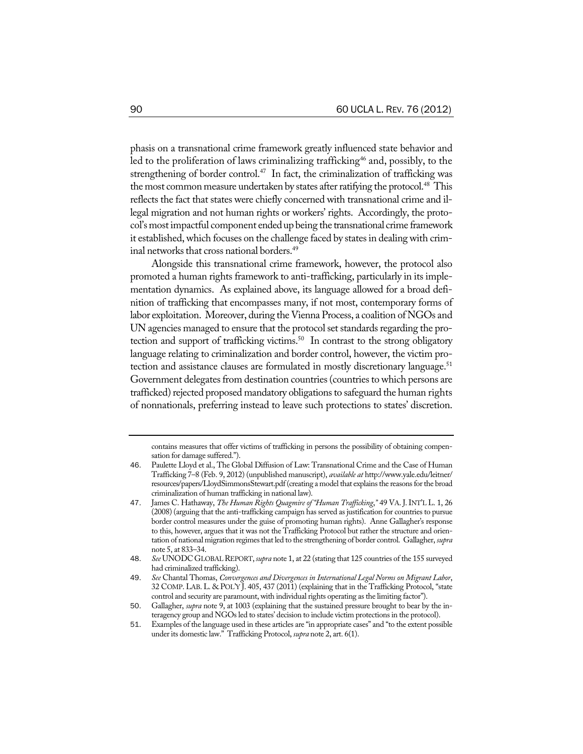phasis on a transnational crime framework greatly influenced state behavior and led to the proliferation of laws criminalizing trafficking<sup>46</sup> and, possibly, to the strengthening of border control.<sup>47</sup> In fact, the criminalization of trafficking was the most common measure undertaken by states after ratifying the protocol.<sup>48</sup> This reflects the fact that states were chiefly concerned with transnational crime and illegal migration and not human rights or workers' rights. Accordingly, the protocol's most impactful component ended up being the transnational crime framework it established, which focuses on the challenge faced by states in dealing with criminal networks that cross national borders.<sup>49</sup>

Alongside this transnational crime framework, however, the protocol also promoted a human rights framework to anti-trafficking, particularly in its implementation dynamics. As explained above, its language allowed for a broad definition of trafficking that encompasses many, if not most, contemporary forms of labor exploitation. Moreover, during the Vienna Process, a coalition of NGOs and UN agencies managed to ensure that the protocol set standards regarding the protection and support of trafficking victims.<sup>50</sup> In contrast to the strong obligatory language relating to criminalization and border control, however, the victim protection and assistance clauses are formulated in mostly discretionary language.<sup>51</sup> Government delegates from destination countries (countries to which persons are trafficked) rejected proposed mandatory obligations to safeguard the human rights of nonnationals, preferring instead to leave such protections to states' discretion.

contains measures that offer victims of trafficking in persons the possibility of obtaining compensation for damage suffered.").

<sup>46</sup>. Paulette Lloyd et al., The Global Diffusion of Law: Transnational Crime and the Case of Human Trafficking 7–8 (Feb. 9, 2012) (unpublished manuscript), *available at* http://www.yale.edu/leitner/ resources/papers/LloydSimmonsStewart.pdf(creating a model that explainsthe reasonsforthe broad criminalization of human trafficking in national law).

<sup>47</sup>. James C. Hathaway, *The Human Rights Quagmireof "Human Trafficking*,*"* 49 VA. J.INT'L L. 1, 26 (2008) (arguing that the anti-trafficking campaign has served as justification for countries to pursue border control measures under the guise of promoting human rights). Anne Gallagher's response to this, however, argues that it was not the Trafficking Protocol but rather the structure and orientation of national migration regimes that led to the strengthening of border control. Gallagher, *supra* note 5, at 833–34.

<sup>48</sup>. *See* UNODCGLOBALREPORT,*supra* note 1, at 22 (stating that 125 countries of the 155 surveyed had criminalized trafficking).

<sup>49</sup>. *See* Chantal Thomas, *Convergences and Divergences in International Legal Norms on Migrant Labor*, 32 COMP. LAB. L. & POL'Y J. 405, 437 (2011) (explaining that in the Trafficking Protocol, "state control and security are paramount, with individual rights operating as the limiting factor").

<sup>50</sup>. Gallagher, *supra* note 9, at 1003 (explaining that the sustained pressure brought to bear by the interagency group and NGOs led to states' decision to include victim protections in the protocol).

<sup>51</sup>. Examples of the language used in these articles are "in appropriate cases" and "to the extent possible under its domestic law." Trafficking Protocol, *supra* note 2, art. 6(1).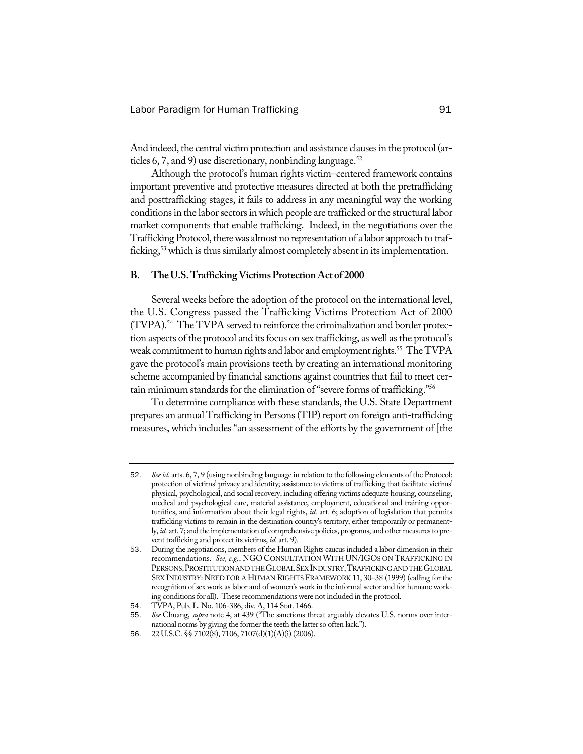And indeed, the central victim protection and assistance clauses in the protocol (articles 6, 7, and 9) use discretionary, nonbinding language.<sup>52</sup>

Although the protocol's human rights victim–centered framework contains important preventive and protective measures directed at both the pretrafficking and posttrafficking stages, it fails to address in any meaningful way the working conditions in the labor sectors in which people are trafficked or the structural labor market components that enable trafficking. Indeed, in the negotiations over the Trafficking Protocol, there was almost no representation of a labor approach to trafficking,<sup>53</sup> which is thus similarly almost completely absent in its implementation.

#### **B. TheU.S.TraffickingVictimsProtectionAct of 2000**

Several weeks before the adoption of the protocol on the international level, the U.S. Congress passed the Trafficking Victims Protection Act of 2000 (TVPA).54 The TVPA served to reinforce the criminalization and border protection aspects of the protocol and its focus on sex trafficking, as well as the protocol's weak commitment to human rights and labor and employment rights.<sup>55</sup> The TVPA gave the protocol's main provisions teeth by creating an international monitoring scheme accompanied by financial sanctions against countries that fail to meet certain minimum standards for the elimination of "severe forms of trafficking."<sup>56</sup>

To determine compliance with these standards, the U.S. State Department prepares an annual Trafficking in Persons (TIP) report on foreign anti-trafficking measures, which includes "an assessment of the efforts by the government of [the

<sup>52</sup>. *Seeid.* arts. 6, 7, 9 (using nonbinding language in relation to the following elements of the Protocol: protection of victims' privacy and identity; assistance to victims of trafficking that facilitate victims' physical, psychological, and social recovery, including offering victims adequate housing, counseling, medical and psychological care, material assistance, employment, educational and training opportunities, and information about their legal rights, *id.* art. 6; adoption of legislation that permits trafficking victims to remain in the destination country's territory, either temporarily or permanently, *id.* art. 7; and the implementation of comprehensive policies, programs, and other measures to prevent trafficking and protect its victims, *id.* art. 9).

<sup>53</sup>. During the negotiations, members of the Human Rights caucus included a labor dimension in their recommendations. *See, e.g.*, NGO CONSULTATION WITH UN/IGOS ON TRAFFICKING IN PERSONS,PROSTITUTIONANDTHEGLOBALSEXINDUSTRY,TRAFFICKINGANDTHEGLOBAL SEX INDUSTRY: NEED FOR A HUMAN RIGHTS FRAMEWORK 11, 30–38 (1999) (calling for the recognition of sex work as labor and of women's work in the informal sector and for humane working conditions for all). These recommendations were not included in the protocol.

<sup>54</sup>. TVPA, Pub. L. No. 106-386, div. A, 114 Stat. 1466.

<sup>55</sup>. *See* Chuang, *supra* note 4, at 439 ("The sanctions threat arguably elevates U.S. norms over international norms by giving the former the teeth the latter so often lack.").

<sup>56</sup>. 22 U.S.C. §§ 7102(8), 7106, 7107(d)(1)(A)(i) (2006).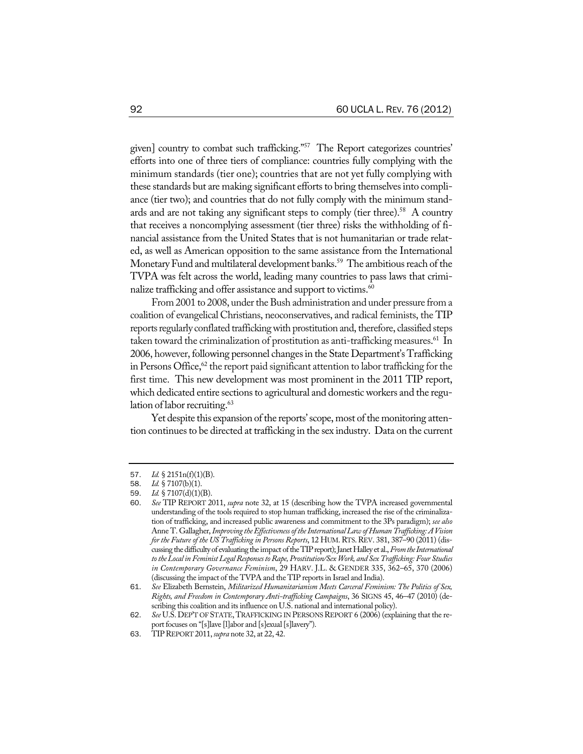given] country to combat such trafficking."57 The Report categorizes countries' efforts into one of three tiers of compliance: countries fully complying with the minimum standards (tier one); countries that are not yet fully complying with these standards but are making significant efforts to bring themselves into compliance (tier two); and countries that do not fully comply with the minimum standards and are not taking any significant steps to comply (tier three).<sup>58</sup> A country that receives a noncomplying assessment (tier three) risks the withholding of financial assistance from the United States that is not humanitarian or trade related, as well as American opposition to the same assistance from the International Monetary Fund and multilateral development banks.<sup>59</sup> The ambitious reach of the TVPA was felt across the world, leading many countries to pass laws that criminalize trafficking and offer assistance and support to victims.<sup>60</sup>

From 2001 to 2008, under the Bush administration and under pressure from a coalition of evangelical Christians, neoconservatives, and radical feminists, the TIP reports regularly conflated trafficking with prostitution and, therefore, classified steps taken toward the criminalization of prostitution as anti-trafficking measures. 61 In 2006, however, following personnel changes in the State Department's Trafficking in Persons Office, $62$  the report paid significant attention to labor trafficking for the first time. This new development was most prominent in the 2011 TIP report, which dedicated entire sections to agricultural and domestic workers and the regulation of labor recruiting. $63$ 

Yet despite this expansion of the reports'scope, most of the monitoring attention continues to be directed at trafficking in the sex industry. Data on the current

<sup>57</sup>. *Id.* § 2151n(f)(1)(B).

<sup>58</sup>. *Id.* § 7107(b)(1).

<sup>59</sup>. *Id.* § 7107(d)(1)(B).

<sup>60</sup>. *See* TIP REPORT 2011, *supra* note 32, at 15 (describing how the TVPA increased governmental understanding of the tools required to stop human trafficking, increased the rise of the criminalization of trafficking, and increased public awareness and commitment to the 3Ps paradigm); *see also* Anne T. Gallagher,*Improving theEffectivenessoftheInternationalLaw ofHumanTrafficking:AVision forthe Futureof the US Trafficking in Persons Reports*, 12 HUM.RTS.REV. 381, 387–90 (2011) (discussing the difficulty of evaluating the impact of the TIP report); Janet Halley et al., From the International *totheLocal inFeministLegalResponsestoRape,Prostitution/Sex Work, and SexTrafficking: Four Studies in Contemporary Governance Feminism*, 29 HARV. J.L. & GENDER 335, 362–65, 370 (2006) (discussing the impact of the TVPA and the TIP reports in Israel and India).

<sup>61</sup>. *See* Elizabeth Bernstein, *Militarized Humanitarianism Meets Carceral Feminism: The Politics of Sex, Rights, and Freedom in Contemporary Anti-trafficking Campaigns*, 36 SIGNS 45, 46–47 (2010) (describing this coalition and its influence on U.S. national and international policy).

<sup>62</sup>. *See* U.S. DEP'T OF STATE, TRAFFICKING IN PERSONSREPORT 6 (2006) (explaining that the report focuses on "[s]lave [l]abor and [s]exual [s]lavery").

<sup>63</sup>. TIPREPORT 2011,*supra* note 32, at 22, 42.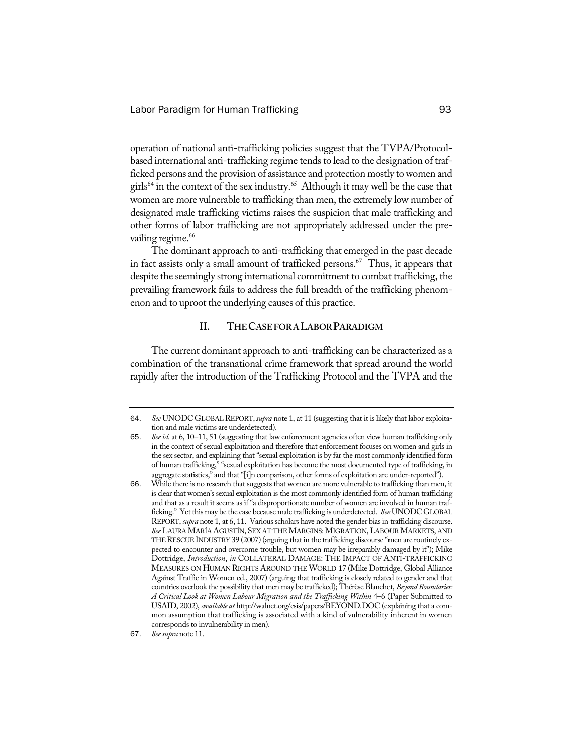operation of national anti-trafficking policies suggest that the TVPA/Protocolbased international anti-trafficking regime tends to lead to the designation of trafficked persons and the provision of assistance and protection mostly to women and girls<sup>64</sup> in the context of the sex industry.<sup>65</sup> Although it may well be the case that women are more vulnerable to trafficking than men, the extremely low number of designated male trafficking victims raises the suspicion that male trafficking and other forms of labor trafficking are not appropriately addressed under the prevailing regime.<sup>66</sup>

The dominant approach to anti-trafficking that emerged in the past decade in fact assists only a small amount of trafficked persons.<sup>67</sup> Thus, it appears that despite the seemingly strong international commitment to combat trafficking, the prevailing framework fails to address the full breadth of the trafficking phenomenon and to uproot the underlying causes of this practice.

# **II. THECASEFORALABORPARADIGM**

The current dominant approach to anti-trafficking can be characterized as a combination of the transnational crime framework that spread around the world rapidly after the introduction of the Trafficking Protocol and the TVPA and the

<sup>64.</sup> See UNODC GLOBAL REPORT, *supra* note 1, at 11 (suggesting that it is likely that labor exploitation and male victims are underdetected).

<sup>65</sup>. *Seeid.* at 6, 10–11, 51 (suggesting that law enforcement agencies often view human trafficking only in the context of sexual exploitation and therefore that enforcement focuses on women and girls in the sex sector, and explaining that "sexual exploitation is by far the most commonly identified form of human trafficking," "sexual exploitation has become the most documented type of trafficking, in aggregate statistics," and that "[i]n comparison, other forms of exploitation are under-reported").

<sup>66</sup>. While there is no research that suggests that women are more vulnerable to trafficking than men, it is clear that women's sexual exploitation is the most commonly identified form of human trafficking and that as a result it seems as if "a disproportionate number of women are involved in human trafficking." Yet this may be the case because male trafficking is underdetected. *See* UNODC GLOBAL REPORT, *supra* note 1, at 6, 11. Various scholars have noted the gender bias in trafficking discourse. **See LAURA MARÍA AGUSTÍN, SEX AT THE MARGINS: MIGRATION, LABOUR MARKETS, AND** THE RESCUE INDUSTRY 39 (2007) (arguing that in the trafficking discourse "men are routinely expected to encounter and overcome trouble, but women may be irreparably damaged by it"); Mike Dottridge, *Introduction*, *in* COLLATERAL DAMAGE: THE IMPACT OF ANTI-TRAFFICKING MEASURES ON HUMAN RIGHTS AROUND THE WORLD 17 (Mike Dottridge, Global Alliance Against Traffic in Women ed., 2007) (arguing that trafficking is closely related to gender and that countries overlook the possibility that men may be trafficked); Thérèse Blanchet, *Beyond Boundaries: A Critical Look at Women Labour Migration and the Trafficking Within* 4–6 (Paper Submitted to USAID, 2002), *available at* http://walnet.org/csis/papers/BEYOND.DOC (explaining that a common assumption that trafficking is associated with a kind of vulnerability inherent in women corresponds to invulnerability in men).

<sup>67</sup>. *See supra* note 11.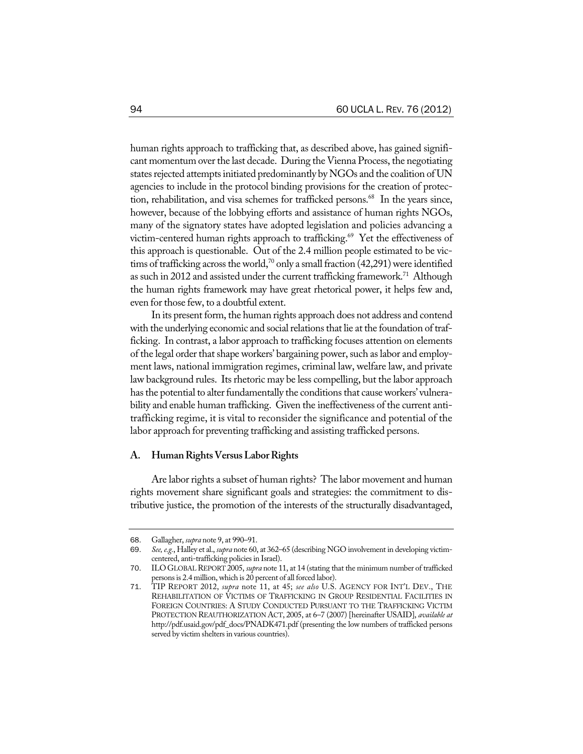human rights approach to trafficking that, as described above, has gained significant momentum over the last decade. During the Vienna Process, the negotiating states rejected attempts initiated predominantly by NGOs and the coalition of UN agencies to include in the protocol binding provisions for the creation of protection, rehabilitation, and visa schemes for trafficked persons.<sup>68</sup> In the years since, however, because of the lobbying efforts and assistance of human rights NGOs, many of the signatory states have adopted legislation and policies advancing a victim-centered human rights approach to trafficking.<sup>69</sup> Yet the effectiveness of this approach is questionable. Out of the 2.4 million people estimated to be victims of trafficking across the world,<sup>70</sup> only a small fraction (42,291) were identified as such in 2012 and assisted under the current trafficking framework.<sup>71</sup> Although the human rights framework may have great rhetorical power, it helps few and, even for those few, to a doubtful extent.

In its present form, the human rights approach does not address and contend with the underlying economic and social relations that lie at the foundation of trafficking. In contrast, a labor approach to trafficking focuses attention on elements of the legal order that shape workers' bargaining power, such as labor and employment laws, national immigration regimes, criminal law, welfare law, and private law background rules. Its rhetoric may be less compelling, but the labor approach has the potential to alter fundamentally the conditions that cause workers' vulnerability and enable human trafficking. Given the ineffectiveness of the current antitrafficking regime, it is vital to reconsider the significance and potential of the labor approach for preventing trafficking and assisting trafficked persons.

# **A. HumanRightsVersusLaborRights**

Are labor rights a subset of human rights? The labor movement and human rights movement share significant goals and strategies: the commitment to distributive justice, the promotion of the interests of the structurally disadvantaged,

<sup>68</sup>. Gallagher, *supra* note 9, at 990–91.

<sup>69</sup>. *See,e.g.*, Halley et al., *supra* note 60, at 362–65 (describing NGO involvement in developing victimcentered, anti-trafficking policies in Israel).

<sup>70</sup>. ILO GLOBALREPORT 2005, *supra* note 11, at 14 (stating that the minimum number of trafficked persons is 2.4 million, which is 20 percent of all forced labor).

<sup>71</sup>. TIP REPORT 2012, *supra* note 11, at 45; *see also* U.S. AGENCY FOR INT'L DEV., THE REHABILITATION OF VICTIMS OF TRAFFICKING IN GROUP RESIDENTIAL FACILITIES IN FOREIGN COUNTRIES: A STUDY CONDUCTED PURSUANT TO THE TRAFFICKING VICTIM PROTECTION REAUTHORIZATION ACT, 2005, at 6–7 (2007) [hereinafter USAID], *available at* http://pdf.usaid.gov/pdf\_docs/PNADK471.pdf (presenting the low numbers of trafficked persons served by victim shelters in various countries).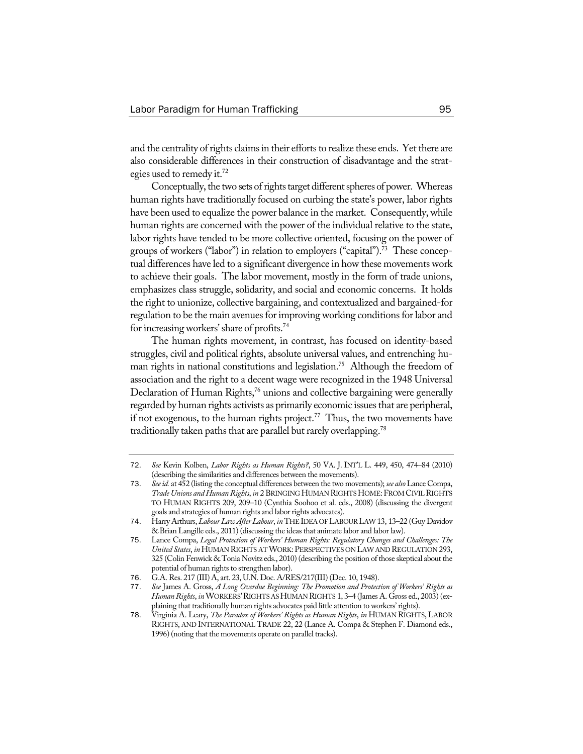and the centrality of rights claims in their efforts to realize these ends. Yet there are also considerable differences in their construction of disadvantage and the strategies used to remedy it.<sup>72</sup>

Conceptually, the two sets of rights target different spheres of power. Whereas human rights have traditionally focused on curbing the state's power, labor rights have been used to equalize the power balance in the market. Consequently, while human rights are concerned with the power of the individual relative to the state, labor rights have tended to be more collective oriented, focusing on the power of groups of workers ("labor") in relation to employers ("capital").<sup>73</sup> These conceptual differences have led to a significant divergence in how these movements work to achieve their goals. The labor movement, mostly in the form of trade unions, emphasizes class struggle, solidarity, and social and economic concerns. It holds the right to unionize, collective bargaining, and contextualized and bargained-for regulation to be the main avenues for improving working conditions for labor and for increasingworkers'share of profits.74

The human rights movement, in contrast, has focused on identity-based struggles, civil and political rights, absolute universal values, and entrenching human rights in national constitutions and legislation.<sup>75</sup> Although the freedom of association and the right to a decent wage were recognized in the 1948 Universal Declaration of Human Rights,<sup>76</sup> unions and collective bargaining were generally regarded by human rights activists as primarily economic issues that are peripheral, if not exogenous, to the human rights project.<sup>77</sup> Thus, the two movements have traditionally taken paths that are parallel but rarely overlapping.<sup>78</sup>

<sup>72</sup>. *See* Kevin Kolben, *Labor Rights as Human Rights?*, 50 VA. J. INT'L L. 449, 450, 474–84 (2010) (describing the similarities and differences between the movements).

<sup>73</sup>. *Seeid.* at 452 (listing the conceptual differences between the two movements); *see also* Lance Compa, *Trade Unions and Human Rights*, *in* 2 BRINGING HUMAN RIGHTS HOME: FROM CIVIL RIGHTS TO HUMAN RIGHTS 209, 209–10 (Cynthia Soohoo et al. eds., 2008) (discussing the divergent goals and strategies of human rights and labor rights advocates).

<sup>74</sup>. Harry Arthurs, *LabourLaw AfterLabour*, *in* THEIDEA OFLABOURLAW 13, 13–22 (Guy Davidov & Brian Langille eds., 2011) (discussing the ideas that animate labor and labor law).

<sup>75</sup>. Lance Compa, *Legal Protection of Workers' Human Rights: Regulatory Changes and Challenges: The United States*, *in* HUMAN RIGHTS ATWORK:PERSPECTIVES ON LAWAND REGULATION 293, 325 (Colin Fenwick & Tonia Novitz eds., 2010) (describing the position of those skeptical about the potential of human rights to strengthen labor).

<sup>76</sup>. G.A.Res. 217 (III) A, art. 23, U.N. Doc. A/RES/217(III) (Dec. 10, 1948).

<sup>77</sup>. *See* James A. Gross, *A Long Overdue Beginning: The Promotion and Protection of Workers' Rights as HumanRights*, *in*WORKERS'RIGHTS ASHUMANRIGHTS 1, 3–4 (James A. Gross ed., 2003) (explaining that traditionally human rights advocates paid little attention to workers' rights).

<sup>78</sup>. Virginia A. Leary, *The Paradox of Workers' Rights as Human Rights*, *in* HUMAN RIGHTS, LABOR RIGHTS, AND INTERNATIONAL TRADE 22, 22 (Lance A. Compa & Stephen F. Diamond eds., 1996) (noting that the movements operate on parallel tracks).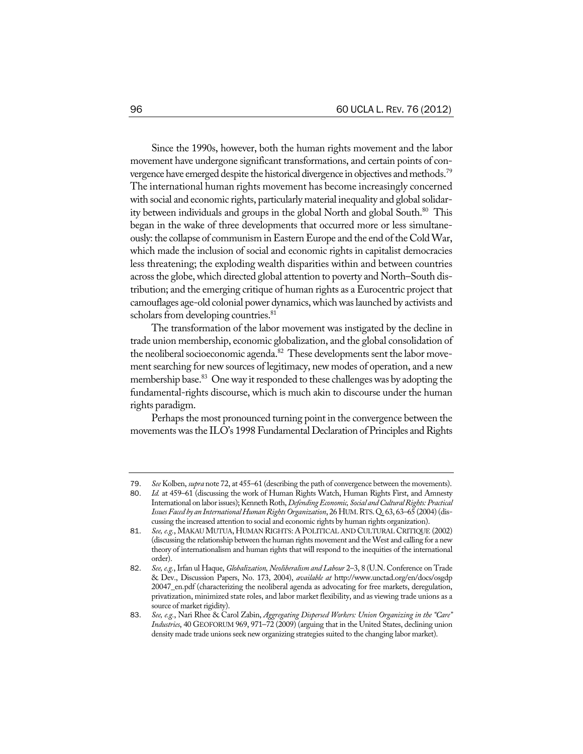Since the 1990s, however, both the human rights movement and the labor movement have undergone significant transformations, and certain points of convergence have emerged despite the historical divergence in objectives and methods.<sup>79</sup> The international human rights movement has become increasingly concerned with social and economic rights, particularly material inequality and global solidarity between individuals and groups in the global North and global South.<sup>80</sup> This began in the wake of three developments that occurred more or less simultaneously: the collapse of communism in Eastern Europe and the end of the Cold War, which made the inclusion of social and economic rights in capitalist democracies less threatening; the exploding wealth disparities within and between countries across the globe, which directed global attention to poverty and North–South distribution; and the emerging critique of human rights as a Eurocentric project that camouflages age-old colonial power dynamics,whichwaslaunched by activists and scholars from developing countries.<sup>81</sup>

The transformation of the labor movement was instigated by the decline in trade union membership, economic globalization, and the global consolidation of the neoliberal socioeconomic agenda.<sup>82</sup> These developments sent the labor movement searching for new sources of legitimacy, new modes of operation, and a new membership base.<sup>83</sup> One way it responded to these challenges was by adopting the fundamental-rights discourse, which is much akin to discourse under the human rights paradigm.

Perhaps the most pronounced turning point in the convergence between the movements was the ILO's 1998 Fundamental Declaration of Principles and Rights

<sup>79</sup>. *See* Kolben, *supra* note 72, at 455–61 (describing the path of convergence between the movements).

<sup>80</sup>. *Id.* at 459–61 (discussing the work of Human Rights Watch, Human Rights First, and Amnesty International on labor issues); Kenneth Roth, Defending Economic, Social and Cultural Rights: Practical *IssuesFaced by an InternationalHumanRights Organization*, 26 HUM.RTS.Q. 63, 63–65 (2004) (discussing the increased attention to social and economic rights by human rights organization).

<sup>81</sup>. *See, e.g.*, MAKAUMUTUA, HUMAN RIGHTS: A POLITICAL AND CULTURAL CRITIQUE (2002) (discussing the relationship between the human rights movement and theWest and calling for a new theory of internationalism and human rights that will respond to the inequities of the international order).

<sup>82</sup>. *See,e.g.*,Irfan ul Haque, *Globalization, Neoliberalism and Labour* 2–3, 8 (U.N. Conference on Trade & Dev., Discussion Papers, No. 173, 2004), *available at* http://www.unctad.org/en/docs/osgdp 20047\_en.pdf (characterizing the neoliberal agenda as advocating for free markets, deregulation, privatization, minimized state roles, and labor market flexibility, and as viewing trade unions as a source of market rigidity).

<sup>83</sup>. *See, e.g.*, Nari Rhee & Carol Zabin, *Aggregating Dispersed Workers: Union Organizing in the "Care" Industries*, 40 GEOFORUM 969, 971–72 (2009) (arguing that in the United States, declining union density made trade unions seek new organizing strategies suited to the changing labor market).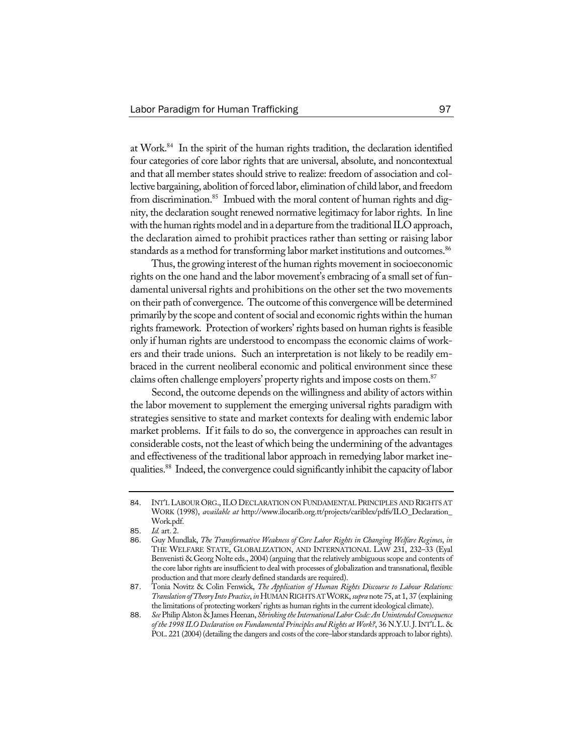at Work.84 In the spirit of the human rights tradition, the declaration identified four categories of core labor rights that are universal, absolute, and noncontextual and that all member states should strive to realize: freedom of association and collective bargaining, abolition of forced labor, elimination of child labor, and freedom from discrimination.<sup>85</sup> Imbued with the moral content of human rights and dignity, the declaration sought renewed normative legitimacy for labor rights. In line with the human rights model and in a departure from the traditional ILO approach, the declaration aimed to prohibit practices rather than setting or raising labor standards as a method for transforming labor market institutions and outcomes.<sup>86</sup>

Thus, the growing interest of the human rights movement in socioeconomic rights on the one hand and the labor movement's embracing of a small set of fundamental universal rights and prohibitions on the other set the two movements on their path of convergence. The outcome of this convergencewill be determined primarily by the scope and content of social and economic rights within the human rights framework. Protection of workers' rights based on human rights is feasible only if human rights are understood to encompass the economic claims of workers and their trade unions. Such an interpretation is not likely to be readily embraced in the current neoliberal economic and political environment since these claims often challenge employers' property rights and impose costs on them.<sup>87</sup>

Second, the outcome depends on the willingness and ability of actors within the labor movement to supplement the emerging universal rights paradigm with strategies sensitive to state and market contexts for dealing with endemic labor market problems. If it fails to do so, the convergence in approaches can result in considerable costs, not the least ofwhich being the undermining of the advantages and effectiveness of the traditional labor approach in remedying labor market inequalities.<sup>88</sup> Indeed, the convergence could significantly inhibit the capacity of labor

<sup>84</sup>. INT'L LABOUR ORG., ILO DECLARATION ON FUNDAMENTAL PRINCIPLES AND RIGHTS AT WORK (1998), *available at* http://www.ilocarib.org.tt/projects/cariblex/pdfs/ILO\_Declaration\_ Work.pdf.

<sup>85</sup>. *Id.* art. 2.

<sup>86</sup>. Guy Mundlak, *The Transformative Weakness of Core Labor Rights in Changing Welfare Regimes*, *in* THE WELFARE STATE, GLOBALIZATION, AND INTERNATIONAL LAW 231, 232–33 (Eyal Benvenisti & Georg Nolte eds., 2004) (arguing that the relatively ambiguous scope and contents of the core labor rights are insufficient to deal with processes of globalization and transnational, flexible production and that more clearly defined standards are required).

<sup>87</sup>. Tonia Novitz & Colin Fenwick, *The Application of Human Rights Discourse to Labour Relations: Translation ofTheory IntoPractice*,*in*HUMANRIGHTSATWORK, *supra* note 75, at 1, 37 (explaining the limitations of protecting workers' rights as human rights in the current ideological climate).

<sup>88.</sup> *See* Philip Alston & James Heenan, *Shrinking the International Labor Code: An Unintended Consequence of the 1998 ILO Declaration on Fundamental Principles andRights at Work?*, 36 N.Y.U.J.INT'L L. & POL. 221 (2004) (detailing the dangers and costs of the core–labor standards approach to labor rights).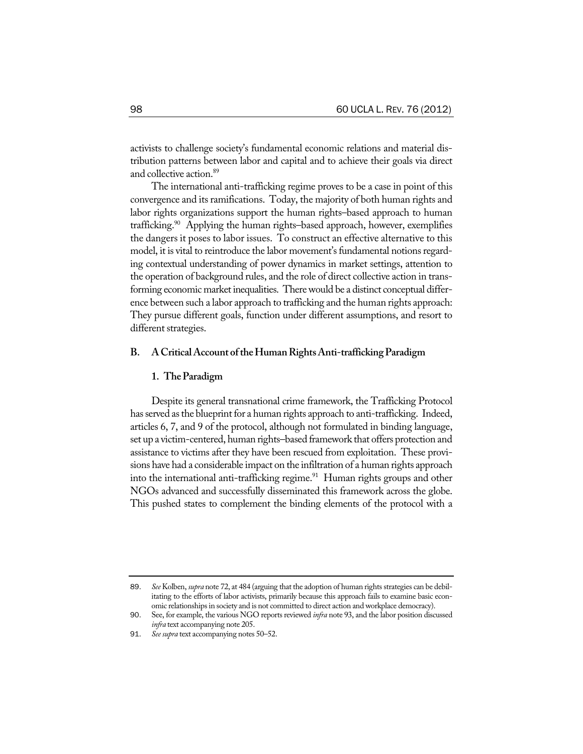activists to challenge society's fundamental economic relations and material distribution patterns between labor and capital and to achieve their goals via direct and collective action.<sup>89</sup>

The international anti-trafficking regime proves to be a case in point of this convergence and its ramifications. Today, the majority of both human rights and labor rights organizations support the human rights–based approach to human trafficking.<sup>90</sup> Applying the human rights–based approach, however, exemplifies the dangers it poses to labor issues. To construct an effective alternative to this model, it is vital to reintroduce the labor movement's fundamental notions regarding contextual understanding of power dynamics in market settings, attention to the operation of background rules, and the role of direct collective action in transforming economic market inequalities. There would be a distinct conceptual difference between such a labor approach to trafficking and the human rights approach: They pursue different goals, function under different assumptions, and resort to different strategies.

## **B. ACriticalAccount oftheHumanRightsAnti-traffickingParadigm**

#### **1. TheParadigm**

Despite its general transnational crime framework, the Trafficking Protocol has served as the blueprint for a human rights approach to anti-trafficking. Indeed, articles 6, 7, and 9 of the protocol, although not formulated in binding language, set up a victim-centered, human rights–based framework that offers protection and assistance to victims after they have been rescued from exploitation. These provisions have had a considerable impact on the infiltration of a human rights approach into the international anti-trafficking regime. $91$  Human rights groups and other NGOs advanced and successfully disseminated this framework across the globe. This pushed states to complement the binding elements of the protocol with a

<sup>89</sup>. *See* Kolben, *supra* note 72, at 484 (arguing that the adoption of human rights strategies can be debilitating to the efforts of labor activists, primarily because this approach fails to examine basic economic relationshipsin society and is not committed to direct action and workplace democracy).

<sup>90</sup>. See, for example, the various NGO reports reviewed *infra* note 93, and the labor position discussed *infra* text accompanying note 205.

<sup>91</sup>. *See supra* text accompanying notes 50–52.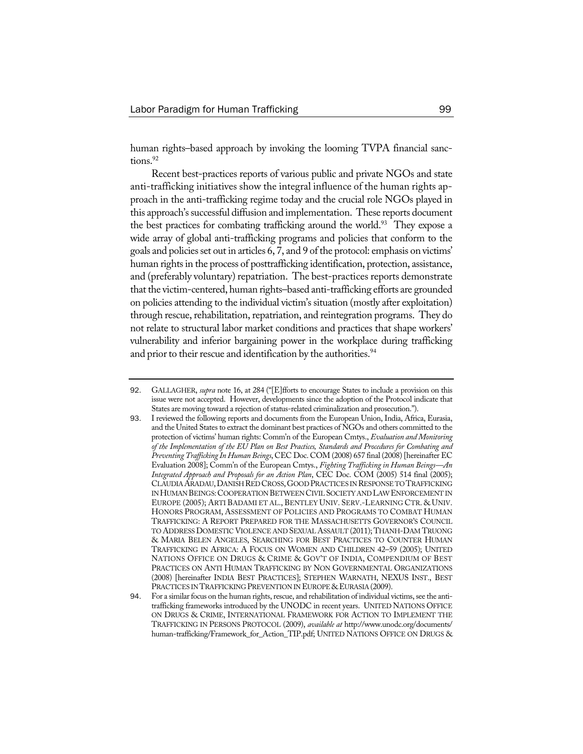human rights–based approach by invoking the looming TVPA financial sanctions.<sup>92</sup>

Recent best-practices reports of various public and private NGOs and state anti-trafficking initiatives show the integral influence of the human rights approach in the anti-trafficking regime today and the crucial role NGOs played in this approach's successful diffusion and implementation. These reports document the best practices for combating trafficking around the world.<sup>93</sup> They expose a wide array of global anti-trafficking programs and policies that conform to the goals and policies set out in articles 6, 7, and 9 of the protocol: emphasis on victims' human rights in the process of posttrafficking identification, protection, assistance, and (preferably voluntary) repatriation. The best-practices reports demonstrate that the victim-centered, human rights–based anti-trafficking efforts are grounded on policies attending to the individual victim's situation (mostly after exploitation) through rescue, rehabilitation, repatriation, and reintegration programs. They do not relate to structural labor market conditions and practices that shape workers' vulnerability and inferior bargaining power in the workplace during trafficking and prior to their rescue and identification by the authorities.<sup>94</sup>

<sup>92</sup>. GALLAGHER, *supra* note 16, at 284 ("[E]fforts to encourage States to include a provision on this issue were not accepted. However, developments since the adoption of the Protocol indicate that States are moving toward a rejection of status-related criminalization and prosecution.").

<sup>93</sup>. I reviewed the following reports and documents from the European Union, India, Africa, Eurasia, and the United States to extract the dominant best practices of NGOs and others committed to the protection of victims' human rights: Comm'n of the European Cmtys., *Evaluation and Monitoring of the Implementation of the EU Plan on Best Practices, Standards and Procedures for Combating and PreventingTrafficking In Human Beings*, CEC Doc. COM (2008) 657 final (2008) [hereinafter EC Evaluation 2008]; Comm'n of the European Cmtys., *Fighting Trafficking in Human Beings—An Integrated Approach and Proposals for an Action Plan*, CEC Doc. COM (2005) 514 final (2005); CLAUDIA ARADAU, DANISH RED CROSS, GOOD PRACTICES IN RESPONSE TO TRAFFICKING IN HUMAN BEINGS: COOPERATION BETWEEN CIVIL SOCIETY AND LAW ENFORCEMENT IN EUROPE (2005); ARTI BADAMI ET AL., BENTLEY UNIV. SERV.-LEARNING CTR. & UNIV. HONORS PROGRAM, ASSESSMENT OF POLICIES AND PROGRAMS TO COMBAT HUMAN TRAFFICKING: A REPORT PREPARED FOR THE MASSACHUSETTS GOVERNOR'S COUNCIL TO ADDRESS DOMESTIC VIOLENCE AND SEXUALASSAULT (2011); THANH-DAM TRUONG & MARIA BELEN ANGELES, SEARCHING FOR BEST PRACTICES TO COUNTER HUMAN TRAFFICKING IN AFRICA: A FOCUS ON WOMEN AND CHILDREN 42–59 (2005); UNITED NATIONS OFFICE ON DRUGS & CRIME & GOV'T OF INDIA, COMPENDIUM OF BEST PRACTICES ON ANTI HUMAN TRAFFICKING BY NON GOVERNMENTAL ORGANIZATIONS (2008) [hereinafter INDIA BEST PRACTICES]; STEPHEN WARNATH, NEXUS INST., BEST PRACTICES IN TRAFFICKING PREVENTION IN EUROPE & EURASIA (2009).

<sup>94.</sup> For a similar focus on the human rights, rescue, and rehabilitation of individual victims, see the antitrafficking frameworks introduced by the UNODC in recent years. UNITED NATIONS OFFICE ON DRUGS & CRIME, INTERNATIONAL FRAMEWORK FOR ACTION TO IMPLEMENT THE TRAFFICKING IN PERSONS PROTOCOL (2009), *available at* http://www.unodc.org/documents/ human-trafficking/Framework\_for\_Action\_TIP.pdf; UNITED NATIONS OFFICE ON DRUGS &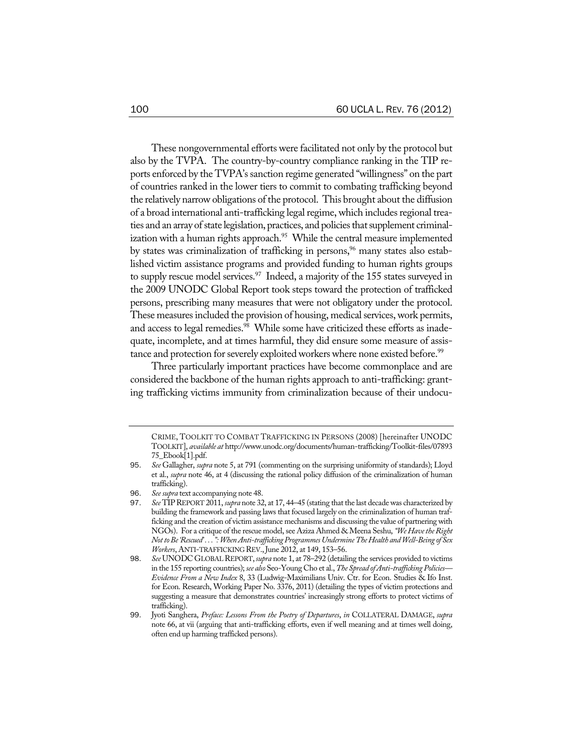These nongovernmental efforts were facilitated not only by the protocol but also by the TVPA. The country-by-country compliance ranking in the TIP reports enforced by the TVPA's sanction regime generated "willingness" on the part of countries ranked in the lower tiers to commit to combating trafficking beyond the relatively narrow obligations of the protocol. This brought about the diffusion of a broad international anti-trafficking legal regime, which includes regional treaties and an array of state legislation, practices, and policies that supplement criminalization with a human rights approach.<sup>95</sup> While the central measure implemented by states was criminalization of trafficking in persons,<sup>96</sup> many states also established victim assistance programs and provided funding to human rights groups to supply rescue model services.<sup>97</sup> Indeed, a majority of the 155 states surveyed in the 2009 UNODC Global Report took steps toward the protection of trafficked persons, prescribing many measures that were not obligatory under the protocol. These measures included the provision of housing, medical services, work permits, and access to legal remedies.<sup>98</sup> While some have criticized these efforts as inadequate, incomplete, and at times harmful, they did ensure some measure of assistance and protection for severely exploited workers where none existed before.<sup>99</sup>

Three particularly important practices have become commonplace and are considered the backbone of the human rights approach to anti-trafficking: granting trafficking victims immunity from criminalization because of their undocu-

CRIME, TOOLKIT TO COMBAT TRAFFICKING IN PERSONS (2008) [hereinafter UNODC TOOLKIT], *available at* http://www.unodc.org/documents/human-trafficking/Toolkit-files/07893 75\_Ebook[1].pdf.

<sup>95</sup>. *See* Gallagher, *supra* note 5, at 791 (commenting on the surprising uniformity of standards); Lloyd et al., *supra* note 46, at 4 (discussing the rational policy diffusion of the criminalization of human trafficking).

<sup>96</sup>. *See supra* text accompanying note 48.

<sup>97</sup>. *See* TIPREPORT 2011, *supra* note 32, at 17, 44–45 (stating that the last decadewas characterized by building the framework and passing laws that focused largely on the criminalization of human trafficking and the creation of victim assistance mechanisms and discussing the value of partnering with NGOs). For a critique of the rescue model, see Aziza Ahmed & Meena Seshu, "We Have the Right *NottoBe'Rescued' . . .":WhenAnti-traffickingProgrammesUndermineTheHealth andWell-Being of Sex Workers*, ANTI-TRAFFICKING REV.,June 2012, at 149, 153–56.

<sup>98.</sup> See UNODC GLOBAL REPORT, *supra* note 1, at 78-292 (detailing the services provided to victims in the 155 reporting countries); see also Seo-Young Cho et al., The Spread of Anti-trafficking Policies-*Evidence From a New Index* 8, 33 (Ludwig-Maximilians Univ. Ctr. for Econ. Studies & Ifo Inst. for Econ. Research, Working Paper No. 3376, 2011) (detailing the types of victim protections and suggesting a measure that demonstrates countries' increasingly strong efforts to protect victims of trafficking).

<sup>99</sup>. Jyoti Sanghera, *Preface: Lessons From the Poetry of Departures*, *in* COLLATERAL DAMAGE, *supra* note 66, at vii (arguing that anti-trafficking efforts, even if well meaning and at times well doing, often end up harming trafficked persons).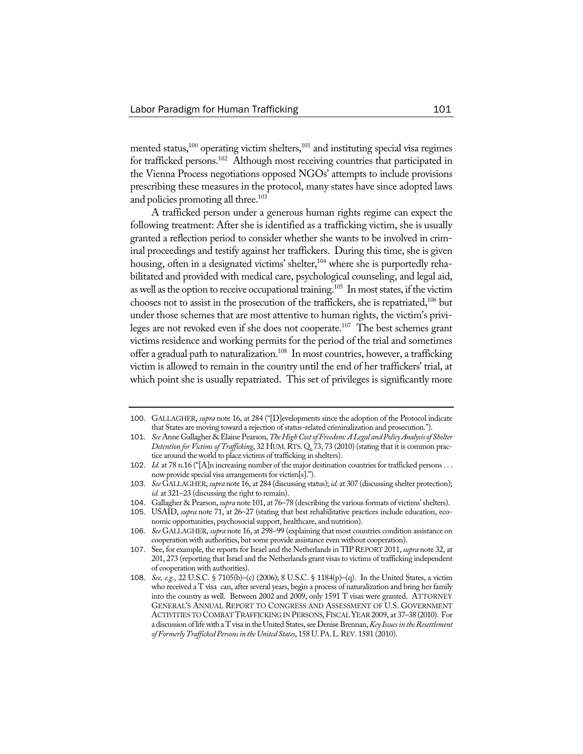mented status, $100$  operating victim shelters, $101$  and instituting special visa regimes for trafficked persons.<sup>102</sup> Although most receiving countries that participated in the Vienna Process negotiations opposed NGOs' attempts to include provisions prescribing these measures in the protocol, many states have since adopted laws and policies promoting all three.<sup>103</sup>

A trafficked person under a generous human rights regime can expect the following treatment: After she is identified as a trafficking victim, she is usually granted a reflection period to consider whether she wants to be involved in criminal proceedings and testify against her traffickers. During this time, she is given housing, often in a designated victims' shelter,<sup>104</sup> where she is purportedly rehabilitated and provided with medical care, psychological counseling, and legal aid, as well as the option to receive occupational training.<sup>105</sup> In most states, if the victim chooses not to assist in the prosecution of the traffickers, she is repatriated, $106$  but under those schemes that are most attentive to human rights, the victim's privileges are not revoked even if she does not cooperate.<sup>107</sup> The best schemes grant victims residence and working permits for the period of the trial and sometimes offer a gradual path to naturalization.108 In most countries, however, a trafficking victim is allowed to remain in the country until the end of her traffickers' trial, at which point she is usually repatriated. This set of privileges is significantly more

<sup>100</sup>. GALLAGHER, *supra* note 16, at 284 ("[D]evelopments since the adoption of the Protocol indicate that States are moving toward a rejection of status-related criminalization and prosecution.").

<sup>101</sup>. *See* Anne Gallagher & Elaine Pearson,*TheHighCostofFreedom:ALegal andPolicyAnalysisof Shelter Detention for Victimsof Trafficking*, 32 HUM.RTS. Q. 73, 73 (2010) (stating that it is common practice around the world to place victims of trafficking in shelters).

<sup>102</sup>. *Id.* at 78 n.16 ("[A]n increasing number of the major destination countries for trafficked persons . . . now provide special visa arrangements for victim[s].").

<sup>103</sup>. *See* GALLAGHER, *supra* note 16, at 284 (discussing status); *id.* at 307 (discussing shelter protection); *id.* at 321–23 (discussing the right to remain).

<sup>104</sup>. Gallagher & Pearson, *supra* note 101, at 76–78 (describing the various formats of victims'shelters).

<sup>105</sup>. USAID, *supra* note 71, at 26–27 (stating that best rehabilitative practices include education, eco-

nomic opportunities, psychosocial support, healthcare, and nutrition).

<sup>106</sup>. *See* GALLAGHER, *supra* note 16, at 298–99 (explaining that most countries condition assistance on cooperation with authorities, but some provide assistance even without cooperation).

<sup>107</sup>. See, for example, the reports for Israel and the Netherlands in TIPREPORT 2011, *supra* note 32, at 201, 273 (reporting that Israel and the Netherlands grant visas to victims of trafficking independent of cooperation with authorities).

<sup>108</sup>. *See, e.g.*, 22 U.S.C. § 7105(b)–(c) (2006); 8 U.S.C. § 1184(p)–(q). In the United States, a victim who received a T visa can, after several years, begin a process of naturalization and bring her family into the country as well. Between 2002 and 2009, only 1591 T visas were granted. ATTORNEY GENERAL'S ANNUAL REPORT TO CONGRESS AND ASSESSMENT OF U.S. GOVERNMENT ACTIVITIES TO COMBAT TRAFFICKING IN PERSONS,FISCALYEAR 2009, at 37–38 (2010). For a discussion oflifewith a Tvisa in theUnited States,see DeniseBrennan,*Key Issues in theResettlement ofFormerlyTrafficked Persons in theUnited States*, 158 U.PA.L.REV. 1581 (2010).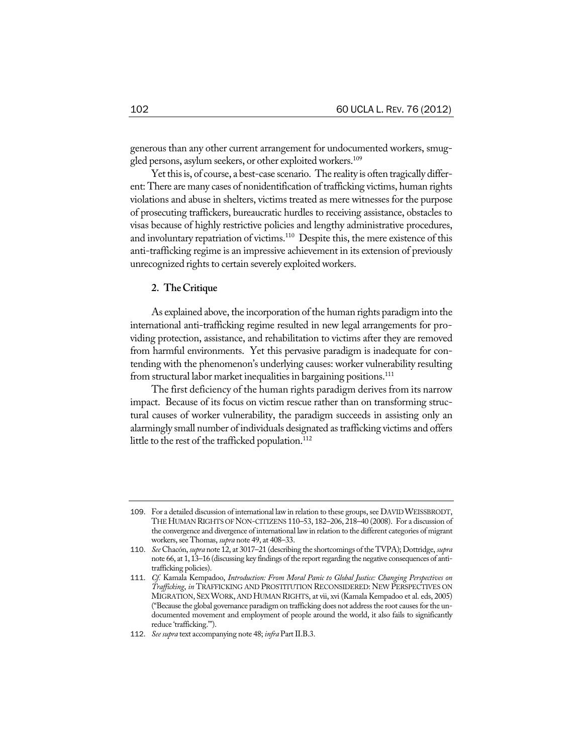generous than any other current arrangement for undocumented workers, smuggled persons, asylum seekers, or other exploited workers.<sup>109</sup>

Yet this is, of course, a best-case scenario. The reality is often tragically different: There are many cases of nonidentification of trafficking victims, human rights violations and abuse in shelters, victims treated as mere witnesses for the purpose of prosecuting traffickers, bureaucratic hurdles to receiving assistance, obstacles to visas because of highly restrictive policies and lengthy administrative procedures, and involuntary repatriation of victims.<sup>110</sup> Despite this, the mere existence of this anti-trafficking regime is an impressive achievement in its extension of previously unrecognized rights to certain severely exploited workers.

## **2. TheCritique**

As explained above, the incorporation of the human rights paradigm into the international anti-trafficking regime resulted in new legal arrangements for providing protection, assistance, and rehabilitation to victims after they are removed from harmful environments. Yet this pervasive paradigm is inadequate for contending with the phenomenon's underlying causes: worker vulnerability resulting from structural labor market inequalities in bargaining positions.<sup>111</sup>

The first deficiency of the human rights paradigm derives from its narrow impact. Because of its focus on victim rescue rather than on transforming structural causes of worker vulnerability, the paradigm succeeds in assisting only an alarmingly small number of individuals designated as trafficking victims and offers little to the rest of the trafficked population.<sup>112</sup>

<sup>109.</sup> For a detailed discussion of international law in relation to these groups, see DAVID WEISSBRODT, THE HUMAN RIGHTS OFNON-CITIZENS 110–53, 182–206, 218–40 (2008). For a discussion of the convergence and divergence of international law in relation to the different categories of migrant workers, see Thomas, *supra* note 49, at 408-33.

<sup>110</sup>. *See* Chacón, *supra* note 12, at 3017–21 (describing the shortcomings of the TVPA); Dottridge, *supra* note 66, at 1, 13-16 (discussing key findings of the report regarding the negative consequences of antitrafficking policies).

<sup>111</sup>. *Cf.* Kamala Kempadoo, *Introduction: From Moral Panic to Global Justice: Changing Perspectives on Trafficking*, *in* TRAFFICKING AND PROSTITUTION RECONSIDERED: NEW PERSPECTIVES ON MIGRATION, SEXWORK, AND HUMAN RIGHTS, at vii, xvi (Kamala Kempadoo et al. eds, 2005) ("Because the global governance paradigm on trafficking does not address the root causes for the undocumented movement and employment of people around the world, it also fails to significantly reduce 'trafficking.'").

<sup>112</sup>. *See supra* text accompanying note 48; *infra* PartII.B.3.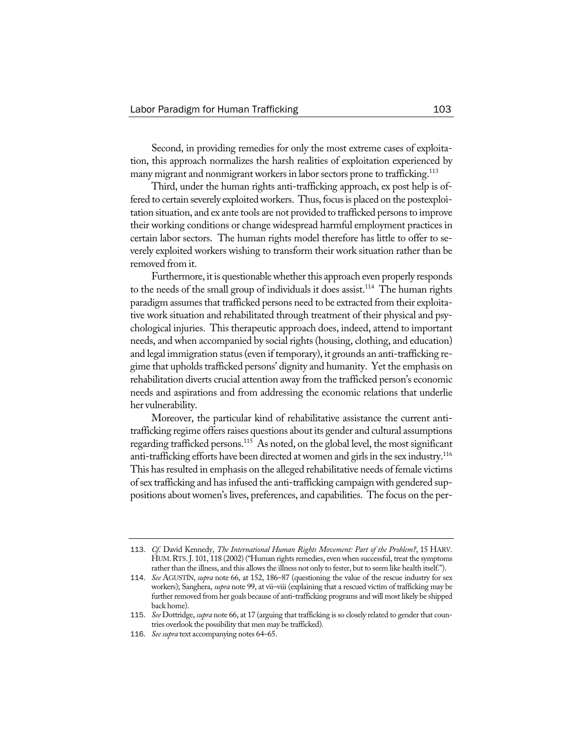Second, in providing remedies for only the most extreme cases of exploitation, this approach normalizes the harsh realities of exploitation experienced by many migrant and nonmigrant workers in labor sectors prone to trafficking.<sup>113</sup>

Third, under the human rights anti-trafficking approach, ex post help is offered to certain severely exploited workers. Thus, focus is placed on the postexploitation situation, and ex ante tools are not provided to trafficked personsto improve their working conditions or change widespread harmful employment practices in certain labor sectors. The human rights model therefore has little to offer to severely exploited workers wishing to transform their work situation rather than be removed from it.

Furthermore, it is questionable whether this approach even properly responds to the needs of the small group of individuals it does assist.<sup>114</sup> The human rights paradigm assumes that trafficked persons need to be extracted from their exploitative work situation and rehabilitated through treatment of their physical and psychological injuries. This therapeutic approach does, indeed, attend to important needs, and when accompanied by social rights (housing, clothing, and education) and legal immigration status(even if temporary), it grounds an anti-trafficking regime that upholds trafficked persons' dignity and humanity. Yet the emphasis on rehabilitation diverts crucial attention away from the trafficked person's economic needs and aspirations and from addressing the economic relations that underlie her vulnerability.

Moreover, the particular kind of rehabilitative assistance the current antitrafficking regime offers raises questions about its gender and cultural assumptions regarding trafficked persons.115 As noted, on the global level, the most significant anti-trafficking efforts have been directed at women and girls in the sex industry.<sup>116</sup> This has resulted in emphasis on the alleged rehabilitative needs of female victims of sex trafficking and has infused the anti-trafficking campaign with gendered suppositions about women's lives, preferences, and capabilities. The focus on the per-

<sup>113</sup>. *Cf.* David Kennedy, *The International Human Rights Movement: Part of the Problem?*, 15 HARV. HUM.RTS.J. 101, 118 (2002) ("Human rights remedies, even when successful, treat the symptoms rather than the illness, and this allows the illness not only to fester, but to seem like health itself.").

<sup>114</sup>. *See* AGUSTÍN, *supra* note 66, at 152, 186–87 (questioning the value of the rescue industry for sex workers); Sanghera, *supra* note 99, at vii–viii (explaining that a rescued victim of trafficking may be further removed from her goals because of anti-trafficking programs and will most likely be shipped back home).

<sup>115</sup>. *See* Dottridge, *supra* note 66, at 17 (arguing that trafficking is so closely related to gender that countries overlook the possibility that men may be trafficked).

<sup>116</sup>. *See supra* text accompanying notes 64–65.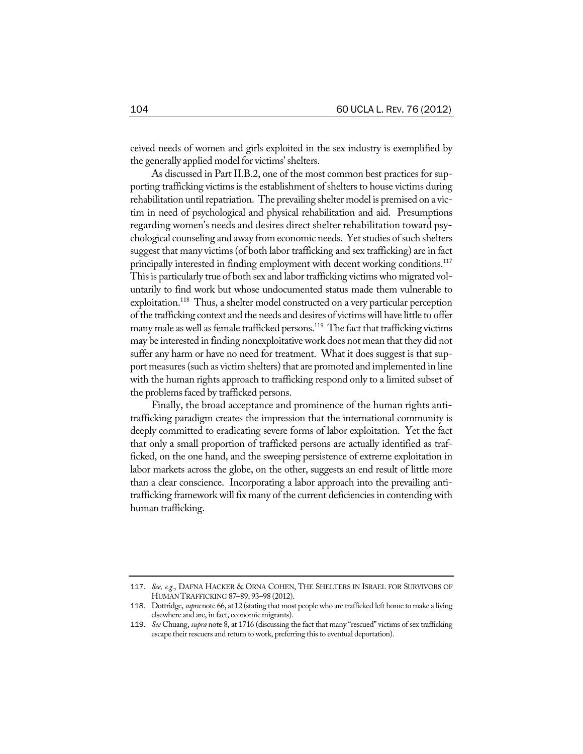ceived needs of women and girls exploited in the sex industry is exemplified by the generally applied model for victims'shelters.

As discussed in Part II.B.2, one of the most common best practices for supporting trafficking victims is the establishment of shelters to house victims during rehabilitation until repatriation. The prevailing shelter model is premised on a victim in need of psychological and physical rehabilitation and aid. Presumptions regarding women's needs and desires direct shelter rehabilitation toward psychological counseling and away from economic needs. Yet studies of such shelters suggest that many victims (of both labor trafficking and sex trafficking) are in fact principally interested in finding employment with decent working conditions.<sup>117</sup> This is particularly true of both sex and labor trafficking victims who migrated voluntarily to find work but whose undocumented status made them vulnerable to exploitation.<sup>118</sup> Thus, a shelter model constructed on a very particular perception ofthe trafficking context and the needs and desires of victimswill have little to offer many male as well as female trafficked persons.<sup>119</sup> The fact that trafficking victims may be interested in finding nonexploitative work does not mean that they did not suffer any harm or have no need for treatment. What it does suggest is that support measures (such as victim shelters) that are promoted and implemented in line with the human rights approach to trafficking respond only to a limited subset of the problems faced by trafficked persons.

Finally, the broad acceptance and prominence of the human rights antitrafficking paradigm creates the impression that the international community is deeply committed to eradicating severe forms of labor exploitation. Yet the fact that only a small proportion of trafficked persons are actually identified as trafficked, on the one hand, and the sweeping persistence of extreme exploitation in labor markets across the globe, on the other, suggests an end result of little more than a clear conscience. Incorporating a labor approach into the prevailing antitrafficking framework will fix many of the current deficiencies in contending with human trafficking.

<sup>117</sup>. *See, e.g.*, DAFNA HACKER & ORNA COHEN, THE SHELTERS IN ISRAEL FOR SURVIVORS OF HUMANTRAFFICKING 87–89, 93–98 (2012).

<sup>118</sup>. Dottridge, *supra* note 66, at12 (stating that most peoplewho are trafficked left home to make a living elsewhere and are, in fact, economic migrants).

<sup>119</sup>. *See* Chuang, *supra* note 8, at 1716 (discussing the fact that many "rescued" victims of sex trafficking escape their rescuers and return to work, preferring this to eventual deportation).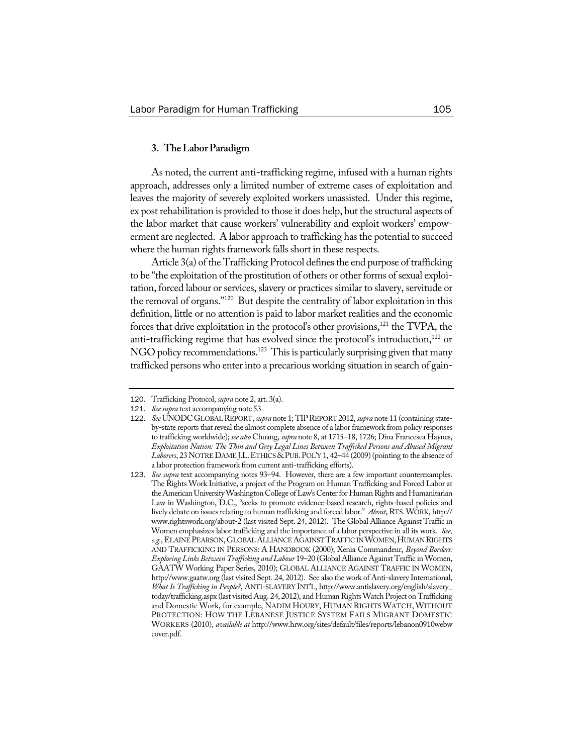## **3. TheLaborParadigm**

As noted, the current anti-trafficking regime, infused with a human rights approach, addresses only a limited number of extreme cases of exploitation and leaves the majority of severely exploited workers unassisted. Under this regime, ex post rehabilitation is provided to those it does help, but the structural aspects of the labor market that cause workers' vulnerability and exploit workers' empowerment are neglected. A labor approach to trafficking has the potential to succeed where the human rights framework falls short in these respects.

Article  $3(a)$  of the Trafficking Protocol defines the end purpose of trafficking to be "the exploitation of the prostitution of others or other forms of sexual exploitation, forced labour or services, slavery or practices similar to slavery, servitude or the removal of organs."120 But despite the centrality of labor exploitation in this definition, little or no attention is paid to labor market realities and the economic forces that drive exploitation in the protocol's other provisions,<sup>121</sup> the TVPA, the anti-trafficking regime that has evolved since the protocol's introduction,<sup>122</sup> or NGO policy recommendations.<sup>123</sup> This is particularly surprising given that many trafficked persons who enter into a precarious working situation in search of gain-

<sup>120</sup>. Trafficking Protocol, *supra* note 2, art. 3(a).

<sup>121</sup>. *See supra* text accompanying note 53.

<sup>122</sup>. *See* UNODCGLOBALREPORT, *supra* note 1; TIPREPORT 2012, *supra* note 11 (containing stateby-state reports that reveal the almost complete absence of a labor framework from policy responses to trafficking worldwide); *see also* Chuang, *supra* note 8, at 1715–18, 1726; Dina Francesca Haynes, *Exploitation Nation: The Thin and Grey Legal Lines Between Trafficked Persons and Abused Migrant* Laborers, 23 NOTRE DAME J.L. ETHICS & PUB. POL'Y 1, 42-44 (2009) (pointing to the absence of a labor protection framework from current anti-trafficking efforts).

<sup>123</sup>. *See supra* text accompanying notes 93–94. However, there are a few important counterexamples. The Rights Work Initiative, a project of the Program on Human Trafficking and Forced Labor at the American University Washington College of Law's Center for Human Rights and Humanitarian Law in Washington, D.C., "seeks to promote evidence-based research, rights-based policies and lively debate on issues relating to human trafficking and forced labor." *About*, RTS.WORK, http:// www.rightswork.org/about-2 (last visited Sept. 24, 2012). The Global Alliance Against Traffic in Women emphasizes labor trafficking and the importance of a labor perspective in all its work. *See, e.g.*,ELAINEPEARSON,GLOBALALLIANCEAGAINST TRAFFIC INWOMEN,HUMANRIGHTS AND TRAFFICKING IN PERSONS: A HANDBOOK (2000); Xenia Commandeur, *Beyond Borders: ExploringLinks BetweenTrafficking andLabour* 19–20 (Global Alliance Against Traffic in Women, GAATW Working Paper Series, 2010); GLOBAL ALLIANCE AGAINST TRAFFIC IN WOMEN, http://www.gaatw.org (last visited Sept. 24, 2012). See also the work of Anti-slavery International, *What Is Trafficking in People?*, ANTI-SLAVERY INT'L, http://www.antislavery.org/english/slavery\_ today/trafficking.aspx (last visited Aug. 24, 2012), and Human Rights Watch Project on Trafficking and Domestic Work, for example, NADIM HOURY, HUMAN RIGHTS WATCH, WITHOUT PROTECTION: HOW THE LEBANESE JUSTICE SYSTEM FAILS MIGRANT DOMESTIC WORKERS (2010), *available at* http://www.hrw.org/sites/default/files/reports/lebanon0910webw cover.pdf.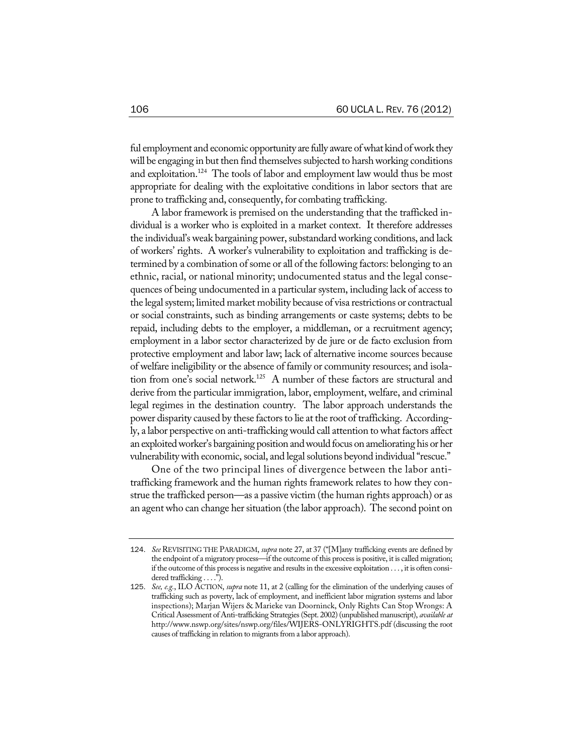ful employment and economic opportunity are fully aware of what kind of work they will be engaging in but then find themselves subjected to harsh working conditions and exploitation.<sup>124</sup> The tools of labor and employment law would thus be most appropriate for dealing with the exploitative conditions in labor sectors that are prone to trafficking and, consequently, for combating trafficking.

A labor framework is premised on the understanding that the trafficked individual is a worker who is exploited in a market context. It therefore addresses the individual's weak bargaining power, substandard working conditions, and lack of workers' rights. A worker's vulnerability to exploitation and trafficking is determined by a combination of some or all of the following factors: belonging to an ethnic, racial, or national minority; undocumented status and the legal consequences of being undocumented in a particular system, including lack of access to the legal system; limited market mobility because of visa restrictions or contractual or social constraints, such as binding arrangements or caste systems; debts to be repaid, including debts to the employer, a middleman, or a recruitment agency; employment in a labor sector characterized by de jure or de facto exclusion from protective employment and labor law; lack of alternative income sources because of welfare ineligibility or the absence of family or community resources; and isolation from one's social network.<sup>125</sup> A number of these factors are structural and derive from the particular immigration, labor, employment, welfare, and criminal legal regimes in the destination country. The labor approach understands the power disparity caused by these factors to lie at the root of trafficking. Accordingly, a labor perspective on anti-traffickingwould call attention towhat factors affect an exploited worker's bargaining position and would focus on ameliorating his or her vulnerability with economic, social, and legal solutions beyond individual "rescue."

One of the two principal lines of divergence between the labor antitrafficking framework and the human rights framework relates to how they construe the trafficked person—as a passive victim (the human rights approach) or as an agent who can change her situation (the labor approach). The second point on

<sup>124</sup>. *See* REVISITING THE PARADIGM, *supra* note 27, at 37 ("[M]any trafficking events are defined by the endpoint of a migratory process—if the outcome of this process is positive, it is called migration; if the outcome of this process is negative and results in the excessive exploitation . . . , it is often considered trafficking . . . .").

<sup>125</sup>. *See, e.g.*, ILO ACTION, *supra* note 11, at 2 (calling for the elimination of the underlying causes of trafficking such as poverty, lack of employment, and inefficient labor migration systems and labor inspections); Marjan Wijers & Marieke van Doorninck, Only Rights Can Stop Wrongs: A Critical Assessment of Anti-trafficking Strategies(Sept. 2002)(unpublished manuscript), *available at*  http://www.nswp.org/sites/nswp.org/files/WIJERS-ONLYRIGHTS.pdf (discussing the root causes of trafficking in relation to migrants from a labor approach).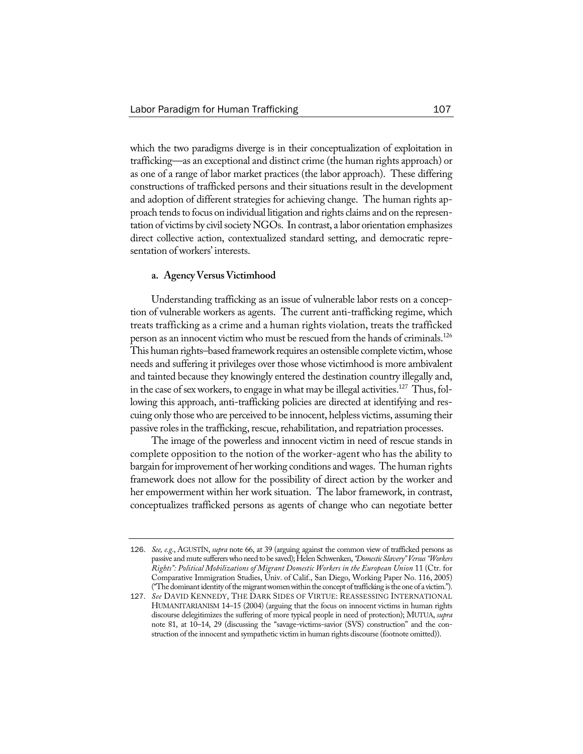which the two paradigms diverge is in their conceptualization of exploitation in trafficking—as an exceptional and distinct crime (the human rights approach) or as one of a range of labor market practices (the labor approach). These differing constructions of trafficked persons and their situations result in the development and adoption of different strategies for achieving change. The human rights approach tends to focus on individual litigation and rights claims and on the representation of victims by civil society NGOs. In contrast, a labor orientation emphasizes direct collective action, contextualized standard setting, and democratic representation of workers' interests.

## **a. AgencyVersusVictimhood**

Understanding trafficking as an issue of vulnerable labor rests on a conception of vulnerable workers as agents. The current anti-trafficking regime, which treats trafficking as a crime and a human rights violation, treats the trafficked person as an innocent victim who must be rescued from the hands of criminals.126 This human rights–based framework requires an ostensible complete victim, whose needs and suffering it privileges over those whose victimhood is more ambivalent and tainted because they knowingly entered the destination country illegally and, in the case of sex workers, to engage in what may be illegal activities.<sup>127</sup> Thus, following this approach, anti-trafficking policies are directed at identifying and rescuing only thosewho are perceived to be innocent, helpless victims, assuming their passive rolesin the trafficking, rescue, rehabilitation, and repatriation processes.

The image of the powerless and innocent victim in need of rescue stands in complete opposition to the notion of the worker-agent who has the ability to bargain forimprovement of herworking conditions andwages. The human rights framework does not allow for the possibility of direct action by the worker and her empowerment within her work situation. The labor framework, in contrast, conceptualizes trafficked persons as agents of change who can negotiate better

<sup>126</sup>. *See, e.g.*, AGUSTÍN, *supra* note 66, at 39 (arguing against the common view of trafficked persons as passive and mute sufferers who need to be saved); Helen Schwenken, "Domestic Slavery" Versus "Workers *Rights": Political Mobilizations of Migrant Domestic Workers in the European Union* 11 (Ctr. for Comparative Immigration Studies, Univ. of Calif., San Diego, Working Paper No. 116, 2005) ("The dominant identity of the migrant women within the concept of trafficking is the one of a victim.").

<sup>127</sup>. *See* DAVID KENNEDY, THE DARK SIDES OF VIRTUE: REASSESSING INTERNATIONAL HUMANITARIANISM 14–15 (2004) (arguing that the focus on innocent victims in human rights discourse delegitimizes the suffering of more typical people in need of protection); MUTUA, *supra* note 81, at 10–14, 29 (discussing the "savage-victims-savior (SVS) construction" and the construction of the innocent and sympathetic victim in human rights discourse (footnote omitted)).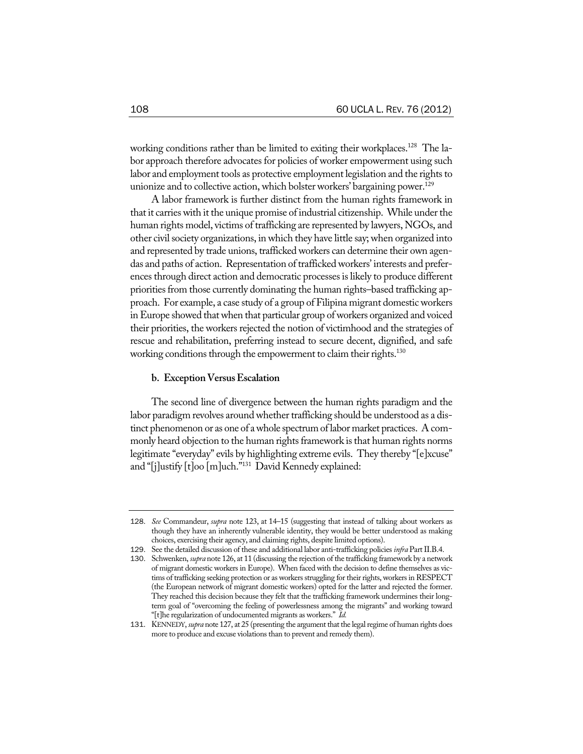working conditions rather than be limited to exiting their workplaces.<sup>128</sup> The labor approach therefore advocates for policies of worker empowerment using such labor and employment tools as protective employment legislation and the rights to unionize and to collective action, which bolster workers' bargaining power.<sup>129</sup>

A labor framework is further distinct from the human rights framework in that it carries with it the unique promise of industrial citizenship. While under the human rights model, victims of trafficking are represented by lawyers, NGOs, and other civilsociety organizations, in which they have little say;when organized into and represented by trade unions, trafficked workers can determine their own agendas and paths of action. Representation of trafficked workers' interests and preferences through direct action and democratic processes is likely to produce different priorities from those currently dominating the human rights–based trafficking approach. For example, a case study of a group of Filipina migrant domesticworkers in Europe showed that when that particular group of workers organized and voiced their priorities, the workers rejected the notion of victimhood and the strategies of rescue and rehabilitation, preferring instead to secure decent, dignified, and safe working conditions through the empowerment to claim their rights. $^{130}$ 

#### **b.** Exception Versus Escalation

The second line of divergence between the human rights paradigm and the labor paradigm revolves around whether trafficking should be understood as a distinct phenomenon or as one of awhole spectrum oflabor market practices. A commonly heard objection to the human rights framework is that human rights norms legitimate "everyday" evils by highlighting extreme evils. They thereby "[e]xcuse" and "[j]ustify [t]oo [m]uch."131 David Kennedy explained:

<sup>128</sup>. *See* Commandeur, *supra* note 123, at 14–15 (suggesting that instead of talking about workers as though they have an inherently vulnerable identity, they would be better understood as making choices, exercising their agency, and claiming rights, despite limited options).

<sup>129</sup>. See the detailed discussion of these and additional labor anti-trafficking policies *infra* PartII.B.4.

<sup>130</sup>. Schwenken, *supra* note 126, at 11 (discussing the rejection of the trafficking framework by a network of migrant domestic workers in Europe). When faced with the decision to define themselves as victims of trafficking seeking protection or as workers struggling for their rights, workers in RESPECT (the European network of migrant domestic workers) opted for the latter and rejected the former. They reached this decision because they felt that the trafficking framework undermines their longterm goal of "overcoming the feeling of powerlessness among the migrants" and working toward "[t]he regularization of undocumented migrants as workers." *Id.*

<sup>131</sup>. KENNEDY, *supra* note 127, at 25 (presenting the argumentthatthe legalregime of human rights does more to produce and excuse violations than to prevent and remedy them).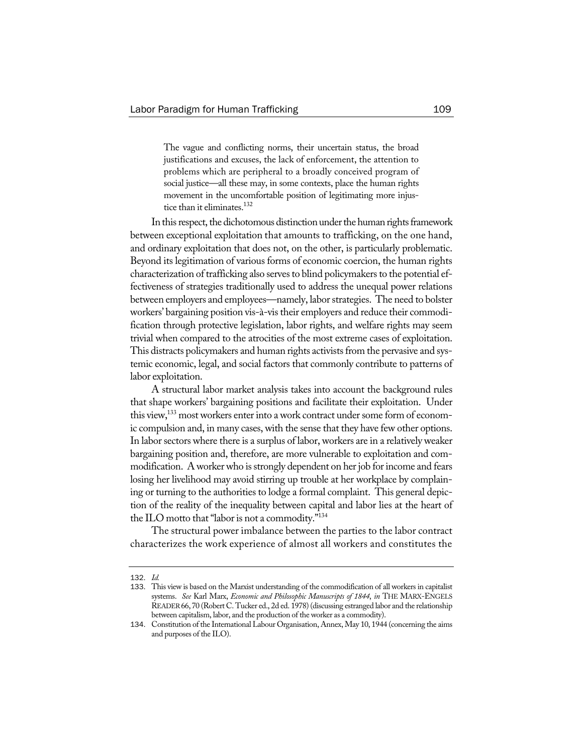The vague and conflicting norms, their uncertain status, the broad justifications and excuses, the lack of enforcement, the attention to problems which are peripheral to a broadly conceived program of social justice—all these may, in some contexts, place the human rights movement in the uncomfortable position of legitimating more injustice than it eliminates.<sup>132</sup>

In this respect, the dichotomous distinction under the human rights framework between exceptional exploitation that amounts to trafficking, on the one hand, and ordinary exploitation that does not, on the other, is particularly problematic. Beyond its legitimation of various forms of economic coercion, the human rights characterization of trafficking also serves to blind policymakers to the potential effectiveness of strategies traditionally used to address the unequal power relations between employers and employees—namely, labor strategies. The need to bolster workers' bargaining position vis-à-vistheir employers and reduce their commodification through protective legislation, labor rights, and welfare rights may seem trivial when compared to the atrocities of the most extreme cases of exploitation. This distracts policymakers and human rights activists from the pervasive and systemic economic, legal, and social factors that commonly contribute to patterns of labor exploitation.

A structural labor market analysis takes into account the background rules that shape workers' bargaining positions and facilitate their exploitation. Under this view,<sup>133</sup> most workers enter into a work contract under some form of economic compulsion and, in many cases, with the sense that they have few other options. In labor sectors where there is a surplus of labor, workers are in a relatively weaker bargaining position and, therefore, are more vulnerable to exploitation and commodification. A worker who is strongly dependent on her job for income and fears losing her livelihood may avoid stirring up trouble at her workplace by complaining or turning to the authorities to lodge a formal complaint. This general depiction of the reality of the inequality between capital and labor lies at the heart of the ILO motto that "labor is not a commodity."<sup>134</sup>

The structural power imbalance between the parties to the labor contract characterizes the work experience of almost all workers and constitutes the

<sup>132</sup>. *Id.*

<sup>133</sup>. This view is based on the Marxist understanding of the commodification of all workers in capitalist systems. *See* Karl Marx, *Economic and Philosophic Manuscripts of 1844*, *in* THE MARX-ENGELS READER66,70 (Robert C. Tucker ed., 2d ed. 1978)(discussing estranged labor and the relationship between capitalism, labor, and the production of the worker as a commodity).

<sup>134.</sup> Constitution of the International Labour Organisation, Annex, May 10, 1944 (concerning the aims and purposes of the ILO).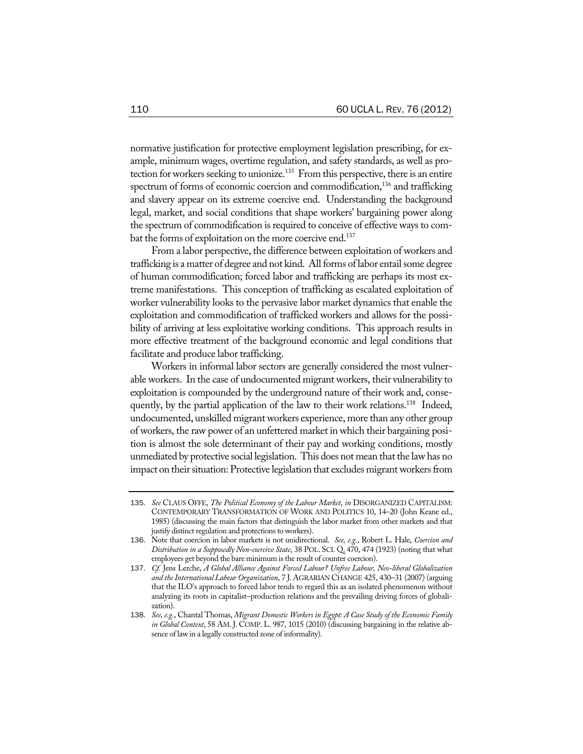normative justification for protective employment legislation prescribing, for example, minimum wages, overtime regulation, and safety standards, as well as protection for workers seeking to unionize.<sup>135</sup> From this perspective, there is an entire spectrum of forms of economic coercion and commodification,<sup>136</sup> and trafficking and slavery appear on its extreme coercive end. Understanding the background legal, market, and social conditions that shape workers' bargaining power along the spectrum of commodification is required to conceive of effective ways to combat the forms of exploitation on the more coercive end.<sup>137</sup>

From a labor perspective, the difference between exploitation of workers and trafficking is a matter of degree and not kind. All forms of labor entail some degree of human commodification; forced labor and trafficking are perhaps its most extreme manifestations. This conception of trafficking as escalated exploitation of worker vulnerability looks to the pervasive labor market dynamics that enable the exploitation and commodification of trafficked workers and allows for the possibility of arriving at less exploitative working conditions. This approach results in more effective treatment of the background economic and legal conditions that facilitate and produce labor trafficking.

Workers in informal labor sectors are generally considered the most vulnerable workers. In the case of undocumented migrant workers, their vulnerability to exploitation is compounded by the underground nature of their work and, consequently, by the partial application of the law to their work relations.<sup>138</sup> Indeed, undocumented, unskilled migrant workers experience, more than any other group of workers, the raw power of an unfettered market in which their bargaining position is almost the sole determinant of their pay and working conditions, mostly unmediated by protective social legislation. This does not mean that the law has no impact on their situation: Protective legislation that excludes migrant workers from

<sup>135</sup>. *See* CLAUS OFFE, *The Political Economy of the Labour Market*, *in* DISORGANIZED CAPITALISM: CONTEMPORARY TRANSFORMATION OF WORK AND POLITICS 10, 14–20 (John Keane ed., 1985) (discussing the main factors that distinguish the labor market from other markets and that justify distinct regulation and protections to workers).

<sup>136</sup>. Note that coercion in labor markets is not unidirectional. *See, e.g.*, Robert L. Hale, *Coercion and Distribution in a Supposedly Non-coercive State*, 38 POL. SCI. Q. 470, 474 (1923) (noting that what employees get beyond the bare minimum is the result of counter coercion).

<sup>137</sup>. *Cf.* Jens Lerche, *A Global Alliance Against Forced Labour? Unfree Labour, Neo-liberal Globalization and the International Labour Organization*, 7 J. AGRARIAN CHANGE 425, 430–31 (2007) (arguing that the ILO's approach to forced labor tends to regard this as an isolated phenomenon without analyzing its roots in capitalist–production relations and the prevailing driving forces of globalization).

<sup>138</sup>. *See, e.g.*, Chantal Thomas, *Migrant Domestic Workers in Egypt: A Case Study of the Economic Family in Global Context*, 58 AM. J. COMP. L. 987, 1015 (2010) (discussing bargaining in the relative absence of lawin a legally constructed zone of informality).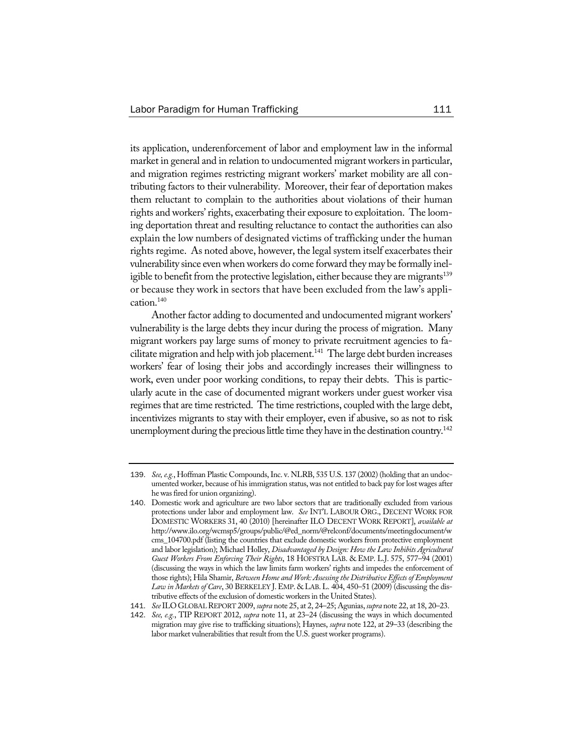its application, underenforcement of labor and employment law in the informal market in general and in relation to undocumented migrant workers in particular, and migration regimes restricting migrant workers' market mobility are all contributing factors to their vulnerability. Moreover, their fear of deportation makes them reluctant to complain to the authorities about violations of their human rights and workers' rights, exacerbating their exposure to exploitation. The looming deportation threat and resulting reluctance to contact the authorities can also explain the low numbers of designated victims of trafficking under the human rights regime. As noted above, however, the legal system itself exacerbates their vulnerability since even when workers do come forward they may be formally ineligible to benefit from the protective legislation, either because they are migrants<sup>139</sup> or because they work in sectors that have been excluded from the law's application.140

Another factor adding to documented and undocumented migrant workers' vulnerability is the large debts they incur during the process of migration. Many migrant workers pay large sums of money to private recruitment agencies to facilitate migration and help with job placement.<sup>141</sup> The large debt burden increases workers' fear of losing their jobs and accordingly increases their willingness to work, even under poor working conditions, to repay their debts. This is particularly acute in the case of documented migrant workers under guest worker visa regimes that are time restricted. The time restrictions, coupled with the large debt, incentivizes migrants to stay with their employer, even if abusive, so as not to risk unemployment during the precious little time they have in the destination country.<sup>142</sup>

<sup>139</sup>. *See,e.g.*, Hoffman Plastic Compounds,Inc. v. NLRB, 535 U.S. 137 (2002) (holding that an undocumented worker, because of his immigration status, was not entitled to back pay for lost wages after he was fired for union organizing).

<sup>140</sup>. Domestic work and agriculture are two labor sectors that are traditionally excluded from various protections under labor and employment law. *See* INT'L LABOUR ORG., DECENT WORK FOR DOMESTIC WORKERS 31, 40 (2010) [hereinafter ILO DECENT WORK REPORT], *available at* http://www.ilo.org/wcmsp5/groups/public/@ed\_norm/@relconf/documents/meetingdocument/w cms\_104700.pdf (listing the countries that exclude domestic workers from protective employment and labor legislation); Michael Holley, *Disadvantaged by Design: How the Law Inhibits Agricultural Guest Workers From Enforcing Their Rights*, 18 HOFSTRA LAB. & EMP. L.J. 575, 577–94 (2001) (discussing the ways in which the law limits farm workers' rights and impedes the enforcement of those rights); Hila Shamir, *Between Home and Work: Assessing the Distributive Effectsof Employment Law in Marketsof Care*, 30 BERKELEY J.EMP. & LAB.L. 404, 450–51 (2009) (discussing the distributive effects of the exclusion of domestic workers in the United States).

<sup>141</sup>. *See*ILOGLOBALREPORT 2009, *supra* note 25, at 2, 24–25; Agunias,*supra* note 22, at 18, 20–23.

<sup>142</sup>. *See, e.g.*, TIP REPORT 2012, *supra* note 11, at 23–24 (discussing the ways in which documented migration may give rise to trafficking situations); Haynes, *supra* note 122, at 29–33 (describing the labor market vulnerabilities that result from the U.S. guest worker programs).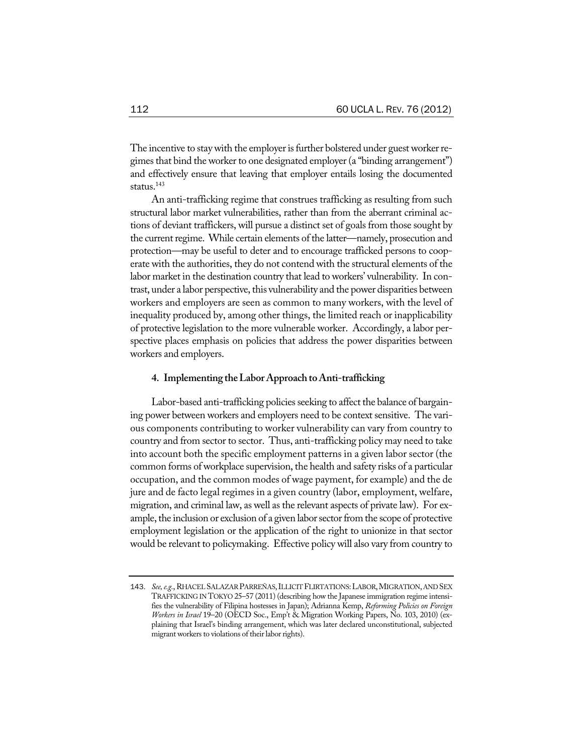The incentive to stay with the employer is further bolstered under guest worker regimes that bind the worker to one designated employer (a "binding arrangement") and effectively ensure that leaving that employer entails losing the documented status.<sup>143</sup>

An anti-trafficking regime that construes trafficking as resulting from such structural labor market vulnerabilities, rather than from the aberrant criminal actions of deviant traffickers, will pursue a distinct set of goals from those sought by the current regime. While certain elements of the latter—namely, prosecution and protection—may be useful to deter and to encourage trafficked persons to cooperate with the authorities, they do not contend with the structural elements of the labor market in the destination country that lead to workers' vulnerability. In contrast, under a labor perspective, this vulnerability and the power disparities between workers and employers are seen as common to many workers, with the level of inequality produced by, among other things, the limited reach or inapplicability of protective legislation to the more vulnerable worker. Accordingly, a labor perspective places emphasis on policies that address the power disparities between workers and employers.

#### **4. Implementing theLaborApproach toAnti-trafficking**

Labor-based anti-trafficking policies seeking to affect the balance of bargaining power between workers and employers need to be context sensitive. The various components contributing to worker vulnerability can vary from country to country and from sector to sector. Thus, anti-trafficking policy may need to take into account both the specific employment patterns in a given labor sector (the common forms of workplace supervision, the health and safety risks of a particular occupation, and the common modes of wage payment, for example) and the de jure and de facto legal regimes in a given country (labor, employment, welfare, migration, and criminal law, as well as the relevant aspects of private law). For example, the inclusion or exclusion of a given labor sector from the scope of protective employment legislation or the application of the right to unionize in that sector would be relevant to policymaking. Effective policy will also vary from country to

<sup>143</sup>. *See,e.g.*,RHACELSALAZARPARREÑAS,ILLICIT FLIRTATIONS:LABOR,MIGRATION,AND SEX TRAFFICKING IN TOKYO 25–57 (2011) (describing how the Japanese immigration regime intensifies the vulnerability of Filipina hostesses in Japan); Adrianna Kemp, *Reforming Policies on Foreign Workers in Israel* 19–20 (OECD Soc., Emp't & Migration Working Papers, No. 103, 2010) (explaining that Israel's binding arrangement, which was later declared unconstitutional, subjected migrant workers to violations of their labor rights).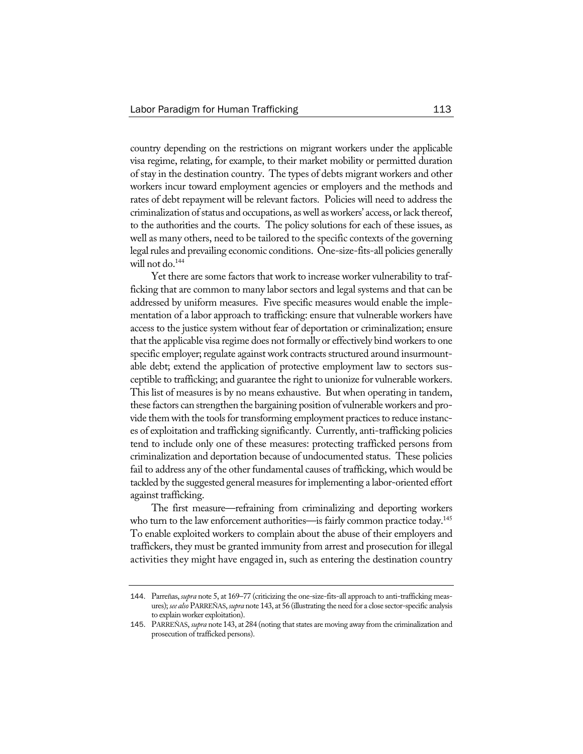country depending on the restrictions on migrant workers under the applicable visa regime, relating, for example, to their market mobility or permitted duration of stay in the destination country. The types of debts migrant workers and other workers incur toward employment agencies or employers and the methods and rates of debt repayment will be relevant factors. Policies will need to address the criminalization of status and occupations, as well as workers' access, or lack thereof, to the authorities and the courts. The policy solutions for each of these issues, as well as many others, need to be tailored to the specific contexts of the governing legal rules and prevailing economic conditions. One-size-fits-all policies generally will not do. $144$ 

Yet there are some factors that work to increase worker vulnerability to trafficking that are common to many labor sectors and legal systems and that can be addressed by uniform measures. Five specific measures would enable the implementation of a labor approach to trafficking: ensure that vulnerable workers have access to the justice system without fear of deportation or criminalization; ensure that the applicable visa regime does not formally or effectively bind workers to one specific employer; regulate against work contracts structured around insurmountable debt; extend the application of protective employment law to sectors susceptible to trafficking; and guarantee the right to unionize for vulnerable workers. This list of measures is by no means exhaustive. But when operating in tandem, these factors can strengthen the bargaining position of vulnerableworkers and provide them with the tools for transforming employment practices to reduce instances of exploitation and trafficking significantly. Currently, anti-trafficking policies tend to include only one of these measures: protecting trafficked persons from criminalization and deportation because of undocumented status. These policies fail to address any of the other fundamental causes of trafficking, which would be tackled by the suggested general measures for implementing a labor-oriented effort against trafficking.

The first measure—refraining from criminalizing and deporting workers who turn to the law enforcement authorities—is fairly common practice today.<sup>145</sup> To enable exploited workers to complain about the abuse of their employers and traffickers, they must be granted immunity from arrest and prosecution for illegal activities they might have engaged in, such as entering the destination country

<sup>144</sup>. Parreñas,*supra* note 5, at 169–77 (criticizing the one-size-fits-all approach to anti-trafficking measures); *see also* PARREÑAS,*supra* note 143, at 56 (illustrating the need for a close sector-specific analysis to explainworker exploitation).

<sup>145</sup>. PARREÑAS, *supra* note 143, at 284 (noting thatstates are moving away from the criminalization and prosecution of trafficked persons).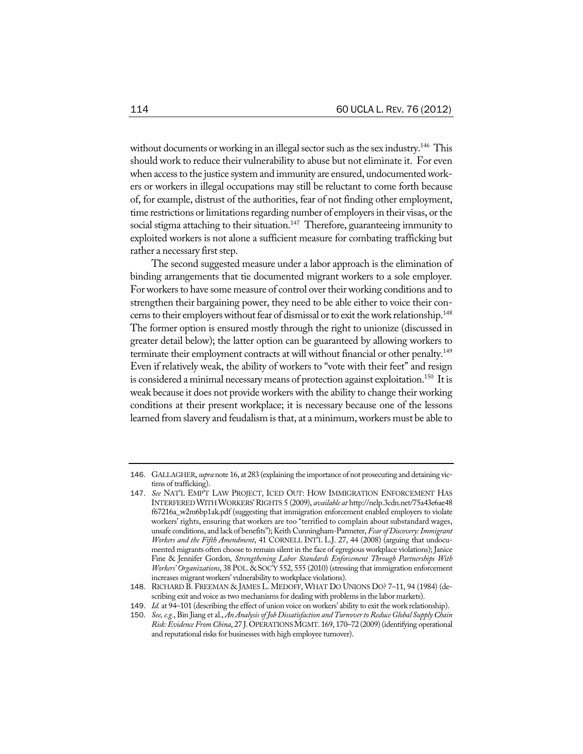without documents or working in an illegal sector such as the sex industry.<sup>146</sup> This should work to reduce their vulnerability to abuse but not eliminate it. For even when access to the justice system and immunity are ensured, undocumented workers or workers in illegal occupations may still be reluctant to come forth because of, for example, distrust of the authorities, fear of not finding other employment, time restrictions or limitations regarding number of employers in their visas, or the social stigma attaching to their situation.<sup>147</sup> Therefore, guaranteeing immunity to exploited workers is not alone a sufficient measure for combating trafficking but rather a necessary first step.

The second suggested measure under a labor approach is the elimination of binding arrangements that tie documented migrant workers to a sole employer*.* For workers to have some measure of control over their working conditions and to strengthen their bargaining power, they need to be able either to voice their concerns to their employers without fear of dismissal or to exit the work relationship.<sup>148</sup> The former option is ensured mostly through the right to unionize (discussed in greater detail below); the latter option can be guaranteed by allowing workers to terminate their employment contracts at will without financial or other penalty.<sup>149</sup> Even if relatively weak, the ability of workers to "vote with their feet" and resign is considered a minimal necessary means of protection against exploitation.<sup>150</sup> It is weak because it does not provide workers with the ability to change their working conditions at their present workplace; it is necessary because one of the lessons learned from slavery and feudalism isthat, at a minimum, workers must be able to

<sup>146</sup>. GALLAGHER, *supra* note 16, at 283 (explaining the importance of not prosecuting and detaining victims of trafficking).

<sup>147</sup>. *See* NAT'L EMP'T LAW PROJECT, ICED OUT: HOW IMMIGRATION ENFORCEMENT HAS INTERFEREDWITHWORKERS'RIGHTS 5 (2009), *available at* http://nelp.3cdn.net/75a43e6ae48 f67216a\_w2m6bp1ak.pdf (suggesting that immigration enforcement enabled employers to violate workers' rights, ensuring that workers are too "terrified to complain about substandard wages, unsafe conditions, and lack of benefits"); Keith Cunningham-Parmeter, *FearofDiscovery:Immigrant Workers and the Fifth Amendment*, 41 CORNELL INT'L L.J. 27, 44 (2008) (arguing that undocumented migrants often choose to remain silent in the face of egregious workplace violations); Janice Fine & Jennifer Gordon, *Strengthening Labor Standards Enforcement Through Partnerships With Workers' Organizations*, 38 POL.&SOC'Y 552, 555 (2010) (stressing that immigration enforcement increases migrant workers' vulnerability to workplace violations).

<sup>148</sup>. RICHARD B. FREEMAN & JAMES L. MEDOFF, WHAT DO UNIONS DO? 7–11, 94 (1984) (describing exit and voice as two mechanisms for dealing with problems in the labor markets).

<sup>149</sup>. *Id.* at 94–101 (describing the effect of union voice on workers' ability to exit the work relationship).

<sup>150</sup>. *See,e.g.*, Bin Jiang et al., *An AnalysisofJob Dissatisfaction andTurnovertoReduce Global SupplyChain Risk:EvidenceFrom China*, 27 J.OPERATIONSMGMT. 169, 170–72 (2009)(identifying operational and reputational risks for businesses with high employee turnover).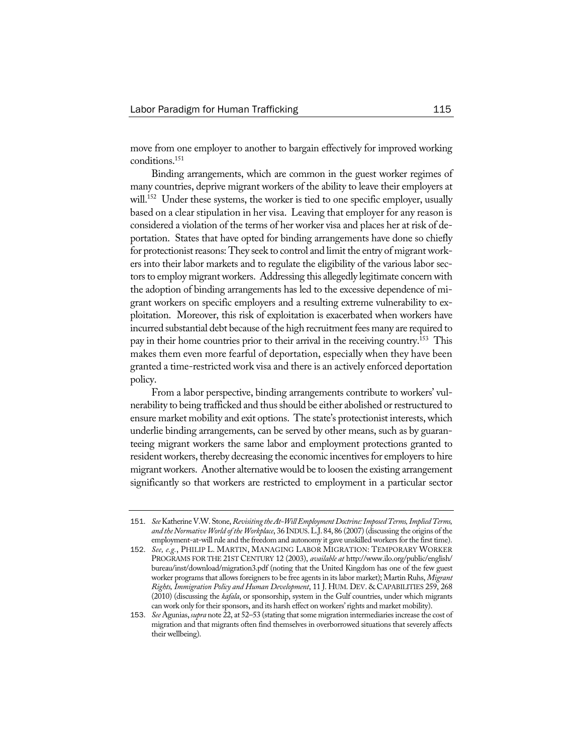move from one employer to another to bargain effectively for improved working conditions.151

Binding arrangements, which are common in the guest worker regimes of many countries, deprive migrant workers of the ability to leave their employers at will.<sup>152</sup> Under these systems, the worker is tied to one specific employer, usually based on a clear stipulation in her visa. Leaving that employer for any reason is considered a violation of the terms of her worker visa and places her at risk of deportation. States that have opted for binding arrangements have done so chiefly for protectionist reasons: They seek to control and limit the entry of migrant workers into their labor markets and to regulate the eligibility of the various labor sectors to employ migrant workers. Addressing this allegedly legitimate concern with the adoption of binding arrangements has led to the excessive dependence of migrant workers on specific employers and a resulting extreme vulnerability to exploitation. Moreover, this risk of exploitation is exacerbated when workers have incurred substantial debt because of the high recruitment fees many are required to pay in their home countries prior to their arrival in the receiving country.153 This makes them even more fearful of deportation, especially when they have been granted a time-restricted work visa and there is an actively enforced deportation policy.

From a labor perspective, binding arrangements contribute to workers' vulnerability to being trafficked and thus should be either abolished or restructured to ensure market mobility and exit options. The state's protectionist interests, which underlie binding arrangements, can be served by other means, such as by guaranteeing migrant workers the same labor and employment protections granted to resident workers, thereby decreasing the economic incentives for employers to hire migrant workers. Another alternative would be to loosen the existing arrangement significantly so that workers are restricted to employment in a particular sector

<sup>151</sup>. *See* Katherine V.W. Stone,*Revisiting theAt-WillEmploymentDoctrine:ImposedTerms,ImpliedTerms, and the Normative World of the Workplace*, 36 INDUS.L.J. 84, 86 (2007) (discussing the origins of the employment-at-will rule and the freedom and autonomy it gave unskilled workers for the first time).

<sup>152</sup>. *See, e.g.*, PHILIP L. MARTIN, MANAGING LABOR MIGRATION: TEMPORARY WORKER PROGRAMS FOR THE 21ST CENTURY 12 (2003), *available at* http://www.ilo.org/public/english/ bureau/inst/download/migration3.pdf (noting that the United Kingdom has one of the few guest worker programs that allows foreigners to be free agents in its labor market); Martin Ruhs, *Migrant Rights, Immigration Policy and Human Development*, 11 J. HUM. DEV. & CAPABILITIES 259, 268 (2010) (discussing the *kafala*, or sponsorship, system in the Gulf countries, under which migrants can work only for their sponsors, and its harsh effect on workers' rights and market mobility).

<sup>153</sup>. *See* Agunias,*supra* note 22, at 52–53 (stating thatsome migration intermediaries increase the cost of migration and that migrants often find themselves in overborrowed situations that severely affects their wellbeing).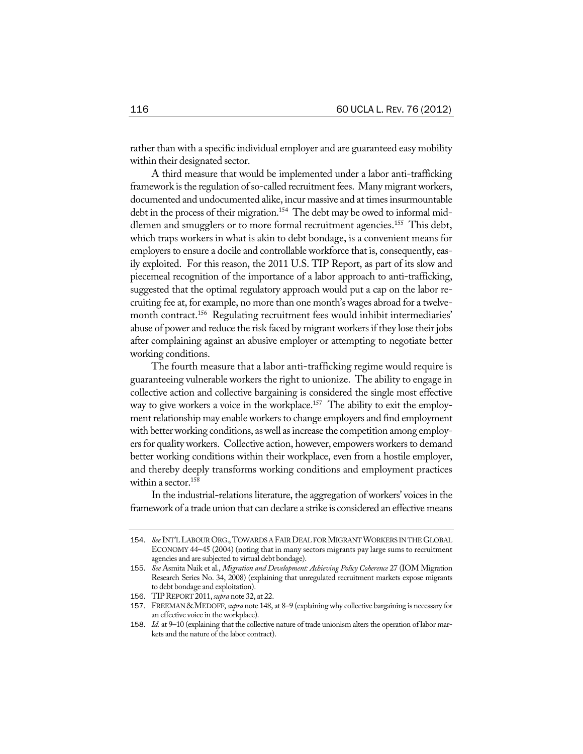rather than with a specific individual employer and are guaranteed easy mobility within their designated sector.

A third measure that would be implemented under a labor anti-trafficking framework is the regulation of so-called recruitment fees. Many migrant workers, documented and undocumented alike, incur massive and at times insurmountable debt in the process of their migration.<sup>154</sup> The debt may be owed to informal middlemen and smugglers or to more formal recruitment agencies.<sup>155</sup> This debt, which traps workers in what is akin to debt bondage, is a convenient means for employers to ensure a docile and controllable workforce that is, consequently, easily exploited. For this reason, the 2011 U.S. TIP Report, as part of its slow and piecemeal recognition of the importance of a labor approach to anti-trafficking, suggested that the optimal regulatory approach would put a cap on the labor recruiting fee at, for example, no more than one month's wages abroad for a twelvemonth contract.<sup>156</sup> Regulating recruitment fees would inhibit intermediaries' abuse of power and reduce the risk faced by migrant workers if they lose their jobs after complaining against an abusive employer or attempting to negotiate better working conditions.

The fourth measure that a labor anti-trafficking regime would require is guaranteeing vulnerable workers the right to unionize. The ability to engage in collective action and collective bargaining is considered the single most effective way to give workers a voice in the workplace.<sup>157</sup> The ability to exit the employment relationship may enable workers to change employers and find employment with better working conditions, as well as increase the competition among employers for quality workers. Collective action, however, empowers workers to demand better working conditions within their workplace, even from a hostile employer, and thereby deeply transforms working conditions and employment practices within a sector.<sup>158</sup>

In the industrial-relations literature, the aggregation of workers' voices in the framework of a trade union that can declare a strike is considered an effective means

<sup>154</sup>. *See* INT'L LABOUR ORG.,TOWARDS A FAIR DEAL FORMIGRANTWORKERS IN THE GLOBAL ECONOMY 44–45 (2004) (noting that in many sectors migrants pay large sums to recruitment agencies and are subjected to virtual debt bondage).

<sup>155</sup>. *See* Asmita Naik et al., *Migration and Development: Achieving Policy Coherence* 27 (IOM Migration Research Series No. 34, 2008) (explaining that unregulated recruitment markets expose migrants to debt bondage and exploitation).

<sup>156</sup>. TIPREPORT 2011,*supra* note 32, at 22.

<sup>157</sup>. FREEMAN&MEDOFF, *supra* note 148, at 8–9 (explainingwhy collective bargaining is necessary for an effective voice in the workplace).

<sup>158</sup>. *Id.* at 9–10 (explaining that the collective nature of trade unionism alters the operation of labor markets and the nature of the labor contract).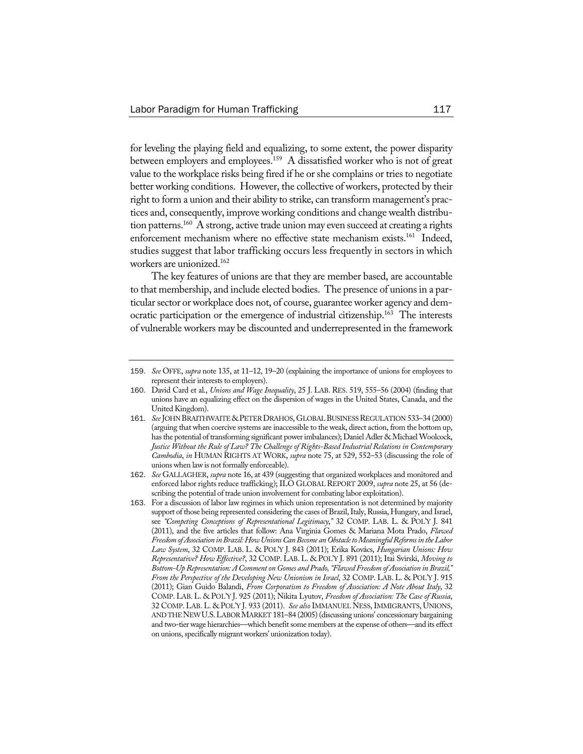for leveling the playing field and equalizing, to some extent, the power disparity between employers and employees.<sup>159</sup> A dissatisfied worker who is not of great value to the workplace risks being fired if he or she complains or tries to negotiate better working conditions. However, the collective of workers, protected by their right to form a union and their ability to strike, can transform management's practices and, consequently, improve working conditions and change wealth distribution patterns.<sup>160</sup> A strong, active trade union may even succeed at creating a rights enforcement mechanism where no effective state mechanism exists.<sup>161</sup> Indeed, studies suggest that labor trafficking occurs less frequently in sectors in which workers are unionized.162

The key features of unions are that they are member based, are accountable to that membership, and include elected bodies. The presence of unions in a particular sector or workplace does not, of course, guarantee worker agency and democratic participation or the emergence of industrial citizenship.<sup>163</sup> The interests of vulnerable workers may be discounted and underrepresented in the framework

<sup>159</sup>. *See* OFFE, *supra* note 135, at 11–12, 19–20 (explaining the importance of unions for employees to represent their interests to employers).

<sup>160</sup>. David Card et al., *Unions and Wage Inequality*, 25 J. LAB. RES. 519, 555–56 (2004) (finding that unions have an equalizing effect on the dispersion of wages in the United States, Canada, and the United Kingdom).

<sup>161</sup>. *See*JOHNBRAITHWAITE&PETERDRAHOS, GLOBALBUSINESSREGULATION 533–34 (2000) (arguing that when coercive systems are inaccessible to the weak, direct action, from the bottom up, has the potential of transforming significant power imbalances); Daniel Adler & Michael Woolcock, *Justice Without the Ruleof Law? The Challenge of Rights-Based Industrial Relations in Contemporary Cambodia*, *in* HUMAN RIGHTS AT WORK, *supra* note 75, at 529, 552–53 (discussing the role of unions when law is not formally enforceable).

<sup>162</sup>. *See* GALLAGHER, *supra* note 16, at 439 (suggesting that organized workplaces and monitored and enforced labor rights reduce trafficking); ILO GLOBAL REPORT 2009, *supra* note 25, at 56 (describing the potential of trade union involvement for combating labor exploitation).

<sup>163</sup>. For a discussion of labor law regimes in which union representation is not determined by majority support of those being represented considering the cases of Brazil, Italy, Russia, Hungary, and Israel, see *"Competing Conceptions of Representational Legitimacy*,*"* 32 COMP. LAB. L. & POL'Y J. 841 (2011), and the five articles that follow: Ana Virginia Gomes & Mariana Mota Prado, *Flawed FreedomofAssociation inBrazil:HowUnionsCanBecome anObstacletoMeaningfulReformsintheLabor Law System*, 32 COMP. LAB. L. & POL'Y J. 843 (2011); Erika Kovács, *Hungarian Unions: How Representative? How Effective?*, 32 COMP. LAB. L. & POL'Y J. 891 (2011); Itai Svirski, *Moving to Bottom-UpRepresentation: ACommenton Gomes and Prado, "Flawed Freedom of Association in Brazil," From the Perspective of the Developing New Unionism in Israel*, 32 COMP. LAB. L. & POL'Y J. 915 (2011); Gian Guido Balandi, *From Corporatism to Freedom of Association: A Note About Italy*, 32 COMP. LAB. L. & POL'Y J. 925 (2011); Nikita Lyutov, *Freedom of Association: The Case of Russia*, 32 COMP. LAB. L. & POL'Y J. 933 (2011). *See also*IMMANUEL NESS,IMMIGRANTS, UNIONS, AND THENEWU.S.LABORMARKET 181–84 (2005)(discussing unions' concessionary bargaining and two-tier wage hierarchies—which benefit some members at the expense of others—and its effect on unions, specifically migrant workers' unionization today).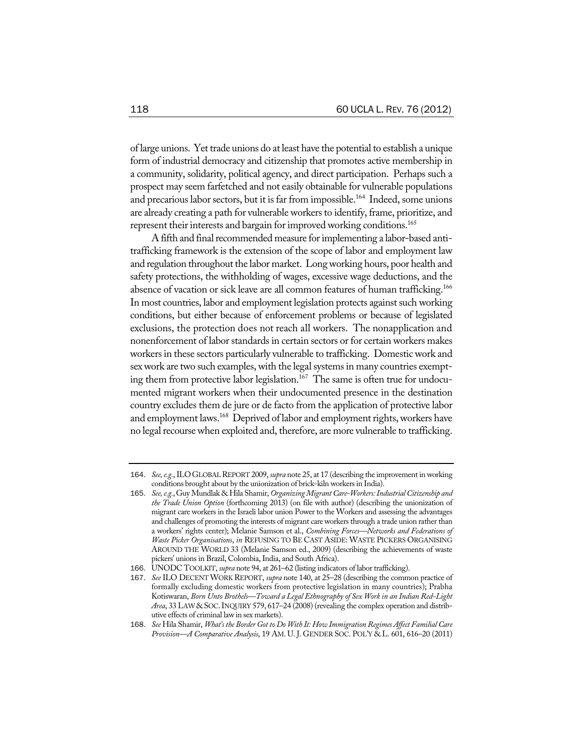of large unions. Yet trade unions do at least have the potential to establish a unique form of industrial democracy and citizenship that promotes active membership in a community, solidarity, political agency, and direct participation. Perhaps such a prospect may seem farfetched and not easily obtainable for vulnerable populations and precarious labor sectors, but it is far from impossible.<sup>164</sup> Indeed, some unions are already creating a path for vulnerable workers to identify, frame, prioritize, and represent their interests and bargain for improved working conditions.<sup>165</sup>

A fifth and final recommended measure for implementing a labor-based antitrafficking framework is the extension of the scope of labor and employment law and regulation throughout the labor market. Long working hours, poor health and safety protections, the withholding of wages, excessive wage deductions, and the absence of vacation or sick leave are all common features of human trafficking.<sup>166</sup> In most countries, labor and employment legislation protects against such working conditions, but either because of enforcement problems or because of legislated exclusions, the protection does not reach all workers. The nonapplication and nonenforcement of labor standards in certain sectors or for certain workers makes workersin these sectors particularly vulnerable to trafficking. Domestic work and sex work are two such examples, with the legal systems in many countries exempting them from protective labor legislation.<sup>167</sup> The same is often true for undocumented migrant workers when their undocumented presence in the destination country excludes them de jure or de facto from the application of protective labor and employment laws.<sup>168</sup> Deprived of labor and employment rights, workers have no legal recourse when exploited and, therefore, are more vulnerable to trafficking.

<sup>164</sup>. *See,e.g.*,ILOGLOBALREPORT 2009, *supra* note 25, at 17 (describing the improvement in working conditions brought about by the unionization of brick-kiln workers in India).

<sup>165</sup>. *See,e.g.*,GuyMundlak & Hila Shamir, *OrganizingMigrantCare-Workers:IndustrialCitizenship and the Trade Union Option* (forthcoming 2013) (on file with author) (describing the unionization of migrant care workers in the Israeli labor union Power to the Workers and assessing the advantages and challenges of promoting the interests of migrant careworkers through a trade union rather than a workers' rights center); Melanie Samson et al., *Combining Forces—Networks and Federations of Waste Picker Organisations*, *in* REFUSING TO BE CAST ASIDE: WASTE PICKERS ORGANISING AROUND THE WORLD 33 (Melanie Samson ed., 2009) (describing the achievements of waste pickers' unions in Brazil, Colombia, India, and South Africa).

<sup>166</sup>. UNODC TOOLKIT, *supra* note 94, at 261–62 (listing indicators of labor trafficking).

<sup>167</sup>. *See* ILO DECENTWORK REPORT, *supra* note 140, at 25–28 (describing the common practice of formally excluding domestic workers from protective legislation in many countries); Prabha Kotiswaran, *Born Unto Brothels—Toward a Legal Ethnography of Sex Work in an Indian Red-Light Area*, 33 LAW&SOC.INQUIRY 579, 617–24 (2008) (revealing the complex operation and distributive effects of criminal law in sex markets).

<sup>168</sup>. *See* Hila Shamir, *What's the Border Got to Do With It: How Immigration Regimes Affect FamilialCare Provision—A Comparative Analysis*, 19 AM. U. J. GENDER SOC. POL'Y & L. 601, 616–20 (2011)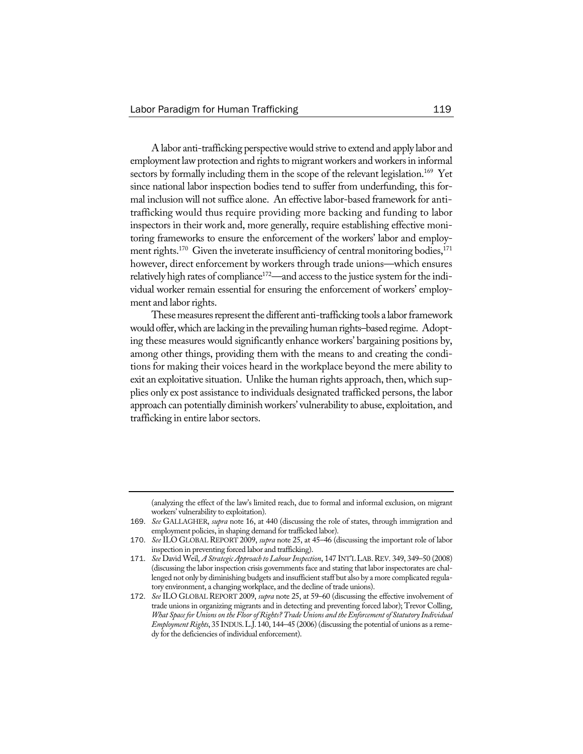A labor anti-trafficking perspectivewould strive to extend and apply labor and employment law protection and rights to migrant workers and workers in informal sectors by formally including them in the scope of the relevant legislation.<sup>169</sup> Yet since national labor inspection bodies tend to suffer from underfunding, this formal inclusion will not suffice alone. An effective labor-based framework for antitrafficking would thus require providing more backing and funding to labor inspectors in their work and, more generally, require establishing effective monitoring frameworks to ensure the enforcement of the workers' labor and employment rights.<sup>170</sup> Given the inveterate insufficiency of central monitoring bodies,<sup>171</sup> however, direct enforcement by workers through trade unions—which ensures relatively high rates of compliance<sup>172</sup>—and access to the justice system for the individual worker remain essential for ensuring the enforcement of workers' employment and labor rights.

These measures represent the different anti-trafficking tools a labor framework would offer, which are lacking in the prevailing human rights–based regime. Adopt– ing these measures would significantly enhance workers' bargaining positions by, among other things, providing them with the means to and creating the conditions for making their voices heard in the workplace beyond the mere ability to exit an exploitative situation. Unlike the human rights approach, then, which supplies only ex post assistance to individuals designated trafficked persons, the labor approach can potentially diminishworkers' vulnerability to abuse, exploitation, and trafficking in entire labor sectors.

<sup>(</sup>analyzing the effect of the law's limited reach, due to formal and informal exclusion, on migrant workers' vulnerability to exploitation).

<sup>169</sup>. *See* GALLAGHER, *supra* note 16, at 440 (discussing the role of states, through immigration and employment policies, in shaping demand for trafficked labor).

<sup>170</sup>. *See* ILO GLOBAL REPORT 2009, *supra* note 25, at 45–46 (discussing the important role of labor inspection in preventing forced labor and trafficking).

<sup>171</sup>. *See* David Weil, *A Strategic Approach to LabourInspection*, 147 INT'L LAB.REV. 349, 349–50 (2008) (discussing the labor inspection crisis governments face and stating that labor inspectorates are challenged not only by diminishing budgets and insufficient staff but also by a more complicated regulatory environment, a changing workplace, and the decline of trade unions).

<sup>172</sup>. *See* ILO GLOBALREPORT 2009, *supra* note 25, at 59–60 (discussing the effective involvement of trade unions in organizing migrants and in detecting and preventing forced labor); Trevor Colling, *What Spacefor Unionson the FloorofRights?Trade Unions and theEnforcementof Statutory Individual Employment Rights*, 35 INDUS. L.J. 140, 144–45 (2006) (discussing the potential of unions as a remedy for the deficiencies of individual enforcement).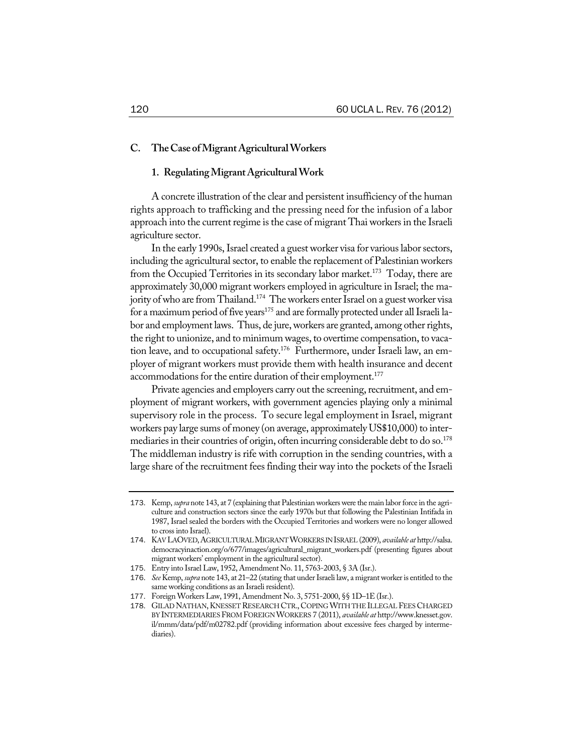## **C. TheCase ofMigrantAgriculturalWorkers**

## **1. RegulatingMigrantAgriculturalWork**

A concrete illustration of the clear and persistent insufficiency of the human rights approach to trafficking and the pressing need for the infusion of a labor approach into the current regime is the case of migrant Thai workers in the Israeli agriculture sector.

In the early 1990s, Israel created a guest worker visa for various labor sectors, including the agricultural sector, to enable the replacement of Palestinian workers from the Occupied Territories in its secondary labor market.<sup>173</sup> Today, there are approximately 30,000 migrant workers employed in agriculture in Israel; the majority of who are from Thailand.<sup>174</sup> The workers enter Israel on a guest worker visa for a maximum period of five years<sup>175</sup> and are formally protected under all Israeli labor and employment laws. Thus, de jure, workers are granted, among other rights, the right to unionize, and to minimum wages, to overtime compensation, to vacation leave, and to occupational safety.<sup>176</sup> Furthermore, under Israeli law, an employer of migrant workers must provide them with health insurance and decent accommodations for the entire duration of their employment.<sup>177</sup>

Private agencies and employers carry out the screening, recruitment, and employment of migrant workers, with government agencies playing only a minimal supervisory role in the process. To secure legal employment in Israel, migrant workers pay large sums of money (on average, approximately US\$10,000) to intermediaries in their countries of origin, often incurring considerable debt to do so.<sup>178</sup> The middleman industry is rife with corruption in the sending countries, with a large share of the recruitment fees finding their way into the pockets of the Israeli

<sup>173</sup>. Kemp, *supra* note 143, at 7 (explaining that Palestinian workers were the main laborforce in the agriculture and construction sectors since the early 1970s but that following the Palestinian Intifada in 1987, Israel sealed the borders with the Occupied Territories and workers were no longer allowed to cross into Israel).

<sup>174</sup>. KAV LAOVED,AGRICULTURALMIGRANTWORKERS INISRAEL (2009), *available at* http://salsa. democracyinaction.org/o/677/images/agricultural\_migrant\_workers.pdf (presenting figures about migrant workers' employment in the agricultural sector).

<sup>175</sup>. Entry into Israel Law, 1952, Amendment No. 11, 5763-2003, § 3A (Isr.).

<sup>176</sup>. *See* Kemp, *supra* note 143, at 21–22 (stating that underIsraeli law, a migrantworkeris entitled to the same working conditions as an Israeli resident).

<sup>177</sup>. Foreign Workers Law, 1991, Amendment No. 3, 5751-2000, §§ 1D–1E (Isr.).

<sup>178</sup>. GILAD NATHAN,KNESSET RESEARCH CTR.,COPINGWITH THE ILLEGAL FEESCHARGED BYINTERMEDIARIESFROM FOREIGNWORKERS 7 (2011), *available at* http://www.knesset.gov. il/mmm/data/pdf/m02782.pdf (providing information about excessive fees charged by intermediaries).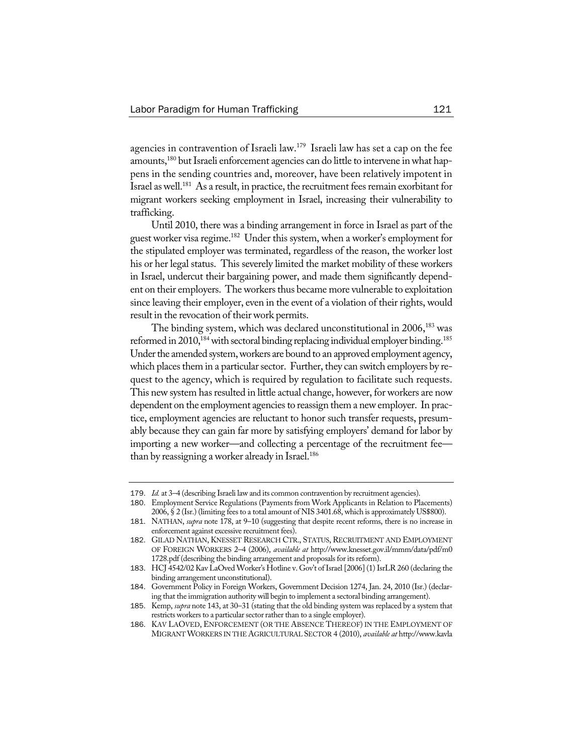agencies in contravention of Israeli law.179 Israeli law has set a cap on the fee amounts,<sup>180</sup> but Israeli enforcement agencies can do little to intervene in what happens in the sending countries and, moreover, have been relatively impotent in Israel as well.<sup>181</sup> As a result, in practice, the recruitment fees remain exorbitant for migrant workers seeking employment in Israel, increasing their vulnerability to trafficking.

Until 2010, there was a binding arrangement in force in Israel as part of the guest worker visa regime.182 Under this system, when a worker's employment for the stipulated employer was terminated, regardless of the reason, the worker lost his or her legal status. This severely limited the market mobility of these workers in Israel, undercut their bargaining power, and made them significantly dependent on their employers. The workers thus became more vulnerable to exploitation since leaving their employer, even in the event of a violation of their rights, would result in the revocation of their work permits.

The binding system, which was declared unconstitutional in  $2006$ ,  $^{183}$  was reformed in  $2010$ ,<sup>184</sup> with sectoral binding replacing individual employer binding.<sup>185</sup> Under the amended system, workers are bound to an approved employment agency, which places them in a particular sector. Further, they can switch employers by request to the agency, which is required by regulation to facilitate such requests. This new system has resulted in little actual change, however, for workers are now dependent on the employment agencies to reassign them a new employer. In practice, employment agencies are reluctant to honor such transfer requests, presumably because they can gain far more by satisfying employers' demand for labor by importing a new worker—and collecting a percentage of the recruitment fee than by reassigning a worker already in Israel.<sup>186</sup>

<sup>179</sup>. *Id.* at 3–4 (describing Israeli law and its common contravention by recruitment agencies).

<sup>180</sup>. Employment Service Regulations (Payments from Work Applicants in Relation to Placements) 2006, § 2 (Isr.) (limiting fees to a total amount of NIS 3401.68, which is approximately US\$800).

<sup>181</sup>. NATHAN, *supra* note 178, at 9–10 (suggesting that despite recent reforms, there is no increase in enforcement against excessive recruitment fees).

<sup>182</sup>. GILAD NATHAN, KNESSET RESEARCH CTR., STATUS, RECRUITMENT AND EMPLOYMENT OF FOREIGN WORKERS 2–4 (2006), *available at* http://www.knesset.gov.il/mmm/data/pdf/m0 1728.pdf (describing the binding arrangement and proposals for its reform).

<sup>183</sup>. HCJ 4542/02 Kav LaOved Worker's Hotline v. Gov't ofIsrael [2006](1)IsrLR 260 (declaring the binding arrangement unconstitutional).

<sup>184</sup>. Government Policy in Foreign Workers, Government Decision 1274, Jan. 24, 2010 (Isr.) (declaring that the immigration authority will begin to implement a sectoral binding arrangement).

<sup>185</sup>. Kemp, *supra* note 143, at 30–31 (stating that the old binding system was replaced by a system that restricts workers to a particular sector rather than to a single employer).

<sup>186</sup>. KAV LAOVED, ENFORCEMENT (OR THE ABSENCE THEREOF) IN THE EMPLOYMENT OF MIGRANTWORKERS IN THE AGRICULTURAL SECTOR 4 (2010), *available at* http://www.kavla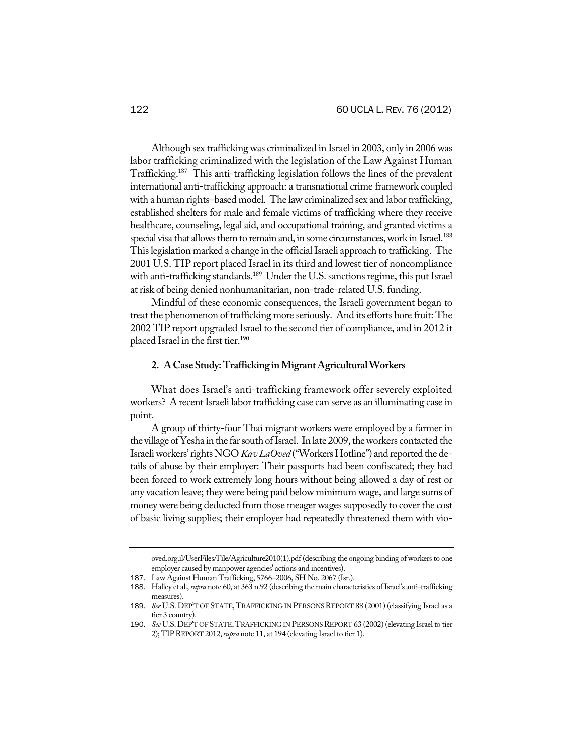Although sex trafficking was criminalized in Israel in 2003, only in 2006 was labor trafficking criminalized with the legislation of the Law Against Human Trafficking.187 This anti-trafficking legislation follows the lines of the prevalent international anti-trafficking approach: a transnational crime framework coupled with a human rights–based model. The law criminalized sex and labor trafficking, established shelters for male and female victims of trafficking where they receive healthcare, counseling, legal aid, and occupational training, and granted victims a special visa that allows them to remain and, in some circumstances, work in Israel.<sup>188</sup> This legislation marked a change in the official Israeli approach to trafficking. The 2001 U.S. TIP report placed Israel in its third and lowest tier of noncompliance with anti-trafficking standards.<sup>189</sup> Under the U.S. sanctions regime, this put Israel at risk of being denied nonhumanitarian, non-trade-related U.S. funding.

Mindful of these economic consequences, the Israeli government began to treat the phenomenon of trafficking more seriously. And its efforts bore fruit: The 2002 TIP report upgraded Israel to the second tier of compliance, and in 2012 it placed Israel in the first tier.<sup>190</sup>

#### **2. ACaseStudy:Trafficking inMigrantAgriculturalWorkers**

What does Israel's anti-trafficking framework offer severely exploited workers? A recent Israeli labor trafficking case can serve as an illuminating case in point.

A group of thirty-four Thai migrant workers were employed by a farmer in the village of Yesha in the far south of Israel. In late 2009, the workers contacted the Israeli workers' rights NGO *Kav LaOved* ("Workers Hotline") and reported the details of abuse by their employer: Their passports had been confiscated; they had been forced to work extremely long hours without being allowed a day of rest or any vacation leave; they were being paid below minimum wage, and large sums of money were being deducted from those meager wages supposedly to cover the cost of basic living supplies; their employer had repeatedly threatened them with vio-

oved.org.il/UserFiles/File/Agriculture2010(1).pdf (describing the ongoing binding of workers to one employer caused by manpower agencies' actions and incentives).

<sup>187</sup>. Law Against Human Trafficking, 5766–2006, SH No. 2067 (Isr.).

<sup>188</sup>. Halley et al., *supra* note 60, at 363 n.92 (describing the main characteristics ofIsrael's anti-trafficking measures).

<sup>189.</sup> *See* U.S. DEP'T OF STATE, TRAFFICKING IN PERSONS REPORT 88 (2001) (classifying Israel as a tier 3 country).

<sup>190.</sup> *See* U.S. DEP'T OF STATE, TRAFFICKING IN PERSONS REPORT 63 (2002) (elevating Israel to tier 2); TIPREPORT 2012,*supra* note 11, at 194 (elevating Israel to tier 1).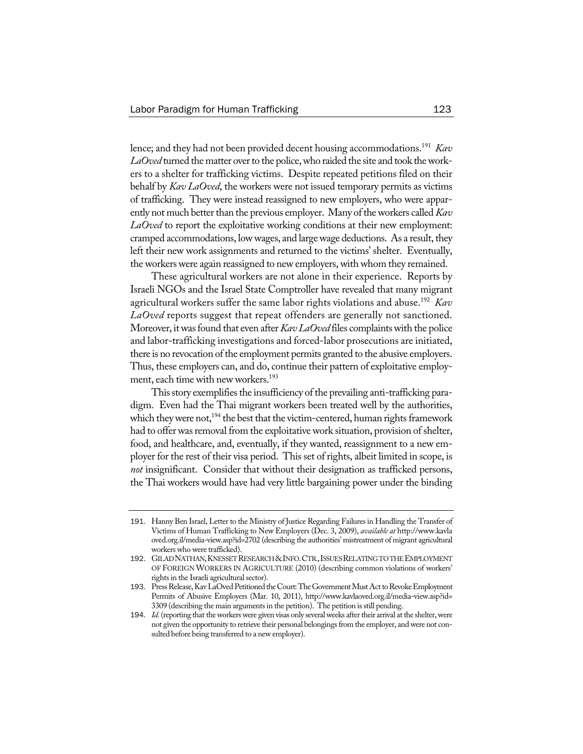lence; and they had not been provided decent housing accommodations.191 *Kav* LaOved turned the matter over to the police, who raided the site and took the workers to a shelter for trafficking victims. Despite repeated petitions filed on their behalf by *Kav LaOved*, the workers were not issued temporary permits as victims of trafficking. They were instead reassigned to new employers, who were apparently not much better than the previous employer. Many of the workers called *Kav LaOved* to report the exploitative working conditions at their new employment: cramped accommodations, low wages, and large wage deductions. As a result, they left their new work assignments and returned to the victims' shelter. Eventually, the workers were again reassigned to new employers, with whom they remained.

These agricultural workers are not alone in their experience. Reports by Israeli NGOs and the Israel State Comptroller have revealed that many migrant agricultural workers suffer the same labor rights violations and abuse.192 *Kav LaOved* reports suggest that repeat offenders are generally not sanctioned. Moreover, it was found that even after *Kav LaOved* files complaints with the police and labor-trafficking investigations and forced-labor prosecutions are initiated, there is no revocation of the employment permits granted to the abusive employers. Thus, these employers can, and do, continue their pattern of exploitative employment, each time with new workers.<sup>193</sup>

This story exemplifies the insufficiency of the prevailing anti-trafficking paradigm. Even had the Thai migrant workers been treated well by the authorities, which they were not,<sup>194</sup> the best that the victim-centered, human rights framework had to offer was removal from the exploitative work situation, provision of shelter, food, and healthcare, and, eventually, if they wanted, reassignment to a new employer for the rest of their visa period. This set of rights, albeit limited in scope, is *not* insignificant. Consider that without their designation as trafficked persons, the Thai workers would have had very little bargaining power under the binding

<sup>191</sup>. Hanny Ben Israel, Letter to the Ministry of Justice Regarding Failures in Handling the Transfer of Victims of Human Trafficking to New Employers (Dec. 3, 2009), *available at* http://www.kavla oved.org.il/media-view.asp?id=2702 (describing the authorities' mistreatment of migrant agricultural workers who were trafficked).

<sup>192</sup>. GILADNATHAN,KNESSETRESEARCH&INFO.CTR.,ISSUESRELATINGTOTHEEMPLOYMENT OF FOREIGN WORKERS IN AGRICULTURE (2010) (describing common violations of workers' rights in the Israeli agricultural sector).

<sup>193.</sup> Press Release, Kav LaOved Petitioned the Court: The Government Must Act to Revoke Employment Permits of Abusive Employers (Mar. 10, 2011), http://www.kavlaoved.org.il/media-view.asp?id= 3309 (describing the main arguments in the petition). The petition isstill pending.

<sup>194.</sup> *Id.* (reporting that the workers were given visas only several weeks after their arrival at the shelter, were not given the opportunity to retrieve their personal belongings from the employer, and were not consulted before being transferred to a new employer).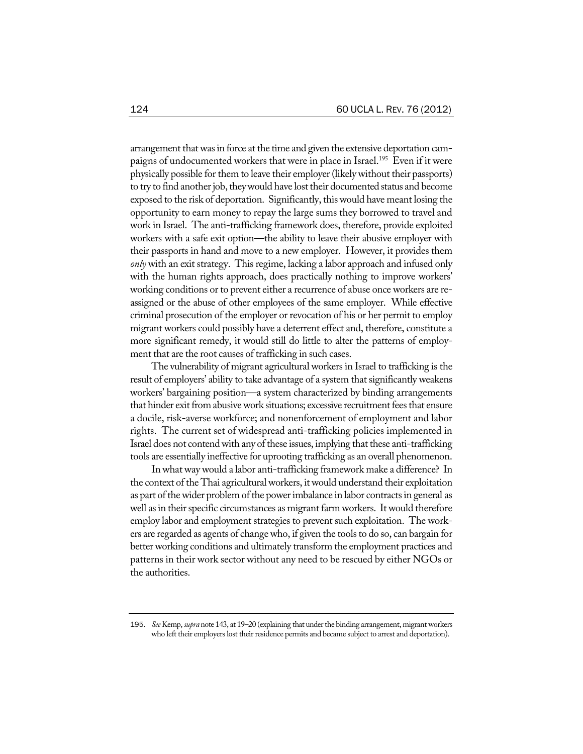arrangement that was in force at the time and given the extensive deportation campaigns of undocumented workers that were in place in Israel.<sup>195</sup> Even if it were physically possible for them to leave their employer (likely without their passports) to try to find another job, they would have lost their documented status and become exposed to the risk of deportation. Significantly, this would have meant losing the opportunity to earn money to repay the large sums they borrowed to travel and work in Israel. The anti-trafficking framework does, therefore, provide exploited workers with a safe exit option—the ability to leave their abusive employer with their passports in hand and move to a new employer. However, it provides them *only* with an exit strategy. This regime, lacking a labor approach and infused only with the human rights approach, does practically nothing to improve workers' working conditions or to prevent either a recurrence of abuse once workers are reassigned or the abuse of other employees of the same employer. While effective criminal prosecution of the employer or revocation of his or her permit to employ migrant workers could possibly have a deterrent effect and, therefore, constitute a more significant remedy, it would still do little to alter the patterns of employment that are the root causes of trafficking in such cases.

The vulnerability of migrant agricultural workers in Israel to trafficking is the result of employers' ability to take advantage of a system that significantly weakens workers' bargaining position—a system characterized by binding arrangements that hinder exit from abusive work situations; excessive recruitment fees that ensure a docile, risk-averse workforce; and nonenforcement of employment and labor rights. The current set of widespread anti-trafficking policies implemented in Israel does not contend with any of these issues, implying that these anti-trafficking tools are essentially ineffective for uprooting trafficking as an overall phenomenon.

In what way would a labor anti-trafficking framework make a difference? In the context of the Thai agriculturalworkers, itwould understand their exploitation as part of the wider problem of the power imbalance in labor contracts in general as well as in their specific circumstances as migrant farm workers. It would therefore employ labor and employment strategies to prevent such exploitation. The workers are regarded as agents of change who, if given the tools to do so, can bargain for better working conditions and ultimately transform the employment practices and patterns in their work sector without any need to be rescued by either NGOs or the authorities.

<sup>195</sup>. *See* Kemp, *supra* note 143, at 19–20 (explaining that underthe binding arrangement, migrant workers who left their employers lost their residence permits and became subject to arrest and deportation).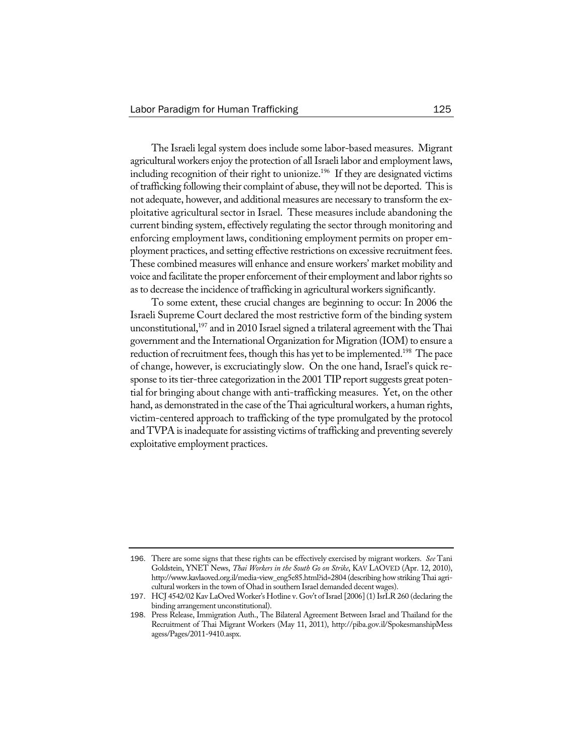The Israeli legal system does include some labor-based measures. Migrant agricultural workers enjoy the protection of all Israeli labor and employment laws, including recognition of their right to unionize.<sup>196</sup> If they are designated victims of trafficking following their complaint of abuse, they will not be deported. This is not adequate, however, and additional measures are necessary to transform the exploitative agricultural sector in Israel. These measures include abandoning the current binding system, effectively regulating the sector through monitoring and enforcing employment laws, conditioning employment permits on proper employment practices, and setting effective restrictions on excessive recruitment fees. These combined measures will enhance and ensure workers' market mobility and voice and facilitate the proper enforcement of their employment and labor rights so as to decrease the incidence of trafficking in agricultural workers significantly.

To some extent, these crucial changes are beginning to occur: In 2006 the Israeli Supreme Court declared the most restrictive form of the binding system unconstitutional, $197$  and in 2010 Israel signed a trilateral agreement with the Thai government and the International Organization for Migration (IOM) to ensure a reduction of recruitment fees, though this has yet to be implemented.<sup>198</sup> The pace of change, however, is excruciatingly slow. On the one hand, Israel's quick response to its tier-three categorization in the 2001 TIP report suggests great potential for bringing about change with anti-trafficking measures. Yet, on the other hand, as demonstrated in the case of the Thai agricultural workers, a human rights, victim-centered approach to trafficking of the type promulgated by the protocol and TVPA is inadequate for assisting victims of trafficking and preventing severely exploitative employment practices.

<sup>196</sup>. There are some signs that these rights can be effectively exercised by migrant workers. *See* Tani Goldstein, YNET News, *Thai Workers in the South Go on Strike*, KAV LAOVED (Apr. 12, 2010), http://www.kavlaoved.org.il/media-view\_eng5e85.html?id=2804 (describing howstriking Thai agricultural workers in the town of Ohad in southern Israel demanded decent wages).

<sup>197</sup>. HCJ 4542/02 Kav LaOved Worker's Hotline v. Gov't ofIsrael [2006](1)IsrLR 260 (declaring the binding arrangement unconstitutional).

<sup>198</sup>. Press Release, Immigration Auth., The Bilateral Agreement Between Israel and Thailand for the Recruitment of Thai Migrant Workers (May 11, 2011), http://piba.gov.il/SpokesmanshipMess agess/Pages/2011-9410.aspx.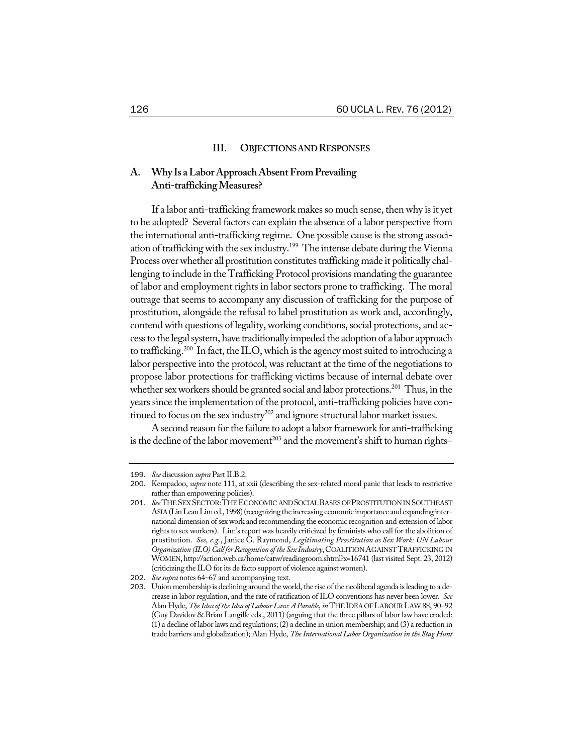## **III. OBJECTIONSANDRESPONSES**

# **A. Why Is aLaborApproachAbsentFromPrevailing Anti-traffickingMeasures?**

If a labor anti-trafficking framework makes so much sense, then why is it yet to be adopted? Several factors can explain the absence of a labor perspective from the international anti-trafficking regime. One possible cause is the strong association of trafficking with the sex industry.<sup>199</sup> The intense debate during the Vienna Process over whether all prostitution constitutes trafficking made it politically challenging to include in the Trafficking Protocol provisions mandating the guarantee of labor and employment rights in labor sectors prone to trafficking. The moral outrage that seems to accompany any discussion of trafficking for the purpose of prostitution, alongside the refusal to label prostitution as work and, accordingly, contend with questions of legality, working conditions, social protections, and access to the legal system, have traditionally impeded the adoption of a labor approach to trafficking.<sup>200</sup> In fact, the ILO, which is the agency most suited to introducing a labor perspective into the protocol, was reluctant at the time of the negotiations to propose labor protections for trafficking victims because of internal debate over whether sex workers should be granted social and labor protections.<sup>201</sup> Thus, in the years since the implementation of the protocol, anti-trafficking policies have continued to focus on the sex industry<sup>202</sup> and ignore structural labor market issues.

A second reason for the failure to adopt a labor framework for anti-trafficking is the decline of the labor movement<sup>203</sup> and the movement's shift to human rights–

<sup>199.</sup> *See* discussion *supra* Part II.B.2.

<sup>200</sup>. Kempadoo, *supra* note 111, at xxii (describing the sex-related moral panic that leads to restrictive rather than empowering policies).

<sup>201</sup>. *See*THESEXSECTOR:THEECONOMICANDSOCIALBASESOFPROSTITUTIONINSOUTHEAST ASIA (Lin Lean Lim ed., 1998) (recognizing the increasing economic importance and expanding international dimension of sex work and recommending the economic recognition and extension of labor rights to sex workers). Lim's report was heavily criticized by feminists who call for the abolition of prostitution. *See, e.g.*, Janice G. Raymond, *Legitimating Prostitution as Sex Work: UN Labour Organization (ILO)Call forRecognition ofthe Sex Industry*,COALITIONAGAINSTTRAFFICKING IN WOMEN, http://action.web.ca/home/catw/readingroom.shtml?x=16741 (last visited Sept. 23, 2012) (criticizing the ILO for its de facto support of violence against women).

<sup>202</sup>. *See supra* notes 64–67 and accompanying text.

<sup>203</sup>. Union membership is declining around theworld, the rise of the neoliberal agenda isleading to a decrease in labor regulation, and the rate of ratification of ILO conventions has never been lower. *See* Alan Hyde, *TheIdea oftheIdea ofLabourLaw:AParable*, *in* THEIDEA OFLABOURLAW 88, 90–92 (Guy Davidov & Brian Langille eds., 2011) (arguing that the three pillars of labor law have eroded: (1) a decline of labor laws and regulations; (2) a decline in union membership; and (3) a reduction in trade barriers and globalization); Alan Hyde, *TheInternational Labor Organization in the Stag Hunt*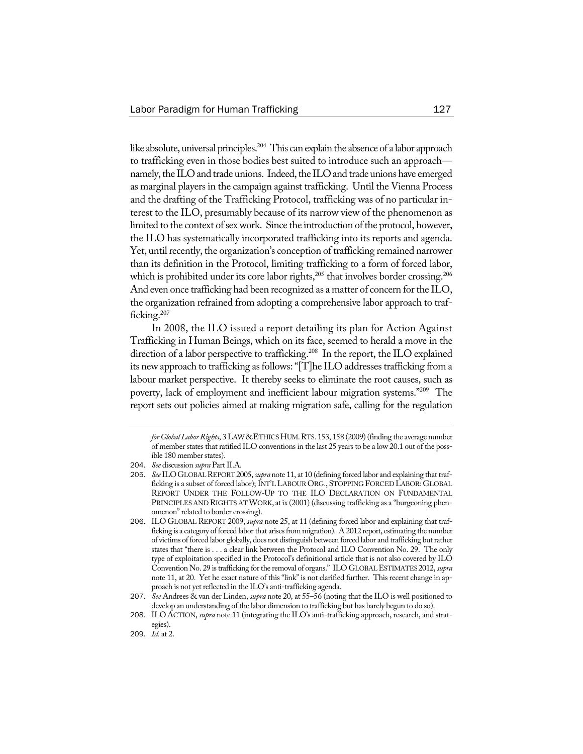like absolute, universal principles.<sup>204</sup> This can explain the absence of a labor approach to trafficking even in those bodies best suited to introduce such an approach namely, the ILO and trade unions. Indeed, the ILO and trade unions have emerged as marginal players in the campaign against trafficking. Until the Vienna Process and the drafting of the Trafficking Protocol, trafficking was of no particular interest to the ILO, presumably because of its narrow view of the phenomenon as limited to the context of sex work. Since the introduction of the protocol, however, the ILO has systematically incorporated trafficking into its reports and agenda. Yet, until recently, the organization's conception of trafficking remained narrower than its definition in the Protocol, limiting trafficking to a form of forced labor, which is prohibited under its core labor rights,<sup>205</sup> that involves border crossing.<sup>206</sup> And even once trafficking had been recognized as a matter of concern for the ILO, the organization refrained from adopting a comprehensive labor approach to trafficking.207

In 2008, the ILO issued a report detailing its plan for Action Against Trafficking in Human Beings, which on its face, seemed to herald a move in the direction of a labor perspective to trafficking.<sup>208</sup> In the report, the ILO explained its new approach to trafficking as follows: "[T]he ILO addresses trafficking from a labour market perspective. It thereby seeks to eliminate the root causes, such as poverty, lack of employment and inefficient labour migration systems."209 The report sets out policies aimed at making migration safe, calling for the regulation

for Global Labor Rights, 3 LAW & ETHICS HUM. RTS. 153, 158 (2009) (finding the average number of member states that ratified ILO conventions in the last 25 years to be a low 20.1 out of the possible 180 member states).

<sup>204.</sup> *See* discussion *supra* Part II.A.

<sup>205</sup>. *See*ILOGLOBALREPORT2005, *supra* note 11, at 10 (defining forced labor and explaining that trafficking is a subset of forced labor); INT'L LABOUR ORG., STOPPING FORCED LABOR: GLOBAL REPORT UNDER THE FOLLOW-UP TO THE ILO DECLARATION ON FUNDAMENTAL PRINCIPLES AND RIGHTS AT WORK, at ix (2001) (discussing trafficking as a "burgeoning phenomenon" related to border crossing).

<sup>206</sup>. ILO GLOBALREPORT 2009, *supra* note 25, at 11 (defining forced labor and explaining that trafficking is a category of forced labor that arises from migration). A 2012 report, estimating the number of victims of forced labor globally, does not distinguish between forced labor and trafficking but rather states that "there is . . . a clear link between the Protocol and ILO Convention No. 29. The only type of exploitation specified in the Protocol's definitional article that is not also covered by ILO Convention No. 29 istrafficking forthe removal of organs." ILO GLOBALESTIMATES 2012, *supra* note 11, at 20. Yet he exact nature of this "link" is not clarified further. This recent change in approach is not yet reflected in the ILO's anti-trafficking agenda.

<sup>207</sup>. *See* Andrees & van der Linden, *supra* note 20, at 55–56 (noting that the ILO is well positioned to develop an understanding of the labor dimension to trafficking but has barely begun to do so).

<sup>208</sup>. ILO ACTION, *supra* note 11 (integrating the ILO's anti-trafficking approach, research, and strategies).

<sup>209</sup>. *Id.* at 2.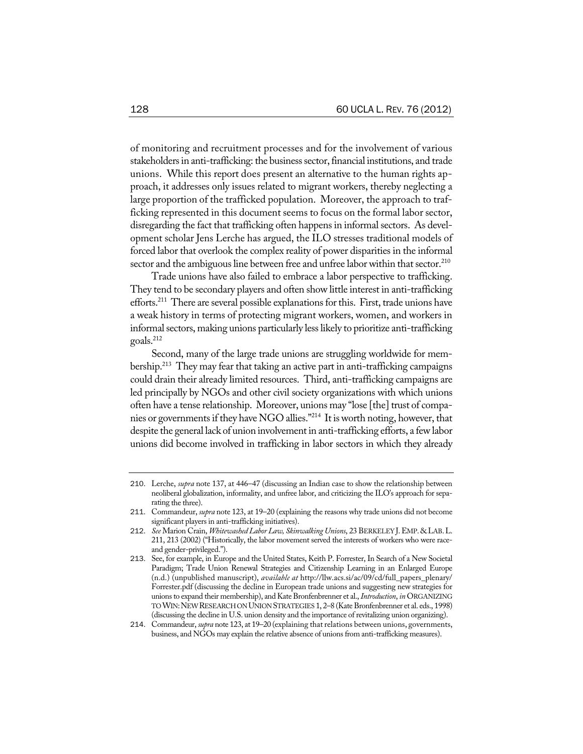of monitoring and recruitment processes and for the involvement of various stakeholders in anti-trafficking: the business sector, financial institutions, and trade unions. While this report does present an alternative to the human rights approach, it addresses only issues related to migrant workers, thereby neglecting a large proportion of the trafficked population. Moreover, the approach to trafficking represented in this document seems to focus on the formal labor sector, disregarding the fact that trafficking often happens in informal sectors. As development scholar Jens Lerche has argued, the ILO stresses traditional models of forced labor that overlook the complex reality of power disparities in the informal sector and the ambiguous line between free and unfree labor within that sector.<sup>210</sup>

Trade unions have also failed to embrace a labor perspective to trafficking. They tend to be secondary players and often show little interest in anti-trafficking efforts.<sup>211</sup> There are several possible explanations for this. First, trade unions have a weak history in terms of protecting migrant workers, women, and workers in informal sectors, making unions particularly less likely to prioritize anti-trafficking goals.212

Second, many of the large trade unions are struggling worldwide for membership.<sup>213</sup> They may fear that taking an active part in anti-trafficking campaigns could drain their already limited resources. Third, anti-trafficking campaigns are led principally by NGOs and other civil society organizations with which unions often have a tense relationship. Moreover, unions may "lose [the] trust of companies or governments if they have NGO allies."<sup>214</sup> It is worth noting, however, that despite the general lack of union involvement in anti-trafficking efforts, a few labor unions did become involved in trafficking in labor sectors in which they already

<sup>210</sup>. Lerche, *supra* note 137, at 446–47 (discussing an Indian case to show the relationship between neoliberal globalization, informality, and unfree labor, and criticizing the ILO's approach for separating the three).

<sup>211</sup>. Commandeur, *supra* note 123, at 19–20 (explaining the reasons why trade unions did not become significant players in anti-trafficking initiatives).

<sup>212</sup>. *See* Marion Crain, *Whitewashed Labor Law, Skinwalking Unions*, 23 BERKELEY J.EMP. &LAB.L. 211, 213 (2002) ("Historically, the labor movement served the interests of workers who were raceand gender-privileged.").

<sup>213</sup>. See, for example, in Europe and the United States, Keith P. Forrester, In Search of a New Societal Paradigm; Trade Union Renewal Strategies and Citizenship Learning in an Enlarged Europe (n.d.) (unpublished manuscript), *available at* http://llw.acs.si/ac/09/cd/full\_papers\_plenary/ Forrester.pdf (discussing the decline in European trade unions and suggesting new strategies for unions to expand their membership), and Kate Bronfenbrenner et al., *Introduction*, *in* ORGANIZING TOWIN: NEW RESEARCH ON UNION STRATEGIES 1, 2-8 (Kate Bronfenbrenner et al. eds., 1998) (discussing the decline in U.S. union density and the importance of revitalizing union organizing).

<sup>214</sup>. Commandeur, *supra* note 123, at 19–20 (explaining that relations between unions, governments, business, and NGOs may explain the relative absence of unions from anti-trafficking measures).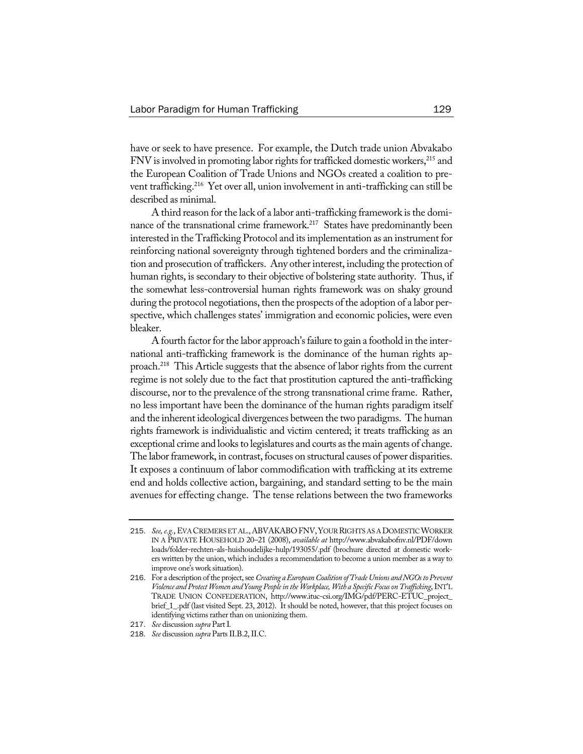have or seek to have presence. For example, the Dutch trade union Abvakabo FNV is involved in promoting labor rights for trafficked domestic workers,<sup>215</sup> and the European Coalition of Trade Unions and NGOs created a coalition to prevent trafficking.<sup>216</sup> Yet over all, union involvement in anti-trafficking can still be described as minimal.

A third reason for the lack of a labor anti-trafficking framework is the dominance of the transnational crime framework.<sup>217</sup> States have predominantly been interested in the Trafficking Protocol and itsimplementation as an instrument for reinforcing national sovereignty through tightened borders and the criminalization and prosecution of traffickers. Any other interest, including the protection of human rights, is secondary to their objective of bolstering state authority. Thus, if the somewhat less-controversial human rights framework was on shaky ground during the protocol negotiations, then the prospects of the adoption of a labor perspective, which challenges states' immigration and economic policies, were even bleaker.

A fourth factor for the labor approach's failure to gain a foothold in the international anti-trafficking framework is the dominance of the human rights approach.218 This Article suggests that the absence of labor rights from the current regime is not solely due to the fact that prostitution captured the anti-trafficking discourse, nor to the prevalence of the strong transnational crime frame. Rather, no less important have been the dominance of the human rights paradigm itself and the inherent ideological divergences between the two paradigms. The human rights framework is individualistic and victim centered; it treats trafficking as an exceptional crime and looks to legislatures and courts as the main agents of change. The labor framework, in contrast, focuses on structural causes of power disparities. It exposes a continuum of labor commodification with trafficking at its extreme end and holds collective action, bargaining, and standard setting to be the main avenues for effecting change. The tense relations between the two frameworks

<sup>215.</sup> See, e.g., EVA CREMERS ET AL., ABVAKABO FNV, YOUR RIGHTS AS A DOMESTIC WORKER IN A PRIVATE HOUSEHOLD 20–21 (2008), *available at* http://www.abvakabofnv.nl/PDF/down loads/folder-rechten-als-huishoudelijke-hulp/193055/.pdf (brochure directed at domestic workers written by the union, which includes a recommendation to become a union member as a way to improve one's work situation).

<sup>216.</sup> For a description of the project, see Creating a European Coalition of Trade Unions and NGOs to Prevent *Violence andProtectWomen and YoungPeoplein the Workplace, With a SpecificFocusonTrafficking*,INT'L TRADE UNION CONFEDERATION, http://www.ituc-csi.org/IMG/pdf/PERC-ETUC\_project\_ brief\_1\_.pdf (last visited Sept. 23, 2012). It should be noted, however, that this project focuses on identifying victims rather than on unionizing them.

<sup>217</sup>. *See* discussion *supra* PartI*.*

<sup>218.</sup> *See* discussion *supra* Parts II.B.2, II.C.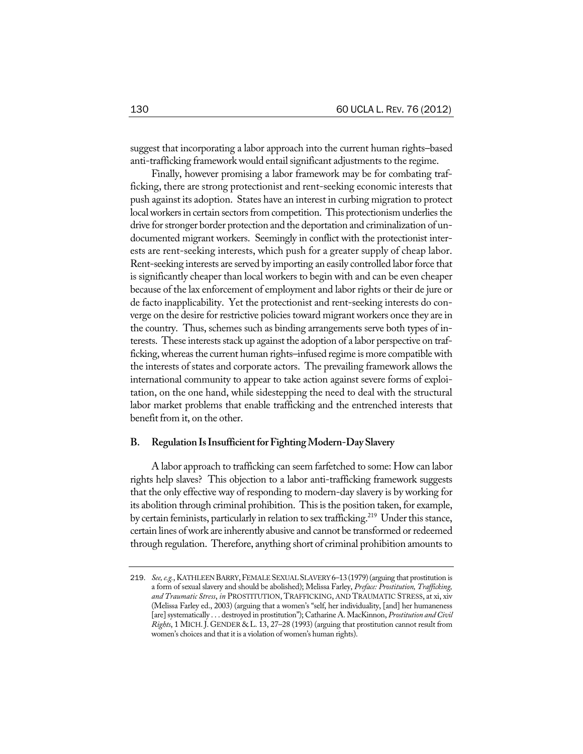suggest that incorporating a labor approach into the current human rights–based anti-trafficking framework would entail significant adjustments to the regime.

Finally, however promising a labor framework may be for combating trafficking, there are strong protectionist and rent-seeking economic interests that push against its adoption. States have an interest in curbing migration to protect local workers in certain sectors from competition. This protectionism underlies the drive for stronger border protection and the deportation and criminalization of undocumented migrant workers. Seemingly in conflict with the protectionist interests are rent-seeking interests, which push for a greater supply of cheap labor. Rent-seeking interests are served by importing an easily controlled labor force that is significantly cheaper than local workers to begin with and can be even cheaper because of the lax enforcement of employment and labor rights or their de jure or de facto inapplicability. Yet the protectionist and rent-seeking interests do converge on the desire for restrictive policies toward migrant workers once they are in the country. Thus, schemes such as binding arrangements serve both types of interests. These interests stack up against the adoption of a labor perspective on trafficking,whereasthe current human rights–infused regime is more compatiblewith the interests of states and corporate actors. The prevailing framework allows the international community to appear to take action against severe forms of exploitation, on the one hand, while sidestepping the need to deal with the structural labor market problems that enable trafficking and the entrenched interests that benefit from it, on the other.

#### **B. RegulationIsInsufficientforFightingModern-DaySlavery**

A labor approach to trafficking can seem farfetched to some: How can labor rights help slaves? This objection to a labor anti-trafficking framework suggests that the only effective way of responding to modern-day slavery is by working for its abolition through criminal prohibition. This is the position taken, for example, by certain feminists, particularly in relation to sex trafficking.<sup>219</sup> Under this stance, certain lines ofwork are inherently abusive and cannot be transformed or redeemed through regulation. Therefore, anything short of criminal prohibition amounts to

<sup>219.</sup> *See, e.g.*, KATHLEEN BARRY, FEMALE SEXUAL SLAVERY 6-13 (1979) (arguing that prostitution is a form of sexual slavery and should be abolished); Melissa Farley, *Preface: Prostitution, Trafficking, and Traumatic Stress*, *in* PROSTITUTION, TRAFFICKING, AND TRAUMATIC STRESS, at xi, xiv (Melissa Farley ed., 2003) (arguing that a women's "self, her individuality, [and] her humaneness [are] systematically . . . destroyed in prostitution"); Catharine A. MacKinnon, *Prostitution and Civil Rights*, 1 MICH. J. GENDER & L. 13, 27–28 (1993) (arguing that prostitution cannot result from women's choices and that it is a violation of women's human rights).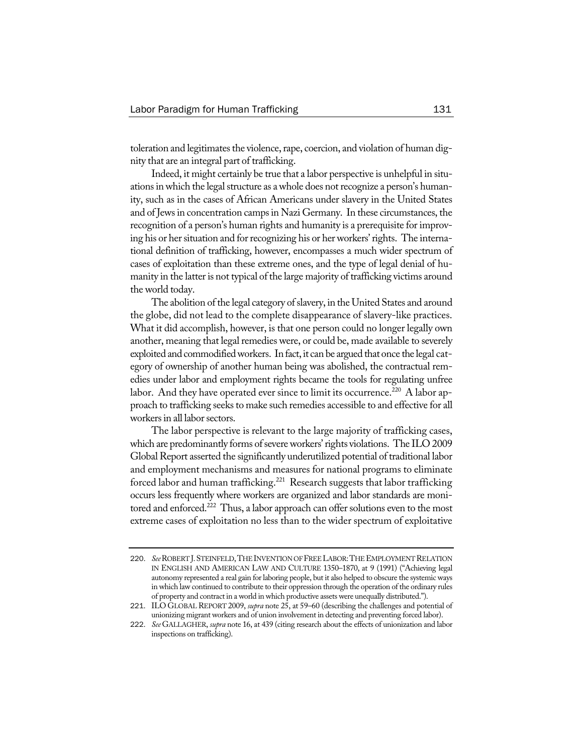toleration and legitimates the violence, rape, coercion, and violation of human dignity that are an integral part of trafficking.

Indeed, it might certainly be true that a labor perspective is unhelpful in situations in which the legal structure as a whole does not recognize a person's humanity, such as in the cases of African Americans under slavery in the United States and of Jews in concentration camps in Nazi Germany. In these circumstances, the recognition of a person's human rights and humanity is a prerequisite for improving his or her situation and for recognizing his or her workers' rights. The international definition of trafficking, however, encompasses a much wider spectrum of cases of exploitation than these extreme ones, and the type of legal denial of humanity in the latter is not typical of the large majority of trafficking victims around the world today.

The abolition of the legal category of slavery, in the United States and around the globe, did not lead to the complete disappearance of slavery-like practices. What it did accomplish, however, is that one person could no longer legally own another, meaning that legal remedies were, or could be, made available to severely exploited and commodified workers. In fact, it can be argued that once the legal category of ownership of another human being was abolished, the contractual remedies under labor and employment rights became the tools for regulating unfree labor. And they have operated ever since to limit its occurrence.<sup>220</sup> A labor approach to trafficking seeks to make such remedies accessible to and effective for all workers in all labor sectors.

The labor perspective is relevant to the large majority of trafficking cases, which are predominantly forms of severe workers' rights violations. The ILO 2009 Global Report asserted the significantly underutilized potential of traditional labor and employment mechanisms and measures for national programs to eliminate forced labor and human trafficking.<sup>221</sup> Research suggests that labor trafficking occurs less frequently where workers are organized and labor standards are monitored and enforced.<sup>222</sup> Thus, a labor approach can offer solutions even to the most extreme cases of exploitation no less than to the wider spectrum of exploitative

<sup>220</sup>. *See*ROBERT J.STEINFELD,THEINVENTION OFFREELABOR:THEEMPLOYMENT RELATION IN ENGLISH AND AMERICAN LAW AND CULTURE 1350–1870, at 9 (1991) ("Achieving legal autonomy represented a real gain for laboring people, but it also helped to obscure the systemic ways in which law continued to contribute to their oppression through the operation of the ordinary rules of property and contract in a world in which productive assets were unequally distributed.").

<sup>221</sup>. ILO GLOBALREPORT 2009, *supra* note 25, at 59–60 (describing the challenges and potential of unionizing migrant workers and of union involvement in detecting and preventing forced labor).

<sup>222</sup>. *See* GALLAGHER, *supra* note 16, at 439 (citing research about the effects of unionization and labor inspections on trafficking).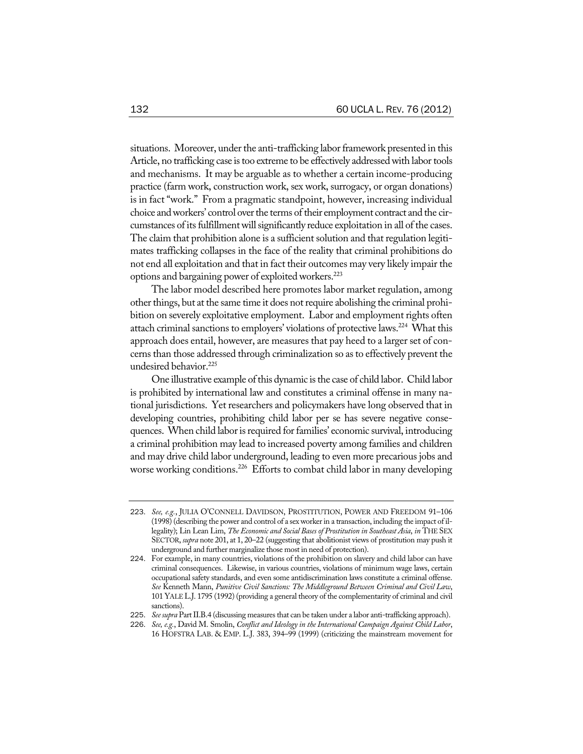situations. Moreover, under the anti-trafficking labor framework presented in this Article, no trafficking case is too extreme to be effectively addressed with labor tools and mechanisms. It may be arguable as to whether a certain income-producing practice (farm work, construction work, sex work, surrogacy, or organ donations) is in fact "work." From a pragmatic standpoint, however, increasing individual choice and workers' control over the terms of their employment contract and the circumstances of its fulfillment will significantly reduce exploitation in all of the cases. The claim that prohibition alone is a sufficient solution and that regulation legitimates trafficking collapses in the face of the reality that criminal prohibitions do not end all exploitation and that in fact their outcomes may very likely impair the options and bargaining power of exploited workers.<sup>223</sup>

The labor model described here promotes labor market regulation, among other things, but at the same time it does not require abolishing the criminal prohibition on severely exploitative employment. Labor and employment rights often attach criminal sanctions to employers' violations of protective laws.<sup>224</sup> What this approach does entail, however, are measures that pay heed to a larger set of concerns than those addressed through criminalization so asto effectively prevent the undesired behavior.<sup>225</sup>

One illustrative example of this dynamic is the case of child labor. Child labor is prohibited by international law and constitutes a criminal offense in many national jurisdictions. Yet researchers and policymakers have long observed that in developing countries, prohibiting child labor per se has severe negative consequences. When child labor is required for families' economic survival, introducing a criminal prohibition may lead to increased poverty among families and children and may drive child labor underground, leading to even more precarious jobs and worse working conditions.<sup>226</sup> Efforts to combat child labor in many developing

<sup>223</sup>. *See, e.g.*, JULIA O'CONNELL DAVIDSON, PROSTITUTION, POWER AND FREEDOM 91–106 (1998) (describing the power and control of a sex workerin a transaction, including the impact of illegality); Lin Lean Lim, *The Economic and Social Basesof Prostitution in Southeast Asia*, *in* THE SEX SECTOR, *supra* note 201, at 1, 20–22 (suggesting that abolitionist views of prostitution may push it underground and further marginalize those most in need of protection).

<sup>224</sup>. For example, in many countries, violations of the prohibition on slavery and child labor can have criminal consequences. Likewise, in various countries, violations of minimum wage laws, certain occupational safety standards, and even some antidiscrimination laws constitute a criminal offense. *See* Kenneth Mann, *Punitive Civil Sanctions: The Middleground Between Criminal and Civil Law*, 101 YALE L.J. 1795 (1992) (providing a general theory of the complementarity of criminal and civil sanctions).

<sup>225</sup>. *Seesupra* PartII.B.4 (discussing measures that can be taken under a labor anti-trafficking approach).

<sup>226</sup>. *See, e.g.*, David M. Smolin, *Conflict and Ideology in the International Campaign Against Child Labor*, 16 HOFSTRA LAB. & EMP. L.J. 383, 394–99 (1999) (criticizing the mainstream movement for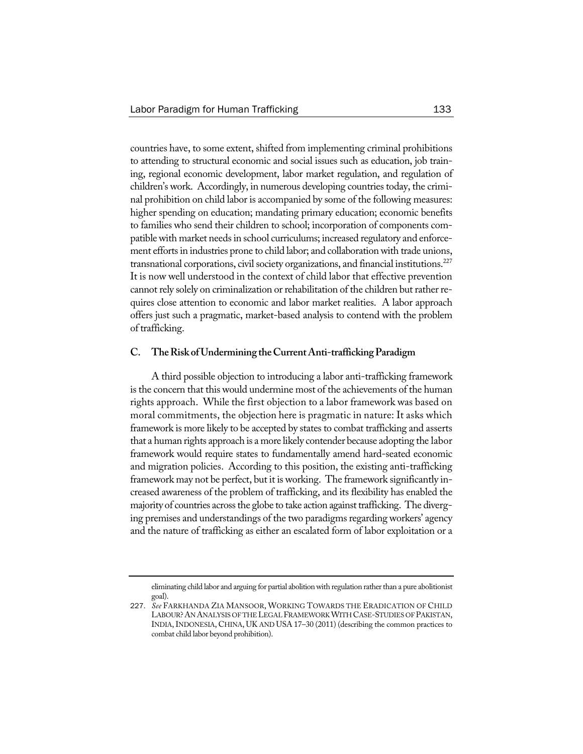countries have, to some extent, shifted from implementing criminal prohibitions to attending to structural economic and social issues such as education, job training, regional economic development, labor market regulation, and regulation of children's work. Accordingly, in numerous developing countries today, the criminal prohibition on child labor is accompanied by some of the following measures: higher spending on education; mandating primary education; economic benefits to families who send their children to school; incorporation of components compatible with market needs in school curriculums; increased regulatory and enforcement efforts in industries prone to child labor; and collaboration with trade unions, transnational corporations, civil society organizations, and financial institutions. $^{227}$ It is now well understood in the context of child labor that effective prevention cannot rely solely on criminalization or rehabilitation of the children but rather requires close attention to economic and labor market realities. A labor approach offers just such a pragmatic, market-based analysis to contend with the problem of trafficking.

## **C. TheRisk ofUndermining theCurrentAnti-traffickingParadigm**

A third possible objection to introducing a labor anti-trafficking framework is the concern that this would undermine most of the achievements of the human rights approach. While the first objection to a labor framework was based on moral commitments, the objection here is pragmatic in nature: It asks which framework is more likely to be accepted by states to combat trafficking and asserts that a human rights approach is a more likely contender because adopting the labor framework would require states to fundamentally amend hard-seated economic and migration policies. According to this position, the existing anti-trafficking framework may not be perfect, but it is working. The framework significantly increased awareness of the problem of trafficking, and its flexibility has enabled the majority of countries across the globe to take action against trafficking. The diverging premises and understandings of the two paradigms regarding workers' agency and the nature of trafficking as either an escalated form of labor exploitation or a

eliminating child labor and arguing for partial abolition with regulation rather than a pure abolitionist goal).

<sup>227</sup>. *See* FARKHANDA ZIA MANSOOR, WORKING TOWARDS THE ERADICATION OF CHILD LABOUR? AN ANALYSIS OF THE LEGAL FRAMEWORK WITH CASE-STUDIES OF PAKISTAN, INDIA,INDONESIA, CHINA, UK AND USA 17–30 (2011) (describing the common practices to combat child labor beyond prohibition).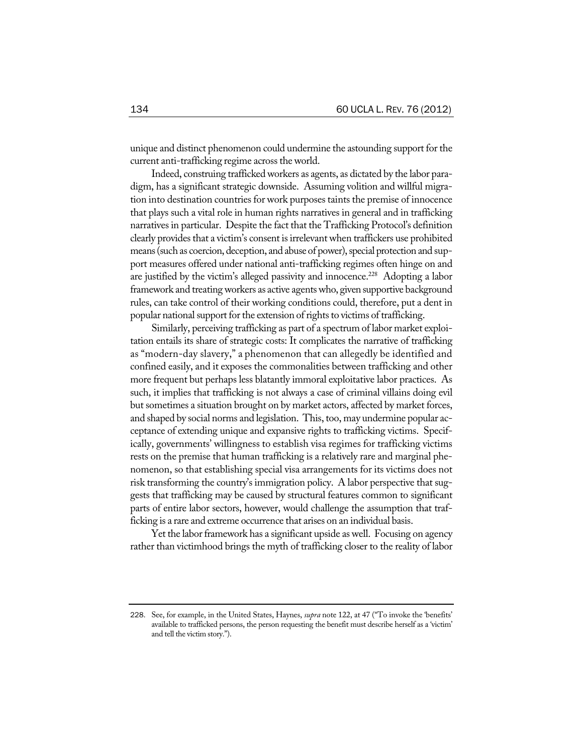unique and distinct phenomenon could undermine the astounding support for the current anti-trafficking regime across the world.

Indeed, construing traffickedworkers as agents, as dictated by the labor paradigm, has a significant strategic downside. Assuming volition and willful migration into destination countries for work purposes taints the premise of innocence that plays such a vital role in human rights narratives in general and in trafficking narratives in particular. Despite the fact that the Trafficking Protocol's definition clearly provides that a victim's consent is irrelevant when traffickers use prohibited means (such as coercion, deception, and abuse of power), special protection and support measures offered under national anti-trafficking regimes often hinge on and are justified by the victim's alleged passivity and innocence.<sup>228</sup> Adopting a labor framework and treating workers as active agents who, given supportive background rules, can take control of their working conditions could, therefore, put a dent in popular national support for the extension of rights to victims of trafficking.

Similarly, perceiving trafficking as part of a spectrum of labor market exploitation entails its share of strategic costs: It complicates the narrative of trafficking as "modern-day slavery," a phenomenon that can allegedly be identified and confined easily, and it exposes the commonalities between trafficking and other more frequent but perhaps less blatantly immoral exploitative labor practices. As such, it implies that trafficking is not always a case of criminal villains doing evil but sometimes a situation brought on by market actors, affected by market forces, and shaped by social norms and legislation. This, too, may undermine popular acceptance of extending unique and expansive rights to trafficking victims. Specifically, governments' willingness to establish visa regimes for trafficking victims rests on the premise that human trafficking is a relatively rare and marginal phenomenon, so that establishing special visa arrangements for its victims does not risk transforming the country's immigration policy. A labor perspective that suggests that trafficking may be caused by structural features common to significant parts of entire labor sectors, however, would challenge the assumption that trafficking is a rare and extreme occurrence that arises on an individual basis.

Yet the labor framework has a significant upside as well. Focusing on agency rather than victimhood brings the myth of trafficking closer to the reality of labor

<sup>228</sup>. See, for example, in the United States, Haynes, *supra* note 122, at 47 ("To invoke the 'benefits' available to trafficked persons, the person requesting the benefit must describe herself as a 'victim' and tell the victim story.").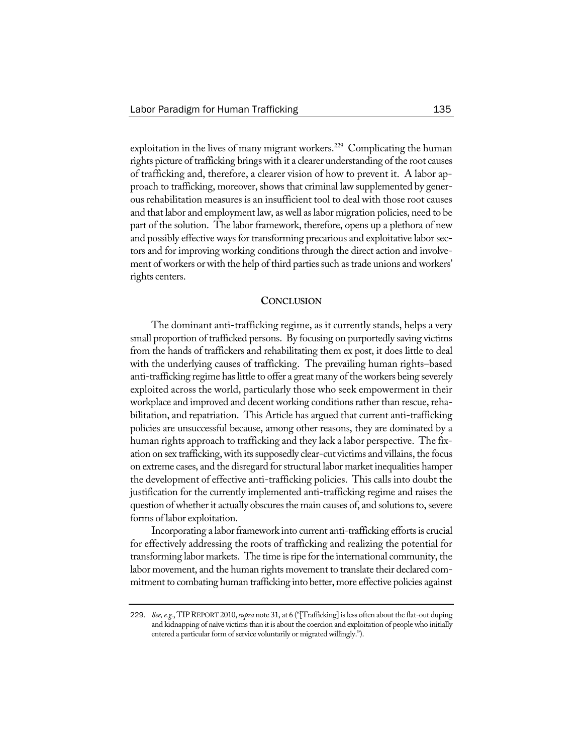exploitation in the lives of many migrant workers.<sup>229</sup> Complicating the human rights picture of trafficking brings with it a clearer understanding of the root causes of trafficking and, therefore, a clearer vision of how to prevent it. A labor approach to trafficking, moreover, shows that criminal law supplemented by generous rehabilitation measures is an insufficient tool to deal with those root causes and that labor and employment law, as well aslabor migration policies, need to be part of the solution. The labor framework, therefore, opens up a plethora of new and possibly effective ways for transforming precarious and exploitative labor sectors and for improving working conditions through the direct action and involvement of workers or with the help of third parties such as trade unions and workers' rights centers.

#### **CONCLUSION**

The dominant anti-trafficking regime, as it currently stands, helps a very small proportion of trafficked persons. By focusing on purportedly saving victims from the hands of traffickers and rehabilitating them ex post, it does little to deal with the underlying causes of trafficking. The prevailing human rights–based anti-trafficking regime has little to offer a great many of the workers being severely exploited across the world, particularly those who seek empowerment in their workplace and improved and decent working conditions rather than rescue, rehabilitation, and repatriation. This Article has argued that current anti-trafficking policies are unsuccessful because, among other reasons, they are dominated by a human rights approach to trafficking and they lack a labor perspective. The fixation on sex trafficking, with its supposedly clear-cut victims and villains, the focus on extreme cases, and the disregard forstructural labor market inequalities hamper the development of effective anti-trafficking policies. This calls into doubt the justification for the currently implemented anti-trafficking regime and raises the question of whether it actually obscures the main causes of, and solutions to, severe forms of labor exploitation.

Incorporating a labor framework into current anti-trafficking efforts is crucial for effectively addressing the roots of trafficking and realizing the potential for transforming labor markets. The time isripe forthe international community, the labor movement, and the human rights movement to translate their declared commitment to combating human trafficking into better, more effective policies against

<sup>229</sup>. *See,e.g.*, TIPREPORT 2010,*supra* note 31, at 6 ("[Trafficking]isless often about the flat-out duping and kidnapping of naïve victims than it is about the coercion and exploitation of people who initially entered a particular form of service voluntarily or migrated willingly.").